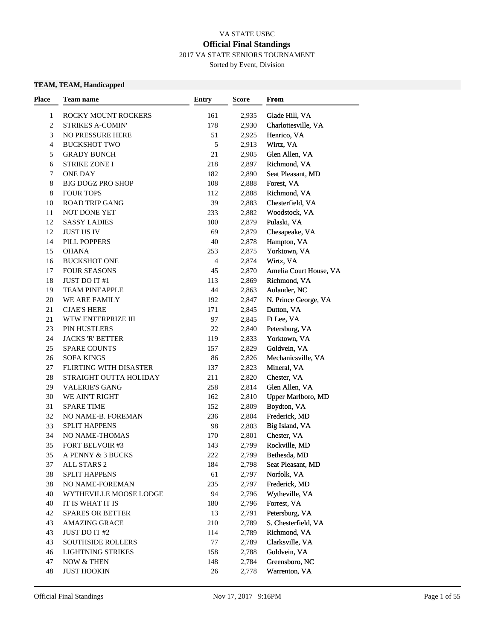### VA STATE USBC **Official Final Standings** 2017 VA STATE SENIORS TOURNAMENT

Sorted by Event, Division

### **TEAM, TEAM, Handicapped**

| <b>Place</b>   | Team name                     | <b>Entry</b> | Score | From                   |  |
|----------------|-------------------------------|--------------|-------|------------------------|--|
| 1              | ROCKY MOUNT ROCKERS           | 161          | 2,935 | Glade Hill, VA         |  |
| $\overline{c}$ | <b>STRIKES A-COMIN'</b>       | 178          | 2,930 | Charlottesville, VA    |  |
| 3              | <b>NO PRESSURE HERE</b>       | 51           | 2,925 | Henrico, VA            |  |
| 4              | <b>BUCKSHOT TWO</b>           | 5            | 2,913 | Wirtz, VA              |  |
| 5              | <b>GRADY BUNCH</b>            | 21           | 2,905 | Glen Allen, VA         |  |
| 6              | <b>STRIKE ZONE I</b>          | 218          | 2,897 | Richmond, VA           |  |
| 7              | <b>ONE DAY</b>                | 182          | 2,890 | Seat Pleasant, MD      |  |
| 8              | <b>BIG DOGZ PRO SHOP</b>      | 108          | 2,888 | Forest, VA             |  |
| 8              | <b>FOUR TOPS</b>              | 112          | 2,888 | Richmond, VA           |  |
| 10             | ROAD TRIP GANG                | 39           | 2,883 | Chesterfield, VA       |  |
| 11             | NOT DONE YET                  | 233          | 2,882 | Woodstock, VA          |  |
| 12             | <b>SASSY LADIES</b>           | 100          | 2,879 | Pulaski, VA            |  |
| 12             | <b>JUST US IV</b>             | 69           | 2,879 | Chesapeake, VA         |  |
| 14             | PILL POPPERS                  | 40           | 2,878 | Hampton, VA            |  |
| 15             | <b>OHANA</b>                  | 253          | 2,875 | Yorktown, VA           |  |
| 16             | <b>BUCKSHOT ONE</b>           | 4            | 2,874 | Wirtz, VA              |  |
| 17             | <b>FOUR SEASONS</b>           | 45           | 2,870 | Amelia Court House, VA |  |
| 18             | JUST DO IT #1                 | 113          | 2,869 | Richmond, VA           |  |
| 19             | <b>TEAM PINEAPPLE</b>         | 44           | 2,863 | Aulander, NC           |  |
| 20             | WE ARE FAMILY                 | 192          | 2,847 | N. Prince George, VA   |  |
| 21             | <b>CJAE'S HERE</b>            | 171          | 2,845 | Dutton, VA             |  |
| 21             | WTW ENTERPRIZE III            | 97           | 2,845 | Ft Lee, VA             |  |
| 23             | PIN HUSTLERS                  | 22           | 2,840 | Petersburg, VA         |  |
| 24             | <b>JACKS 'R' BETTER</b>       | 119          | 2,833 | Yorktown, VA           |  |
| 25             | <b>SPARE COUNTS</b>           | 157          | 2,829 | Goldvein, VA           |  |
| 26             | <b>SOFA KINGS</b>             | 86           | 2,826 | Mechanicsville, VA     |  |
| 27             | <b>FLIRTING WITH DISASTER</b> | 137          | 2,823 | Mineral, VA            |  |
| 28             | STRAIGHT OUTTA HOLIDAY        | 211          | 2,820 | Chester, VA            |  |
| 29             | <b>VALERIE'S GANG</b>         | 258          | 2,814 | Glen Allen, VA         |  |
| 30             | WE AIN'T RIGHT                | 162          | 2,810 | Upper Marlboro, MD     |  |
| 31             | <b>SPARE TIME</b>             | 152          | 2,809 | Boydton, VA            |  |
| 32             | NO NAME-B. FOREMAN            | 236          | 2,804 | Frederick, MD          |  |
| 33             | <b>SPLIT HAPPENS</b>          | 98           | 2,803 | Big Island, VA         |  |
| 34             | NO NAME-THOMAS                | 170          | 2,801 | Chester, VA            |  |
| 35             | FORT BELVOIR #3               | 143          | 2,799 | Rockville, MD          |  |
| 35             | A PENNY & 3 BUCKS             | 222          | 2,799 | Bethesda, MD           |  |
| 37             | ALL STARS 2                   | 184          | 2,798 | Seat Pleasant, MD      |  |
| 38             | <b>SPLIT HAPPENS</b>          | 61           | 2,797 | Norfolk, VA            |  |
| 38             | NO NAME-FOREMAN               | 235          | 2,797 | Frederick, MD          |  |
| 40             | WYTHEVILLE MOOSE LODGE        | 94           | 2,796 | Wytheville, VA         |  |
| 40             | IT IS WHAT IT IS              | 180          | 2,796 | Forrest, VA            |  |
| 42             | <b>SPARES OR BETTER</b>       | 13           | 2,791 | Petersburg, VA         |  |
| 43             | <b>AMAZING GRACE</b>          | 210          | 2,789 | S. Chesterfield, VA    |  |
| 43             | JUST DO IT #2                 | 114          | 2,789 | Richmond, VA           |  |
| 43             | <b>SOUTHSIDE ROLLERS</b>      | 77           | 2,789 | Clarksville, VA        |  |
| 46             | <b>LIGHTNING STRIKES</b>      | 158          | 2,788 | Goldvein, VA           |  |
| 47             | NOW & THEN                    | 148          | 2,784 | Greensboro, NC         |  |
| 48             | <b>JUST HOOKIN</b>            | 26           | 2,778 | Warrenton, VA          |  |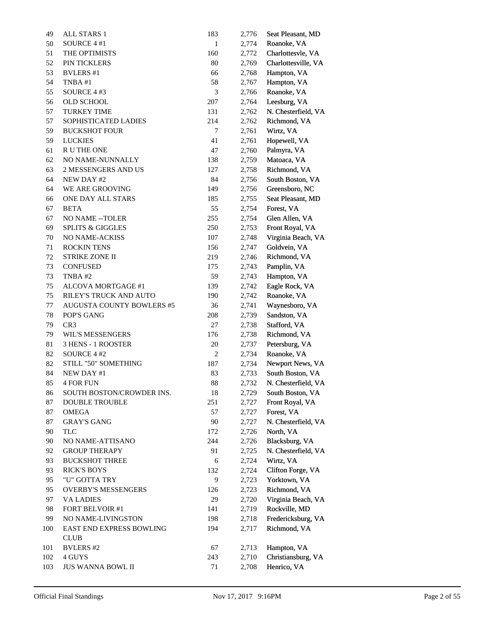| 49  | ALL STARS 1                      | 183            | 2,776 | Seat Pleasant, MD   |
|-----|----------------------------------|----------------|-------|---------------------|
| 50  | SOURCE 4 #1                      | $\mathbf{1}$   | 2,774 | Roanoke, VA         |
| 51  | THE OPTIMISTS                    | 160            | 2,772 | Charlottesvle, VA   |
| 52  | PIN TICKLERS                     | 80             | 2,769 | Charlottesville, VA |
| 53  | <b>BVLERS</b> #1                 | 66             | 2,768 | Hampton, VA         |
| 54  | TNBA#1                           | 58             | 2,767 | Hampton, VA         |
| 55  | SOURCE 4 #3                      | 3              | 2,766 | Roanoke, VA         |
| 56  | <b>OLD SCHOOL</b>                | 207            | 2,764 | Leesburg, VA        |
| 57  | <b>TURKEY TIME</b>               | 131            | 2,762 | N. Chesterfield, VA |
| 57  | SOPHISTICATED LADIES             | 214            | 2,762 | Richmond, VA        |
| 59  | <b>BUCKSHOT FOUR</b>             | 7              | 2,761 | Wirtz, VA           |
| 59  | <b>LUCKIES</b>                   | 41             | 2,761 | Hopewell, VA        |
| 61  | R U THE ONE                      | 47             | 2,760 | Palmyra, VA         |
| 62  | NO NAME-NUNNALLY                 | 138            | 2,759 | Matoaca, VA         |
| 63  | 2 MESSENGERS AND US              | 127            | 2,758 | Richmond, VA        |
| 64  | NEW DAY #2                       | 84             | 2,756 | South Boston, VA    |
| 64  | WE ARE GROOVING                  | 149            | 2,756 | Greensboro, NC      |
| 66  | ONE DAY ALL STARS                | 185            | 2,755 | Seat Pleasant, MD   |
| 67  | <b>BETA</b>                      | 55             | 2,754 | Forest, VA          |
| 67  | <b>NO NAME -- TOLER</b>          | 255            | 2,754 | Glen Allen, VA      |
| 69  | <b>SPLITS &amp; GIGGLES</b>      | 250            | 2,753 | Front Royal, VA     |
| 70  | NO NAME-ACKISS                   | 107            | 2,748 | Virginia Beach, VA  |
| 71  | <b>ROCKIN TENS</b>               | 156            | 2,747 | Goldvein, VA        |
| 72  | <b>STRIKE ZONE II</b>            | 219            | 2,746 | Richmond, VA        |
| 73  | <b>CONFUSED</b>                  | 175            | 2,743 | Pamplin, VA         |
| 73  | TNBA#2                           | 59             | 2,743 | Hampton, VA         |
| 75  | ALCOVA MORTGAGE #1               | 139            | 2,742 | Eagle Rock, VA      |
| 75  | RILEY'S TRUCK AND AUTO           | 190            | 2,742 | Roanoke, VA         |
| 77  | <b>AUGUSTA COUNTY BOWLERS #5</b> | 36             | 2,741 | Waynesboro, VA      |
| 78  | POP'S GANG                       | 208            | 2,739 | Sandston, VA        |
| 79  | CR <sub>3</sub>                  | 27             | 2,738 | Stafford, VA        |
| 79  | <b>WIL'S MESSENGERS</b>          | 176            | 2,738 | Richmond, VA        |
| 81  | 3 HENS - 1 ROOSTER               | 20             | 2,737 | Petersburg, VA      |
| 82  | SOURCE 4 #2                      | $\overline{c}$ | 2,734 | Roanoke, VA         |
| 82  | STILL "50" SOMETHING             | 187            | 2,734 | Newport News, VA    |
| 84  | NEW DAY #1                       | 83             | 2,733 | South Boston, VA    |
| 85  | <b>4 FOR FUN</b>                 | 88             | 2,732 | N. Chesterfield, VA |
| 86  | SOUTH BOSTON/CROWDER INS.        | 18             | 2,729 | South Boston, VA    |
| 87  | <b>DOUBLE TROUBLE</b>            | 251            | 2,727 | Front Royal, VA     |
| 87  | <b>OMEGA</b>                     | 57             | 2,727 | Forest, VA          |
| 87  | <b>GRAY'S GANG</b>               | 90             | 2,727 | N. Chesterfield, VA |
| 90  | TLC                              | 172            | 2,726 | North, VA           |
| 90  | NO NAME-ATTISANO                 | 244            | 2,726 | Blacksburg, VA      |
| 92  | <b>GROUP THERAPY</b>             | 91             | 2,725 | N. Chesterfield, VA |
| 93  | <b>BUCKSHOT THREE</b>            | 6              | 2,724 | Wirtz, VA           |
| 93  | <b>RICK'S BOYS</b>               | 132            | 2,724 | Clifton Forge, VA   |
| 95  | "U" GOTTA TRY                    | 9              | 2,723 | Yorktown, VA        |
| 95  | <b>OVERBY'S MESSENGERS</b>       | 126            | 2,723 | Richmond, VA        |
| 97  | <b>VA LADIES</b>                 | 29             | 2,720 | Virginia Beach, VA  |
| 98  | FORT BELVOIR #1                  | 141            | 2,719 | Rockville, MD       |
| 99  | NO NAME-LIVINGSTON               | 198            | 2,718 | Fredericksburg, VA  |
| 100 | <b>EAST END EXPRESS BOWLING</b>  | 194            | 2,717 | Richmond, VA        |
|     | <b>CLUB</b>                      |                |       |                     |
| 101 | <b>BVLERS #2</b>                 | 67             | 2,713 | Hampton, VA         |
| 102 | 4 GUYS                           | 243            | 2,710 | Christiansburg, VA  |
| 103 | JUS WANNA BOWL II                | 71             | 2,708 | Henrico, VA         |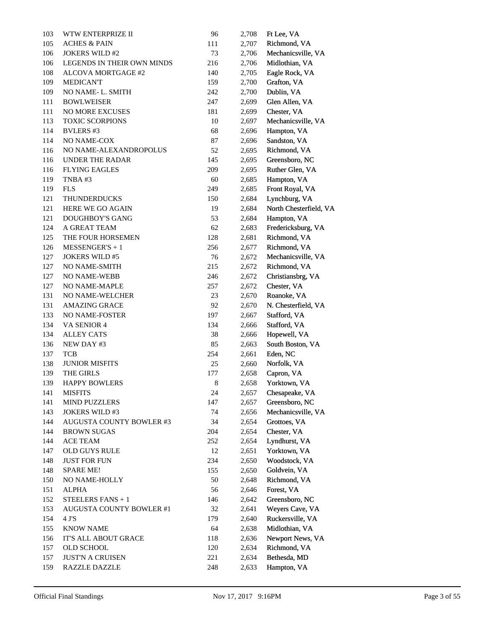| 103     | WTW ENTERPRIZE II                 | 96  | 2,708 | Ft Lee, VA             |
|---------|-----------------------------------|-----|-------|------------------------|
| 105     | <b>ACHES &amp; PAIN</b>           | 111 | 2,707 | Richmond, VA           |
| 106     | <b>JOKERS WILD #2</b>             | 73  | 2,706 | Mechanicsville, VA     |
| 106     | <b>LEGENDS IN THEIR OWN MINDS</b> | 216 | 2,706 | Midlothian, VA         |
| $108\,$ | ALCOVA MORTGAGE #2                | 140 | 2,705 | Eagle Rock, VA         |
| 109     | <b>MEDICANT</b>                   | 159 | 2,700 | Grafton, VA            |
| 109     | NO NAME-L. SMITH                  | 242 | 2,700 | Dublin, VA             |
| 111     | <b>BOWLWEISER</b>                 | 247 | 2,699 | Glen Allen, VA         |
| $111\,$ | <b>NO MORE EXCUSES</b>            | 181 | 2,699 | Chester, VA            |
| 113     | <b>TOXIC SCORPIONS</b>            | 10  | 2,697 | Mechanicsville, VA     |
| 114     | <b>BVLERS #3</b>                  | 68  | 2,696 | Hampton, VA            |
| 114     | NO NAME-COX                       | 87  | 2,696 | Sandston, VA           |
| 116     | NO NAME-ALEXANDROPOLUS            | 52  | 2,695 | Richmond, VA           |
| 116     | <b>UNDER THE RADAR</b>            | 145 | 2,695 | Greensboro, NC         |
| 116     | <b>FLYING EAGLES</b>              | 209 | 2,695 | Ruther Glen, VA        |
| 119     | TNBA#3                            | 60  | 2,685 | Hampton, VA            |
| 119     | <b>FLS</b>                        | 249 | 2,685 | Front Royal, VA        |
| 121     | <b>THUNDERDUCKS</b>               | 150 | 2,684 | Lynchburg, VA          |
| 121     | <b>HERE WE GO AGAIN</b>           | 19  | 2,684 | North Chesterfield, VA |
| 121     | <b>DOUGHBOY'S GANG</b>            | 53  | 2,684 | Hampton, VA            |
| 124     | A GREAT TEAM                      | 62  | 2,683 | Fredericksburg, VA     |
| 125     | THE FOUR HORSEMEN                 | 128 | 2,681 | Richmond, VA           |
| 126     | $MESSENGER'S + 1$                 | 256 | 2,677 | Richmond, VA           |
| 127     | <b>JOKERS WILD #5</b>             | 76  | 2,672 | Mechanicsville, VA     |
| 127     | NO NAME-SMITH                     | 215 | 2,672 | Richmond, VA           |
| 127     | <b>NO NAME-WEBB</b>               | 246 | 2,672 | Christiansbrg, VA      |
| 127     | NO NAME-MAPLE                     | 257 | 2,672 | Chester, VA            |
| 131     | NO NAME-WELCHER                   | 23  | 2,670 | Roanoke, VA            |
| 131     | <b>AMAZING GRACE</b>              | 92  | 2,670 | N. Chesterfield, VA    |
| 133     | NO NAME-FOSTER                    | 197 | 2,667 | Stafford, VA           |
| 134     | VA SENIOR 4                       | 134 | 2,666 | Stafford, VA           |
| 134     | <b>ALLEY CATS</b>                 | 38  | 2,666 | Hopewell, VA           |
| 136     | NEW DAY #3                        | 85  | 2,663 | South Boston, VA       |
| 137     | <b>TCB</b>                        | 254 | 2,661 | Eden, NC               |
| 138     | <b>JUNIOR MISFITS</b>             | 25  | 2,660 | Norfolk, VA            |
| 139     | THE GIRLS                         | 177 | 2,658 | Capron, VA             |
| 139     | <b>HAPPY BOWLERS</b>              | 8   | 2,658 | Yorktown, VA           |
| 141     | <b>MISFITS</b>                    | 24  | 2,657 | Chesapeake, VA         |
| 141     | <b>MIND PUZZLERS</b>              | 147 | 2,657 | Greensboro, NC         |
| 143     | <b>JOKERS WILD #3</b>             | 74  | 2,656 | Mechanicsville, VA     |
| 144     | <b>AUGUSTA COUNTY BOWLER #3</b>   | 34  | 2,654 | Grottoes, VA           |
| 144     | <b>BROWN SUGAS</b>                | 204 | 2,654 | Chester, VA            |
| 144     | ACE TEAM                          | 252 | 2,654 | Lyndhurst, VA          |
| 147     | OLD GUYS RULE                     | 12  | 2,651 | Yorktown, VA           |
| 148     | <b>JUST FOR FUN</b>               | 234 | 2,650 | Woodstock, VA          |
| 148     | <b>SPARE ME!</b>                  | 155 | 2,650 | Goldvein, VA           |
| 150     | NO NAME-HOLLY                     | 50  | 2,648 | Richmond, VA           |
| 151     | ALPHA                             | 56  | 2,646 | Forest, VA             |
| 152     | STEELERS FANS + 1                 | 146 | 2,642 | Greensboro, NC         |
| 153     | AUGUSTA COUNTY BOWLER #1          | 32  | 2,641 | Weyers Cave, VA        |
| 154     | 4 J'S                             | 179 | 2,640 | Ruckersville, VA       |
| 155     | <b>KNOW NAME</b>                  | 64  | 2,638 | Midlothian, VA         |
| 156     | IT'S ALL ABOUT GRACE              | 118 | 2,636 | Newport News, VA       |
| 157     | OLD SCHOOL                        | 120 | 2,634 | Richmond, VA           |
| 157     | <b>JUST'N A CRUISEN</b>           | 221 | 2,634 | Bethesda, MD           |
| 159     | <b>RAZZLE DAZZLE</b>              | 248 | 2,633 | Hampton, VA            |
|         |                                   |     |       |                        |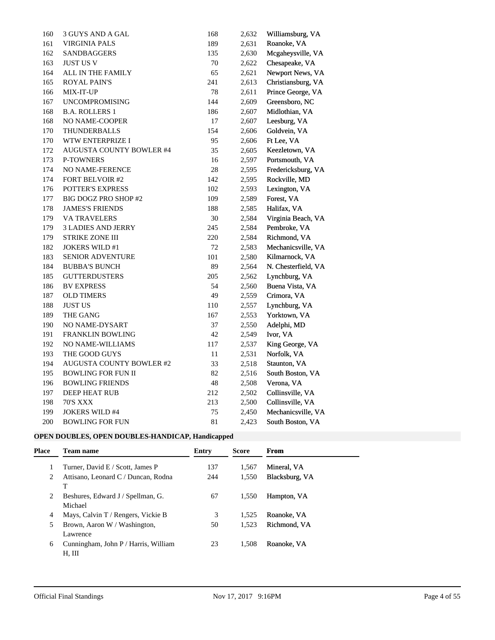| 160 | 3 GUYS AND A GAL                | 168    | 2,632 | Williamsburg, VA    |
|-----|---------------------------------|--------|-------|---------------------|
| 161 | <b>VIRGINIA PALS</b>            | 189    | 2,631 | Roanoke, VA         |
| 162 | <b>SANDBAGGERS</b>              | 135    | 2,630 | Mcgaheysville, VA   |
| 163 | <b>JUST US V</b>                | 70     | 2,622 | Chesapeake, VA      |
| 164 | ALL IN THE FAMILY               | 65     | 2,621 | Newport News, VA    |
| 165 | <b>ROYAL PAIN'S</b>             | 241    | 2,613 | Christiansburg, VA  |
| 166 | <b>MIX-IT-UP</b>                | 78     | 2,611 | Prince George, VA   |
| 167 | <b>UNCOMPROMISING</b>           | 144    | 2,609 | Greensboro, NC      |
| 168 | <b>B.A. ROLLERS 1</b>           | 186    | 2,607 | Midlothian, VA      |
| 168 | NO NAME-COOPER                  | 17     | 2,607 | Leesburg, VA        |
| 170 | THUNDERBALLS                    | 154    | 2,606 | Goldvein, VA        |
| 170 | WTW ENTERPRIZE I                | 95     | 2,606 | Ft Lee, VA          |
| 172 | AUGUSTA COUNTY BOWLER #4        | 35     | 2,605 | Keezletown, VA      |
| 173 | <b>P-TOWNERS</b>                | 16     | 2,597 | Portsmouth, VA      |
| 174 | NO NAME-FERENCE                 | 28     | 2,595 | Fredericksburg, VA  |
| 174 | <b>FORT BELVOIR #2</b>          | 142    | 2,595 | Rockville, MD       |
| 176 | <b>POTTER'S EXPRESS</b>         | 102    | 2,593 | Lexington, VA       |
| 177 | BIG DOGZ PRO SHOP #2            | 109    | 2,589 | Forest, VA          |
| 178 | <b>JAMES'S FRIENDS</b>          | 188    | 2,585 | Halifax, VA         |
| 179 | <b>VA TRAVELERS</b>             | 30     | 2,584 | Virginia Beach, VA  |
| 179 | <b>3 LADIES AND JERRY</b>       | 245    | 2,584 | Pembroke, VA        |
| 179 | <b>STRIKE ZONE III</b>          | 220    | 2,584 | Richmond, VA        |
| 182 | <b>JOKERS WILD #1</b>           | 72     | 2,583 | Mechanicsville, VA  |
| 183 | <b>SENIOR ADVENTURE</b>         | 101    | 2,580 | Kilmarnock, VA      |
| 184 | <b>BUBBA'S BUNCH</b>            | 89     | 2,564 | N. Chesterfield, VA |
| 185 | <b>GUTTERDUSTERS</b>            | 205    | 2,562 | Lynchburg, VA       |
| 186 | <b>BV EXPRESS</b>               | 54     | 2,560 | Buena Vista, VA     |
| 187 | <b>OLD TIMERS</b>               | 49     | 2,559 | Crimora, VA         |
| 188 | <b>JUST US</b>                  | 110    | 2,557 | Lynchburg, VA       |
| 189 | THE GANG                        | 167    | 2,553 | Yorktown, VA        |
| 190 | NO NAME-DYSART                  | 37     | 2,550 | Adelphi, MD         |
| 191 | <b>FRANKLIN BOWLING</b>         | 42     | 2,549 | Ivor, VA            |
| 192 | NO NAME-WILLIAMS                | 117    | 2,537 | King George, VA     |
| 193 | THE GOOD GUYS                   | $11\,$ | 2,531 | Norfolk, VA         |
| 194 | <b>AUGUSTA COUNTY BOWLER #2</b> | 33     | 2,518 | Staunton, VA        |
| 195 | <b>BOWLING FOR FUN II</b>       | 82     | 2,516 | South Boston, VA    |
| 196 | <b>BOWLING FRIENDS</b>          | 48     | 2,508 | Verona, VA          |
| 197 | DEEP HEAT RUB                   | 212    | 2,502 | Collinsville, VA    |
| 198 | <b>70'S XXX</b>                 | 213    | 2,500 | Collinsville, VA    |
| 199 | <b>JOKERS WILD #4</b>           | 75     | 2,450 | Mechanicsville, VA  |
| 200 | <b>BOWLING FOR FUN</b>          | 81     | 2,423 | South Boston, VA    |

## **OPEN DOUBLES, OPEN DOUBLES-HANDICAP, Handicapped**

| <b>Place</b> | <b>Team name</b>                               | Entry | <b>Score</b> | From           |
|--------------|------------------------------------------------|-------|--------------|----------------|
|              | Turner, David E / Scott, James P               | 137   | 1.567        | Mineral, VA    |
| 2            | Attisano, Leonard C / Duncan, Rodna<br>T       | 244   | 1,550        | Blacksburg, VA |
| 2            | Beshures, Edward J / Spellman, G.<br>Michael   | 67    | 1.550        | Hampton, VA    |
| 4            | Mays, Calvin T / Rengers, Vickie B             | 3     | 1.525        | Roanoke, VA    |
| 5            | Brown, Aaron W / Washington,<br>Lawrence       | 50    | 1.523        | Richmond. VA   |
| 6            | Cunningham, John P / Harris, William<br>H, III | 23    | 1.508        | Roanoke, VA    |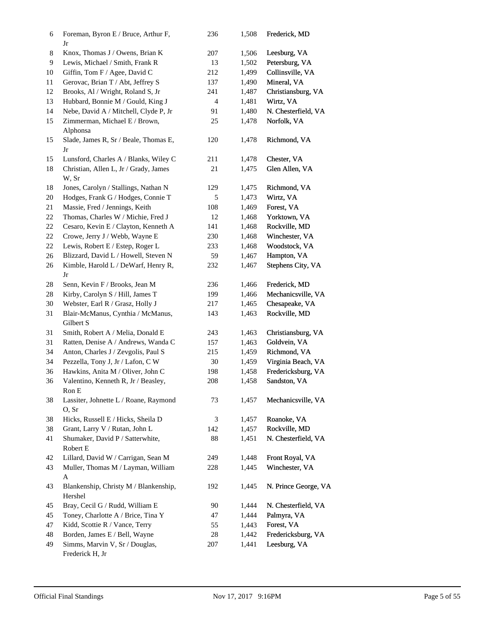| 6  | Foreman, Byron E / Bruce, Arthur F,<br>Jr               | 236    | 1,508 | Frederick, MD        |
|----|---------------------------------------------------------|--------|-------|----------------------|
| 8  | Knox, Thomas J / Owens, Brian K                         | 207    | 1,506 | Leesburg, VA         |
| 9  | Lewis, Michael / Smith, Frank R                         | 13     | 1,502 | Petersburg, VA       |
| 10 | Giffin, Tom F / Agee, David C                           | 212    | 1,499 | Collinsville, VA     |
| 11 | Gerovac, Brian T / Abt, Jeffrey S                       | 137    | 1,490 | Mineral, VA          |
| 12 | Brooks, Al / Wright, Roland S, Jr                       | 241    | 1,487 | Christiansburg, VA   |
| 13 | Hubbard, Bonnie M / Gould, King J                       | 4      | 1,481 | Wirtz, VA            |
| 14 | Nebe, David A / Mitchell, Clyde P, Jr                   | 91     | 1,480 | N. Chesterfield, VA  |
| 15 | Zimmerman, Michael E / Brown,<br>Alphonsa               | 25     | 1,478 | Norfolk, VA          |
| 15 | Slade, James R, Sr / Beale, Thomas E,<br>Jr             | 120    | 1,478 | Richmond, VA         |
| 15 | Lunsford, Charles A / Blanks, Wiley C                   | 211    | 1,478 | Chester, VA          |
| 18 | Christian, Allen L, Jr / Grady, James<br>W, Sr          | 21     | 1,475 | Glen Allen, VA       |
| 18 | Jones, Carolyn / Stallings, Nathan N                    | 129    | 1,475 | Richmond, VA         |
| 20 | Hodges, Frank G / Hodges, Connie T                      | 5      | 1,473 | Wirtz, VA            |
| 21 | Massie, Fred / Jennings, Keith                          | 108    | 1,469 | Forest, VA           |
| 22 | Thomas, Charles W / Michie, Fred J                      | 12     | 1,468 | Yorktown, VA         |
| 22 | Cesaro, Kevin E / Clayton, Kenneth A                    | 141    | 1,468 | Rockville, MD        |
| 22 | Crowe, Jerry J / Webb, Wayne E                          | 230    | 1,468 | Winchester, VA       |
| 22 | Lewis, Robert E / Estep, Roger L                        | 233    | 1,468 | Woodstock, VA        |
| 26 | Blizzard, David L / Howell, Steven N                    | 59     | 1,467 | Hampton, VA          |
| 26 | Kimble, Harold L / DeWarf, Henry R,<br>Jr               | 232    | 1,467 | Stephens City, VA    |
| 28 | Senn, Kevin F / Brooks, Jean M                          | 236    | 1,466 | Frederick, MD        |
| 28 | Kirby, Carolyn S / Hill, James T                        | 199    | 1,466 | Mechanicsville, VA   |
| 30 | Webster, Earl R / Grasz, Holly J                        | 217    | 1,465 | Chesapeake, VA       |
| 31 | Blair-McManus, Cynthia / McManus,<br>Gilbert S          | 143    | 1,463 | Rockville, MD        |
| 31 | Smith, Robert A / Melia, Donald E                       | 243    | 1,463 | Christiansburg, VA   |
| 31 | Ratten, Denise A / Andrews, Wanda C                     | 157    | 1,463 | Goldvein, VA         |
| 34 | Anton, Charles J / Zevgolis, Paul S                     | 215    | 1,459 | Richmond, VA         |
| 34 | Pezzella, Tony J, Jr / Lafon, C W                       | $30\,$ | 1,459 | Virginia Beach, VA   |
| 36 | Hawkins, Anita M / Oliver, John C                       | 198    | 1,458 | Fredericksburg, VA   |
| 36 | Valentino, Kenneth R, Jr / Beasley,<br>$\mbox{Ron}\; E$ | 208    | 1,458 | Sandston, VA         |
| 38 | Lassiter, Johnette L / Roane, Raymond<br>O, Sr          | 73     | 1,457 | Mechanicsville, VA   |
| 38 | Hicks, Russell E / Hicks, Sheila D                      | 3      | 1,457 | Roanoke, VA          |
| 38 | Grant, Larry V / Rutan, John L                          | 142    | 1,457 | Rockville, MD        |
| 41 | Shumaker, David P / Satterwhite,<br>Robert E            | 88     | 1,451 | N. Chesterfield, VA  |
| 42 | Lillard, David W / Carrigan, Sean M                     | 249    | 1,448 | Front Royal, VA      |
| 43 | Muller, Thomas M / Layman, William<br>A                 | 228    | 1,445 | Winchester, VA       |
| 43 | Blankenship, Christy M / Blankenship,<br>Hershel        | 192    | 1,445 | N. Prince George, VA |
| 45 | Bray, Cecil G / Rudd, William E                         | 90     | 1,444 | N. Chesterfield, VA  |
| 45 | Toney, Charlotte A / Brice, Tina Y                      | 47     | 1,444 | Palmyra, VA          |
| 47 | Kidd, Scottie R / Vance, Terry                          | 55     | 1,443 | Forest, VA           |
| 48 | Borden, James E / Bell, Wayne                           | $28\,$ | 1,442 | Fredericksburg, VA   |
| 49 | Simms, Marvin V, Sr / Douglas,<br>Frederick H, Jr       | 207    | 1,441 | Leesburg, VA         |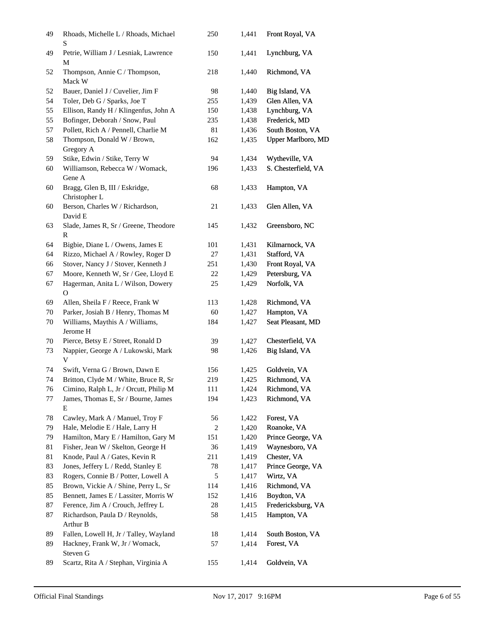| 49 | Rhoads, Michelle L / Rhoads, Michael<br>S             | 250    | 1,441 | Front Royal, VA     |
|----|-------------------------------------------------------|--------|-------|---------------------|
| 49 | Petrie, William J / Lesniak, Lawrence<br>М            | 150    | 1,441 | Lynchburg, VA       |
| 52 | Thompson, Annie C / Thompson,<br>Mack W               | 218    | 1,440 | Richmond, VA        |
| 52 | Bauer, Daniel J / Cuvelier, Jim F                     | 98     | 1,440 | Big Island, VA      |
| 54 | Toler, Deb G / Sparks, Joe T                          | 255    | 1,439 | Glen Allen, VA      |
| 55 | Ellison, Randy H / Klingenfus, John A                 | 150    | 1,438 | Lynchburg, VA       |
| 55 | Bofinger, Deborah / Snow, Paul                        | 235    | 1,438 | Frederick, MD       |
| 57 | Pollett, Rich A / Pennell, Charlie M                  | 81     | 1,436 | South Boston, VA    |
| 58 | Thompson, Donald W / Brown,<br>Gregory A              | 162    | 1,435 | Upper Marlboro, MD  |
| 59 | Stike, Edwin / Stike, Terry W                         | 94     | 1,434 | Wytheville, VA      |
| 60 | Williamson, Rebecca W / Womack,<br>Gene A             | 196    | 1,433 | S. Chesterfield, VA |
| 60 | Bragg, Glen B, III / Eskridge,<br>Christopher L       | 68     | 1,433 | Hampton, VA         |
| 60 | Berson, Charles W / Richardson,<br>David E            | 21     | 1,433 | Glen Allen, VA      |
| 63 | Slade, James R, Sr / Greene, Theodore<br>$\mathbb{R}$ | 145    | 1,432 | Greensboro, NC      |
| 64 | Bigbie, Diane L / Owens, James E                      | 101    | 1,431 | Kilmarnock, VA      |
| 64 | Rizzo, Michael A / Rowley, Roger D                    | 27     | 1,431 | Stafford, VA        |
| 66 | Stover, Nancy J / Stover, Kenneth J                   | 251    | 1,430 | Front Royal, VA     |
| 67 | Moore, Kenneth W, Sr / Gee, Lloyd E                   | 22     | 1,429 | Petersburg, VA      |
| 67 | Hagerman, Anita L / Wilson, Dowery<br>$\mathbf{O}$    | 25     | 1,429 | Norfolk, VA         |
| 69 | Allen, Sheila F / Reece, Frank W                      | 113    | 1,428 | Richmond, VA        |
| 70 | Parker, Josiah B / Henry, Thomas M                    | 60     | 1,427 | Hampton, VA         |
| 70 | Williams, Maythis A / Williams,<br>Jerome H           | 184    | 1,427 | Seat Pleasant, MD   |
| 70 | Pierce, Betsy E / Street, Ronald D                    | 39     | 1,427 | Chesterfield, VA    |
| 73 | Nappier, George A / Lukowski, Mark<br>V               | 98     | 1,426 | Big Island, VA      |
| 74 | Swift, Verna G / Brown, Dawn E                        | 156    | 1,425 | Goldvein, VA        |
| 74 | Britton, Clyde M / White, Bruce R, Sr                 | 219    | 1,425 | Richmond, VA        |
| 76 | Cimino, Ralph L, Jr / Orcutt, Philip M                | 111    | 1,424 | Richmond, VA        |
| 77 | James, Thomas E, Sr / Bourne, James<br>E              | 194    | 1,423 | Richmond, VA        |
| 78 | Cawley, Mark A / Manuel, Troy F                       | 56     | 1,422 | Forest, VA          |
| 79 | Hale, Melodie E / Hale, Larry H                       | 2      | 1,420 | Roanoke, VA         |
| 79 | Hamilton, Mary E / Hamilton, Gary M                   | 151    | 1,420 | Prince George, VA   |
| 81 | Fisher, Jean W / Skelton, George H                    | 36     | 1,419 | Waynesboro, VA      |
| 81 | Knode, Paul A / Gates, Kevin R                        | 211    | 1,419 | Chester, VA         |
| 83 | Jones, Jeffery L / Redd, Stanley E                    | 78     | 1,417 | Prince George, VA   |
| 83 | Rogers, Connie B / Potter, Lowell A                   | 5      | 1,417 | Wirtz, VA           |
| 85 | Brown, Vickie A / Shine, Perry L, Sr                  | 114    | 1,416 | Richmond, VA        |
| 85 | Bennett, James E / Lassiter, Morris W                 | 152    | 1,416 | Boydton, VA         |
| 87 | Ference, Jim A / Crouch, Jeffrey L                    | $28\,$ | 1,415 | Fredericksburg, VA  |
| 87 | Richardson, Paula D / Reynolds,<br>Arthur B           | 58     | 1,415 | Hampton, VA         |
| 89 | Fallen, Lowell H, Jr / Talley, Wayland                | 18     | 1,414 | South Boston, VA    |
| 89 | Hackney, Frank W, Jr / Womack,<br>Steven G            | 57     | 1,414 | Forest, VA          |
| 89 | Scartz, Rita A / Stephan, Virginia A                  | 155    | 1,414 | Goldvein, VA        |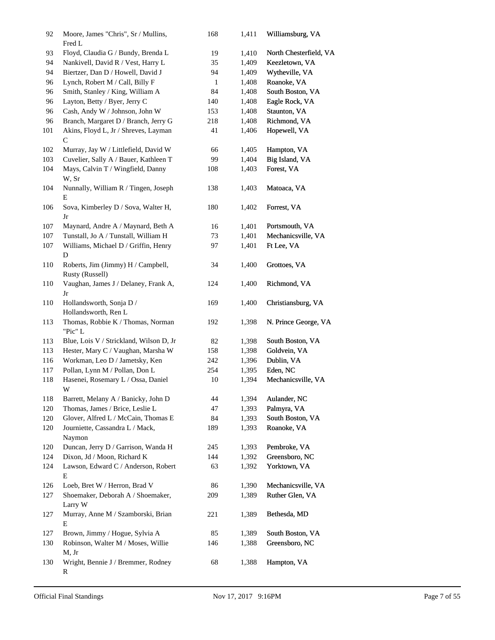| 92  | Moore, James "Chris", Sr / Mullins,<br>Fred L         | 168 | 1,411 | Williamsburg, VA       |
|-----|-------------------------------------------------------|-----|-------|------------------------|
| 93  | Floyd, Claudia G / Bundy, Brenda L                    | 19  | 1,410 | North Chesterfield, VA |
| 94  | Nankivell, David R / Vest, Harry L                    | 35  | 1,409 | Keezletown, VA         |
| 94  | Biertzer, Dan D / Howell, David J                     | 94  | 1,409 | Wytheville, VA         |
| 96  | Lynch, Robert M / Call, Billy F                       | 1   | 1,408 | Roanoke, VA            |
| 96  | Smith, Stanley / King, William A                      | 84  | 1,408 | South Boston, VA       |
| 96  | Layton, Betty / Byer, Jerry C                         | 140 | 1,408 | Eagle Rock, VA         |
| 96  | Cash, Andy W / Johnson, John W                        | 153 | 1,408 | Staunton, VA           |
| 96  | Branch, Margaret D / Branch, Jerry G                  | 218 | 1,408 | Richmond, VA           |
| 101 | Akins, Floyd L, Jr / Shreves, Layman<br>C             | 41  | 1,406 | Hopewell, VA           |
| 102 | Murray, Jay W / Littlefield, David W                  | 66  | 1,405 | Hampton, VA            |
| 103 | Cuvelier, Sally A / Bauer, Kathleen T                 | 99  | 1,404 | Big Island, VA         |
| 104 | Mays, Calvin T / Wingfield, Danny<br>W, Sr            | 108 | 1,403 | Forest, VA             |
| 104 | Nunnally, William R / Tingen, Joseph<br>Е             | 138 | 1,403 | Matoaca, VA            |
| 106 | Sova, Kimberley D / Sova, Walter H,<br>Jr             | 180 | 1,402 | Forrest, VA            |
| 107 | Maynard, Andre A / Maynard, Beth A                    | 16  | 1,401 | Portsmouth, VA         |
| 107 | Tunstall, Jo A / Tunstall, William H                  | 73  | 1,401 | Mechanicsville, VA     |
| 107 | Williams, Michael D / Griffin, Henry<br>D             | 97  | 1,401 | Ft Lee, VA             |
| 110 | Roberts, Jim (Jimmy) H / Campbell,<br>Rusty (Russell) | 34  | 1,400 | Grottoes, VA           |
| 110 | Vaughan, James J / Delaney, Frank A,<br>Jr            | 124 | 1,400 | Richmond, VA           |
| 110 | Hollandsworth, Sonja D /<br>Hollandsworth, Ren L      | 169 | 1,400 | Christiansburg, VA     |
| 113 | Thomas, Robbie K / Thomas, Norman<br>"Pic" L          | 192 | 1,398 | N. Prince George, VA   |
| 113 | Blue, Lois V / Strickland, Wilson D, Jr               | 82  | 1,398 | South Boston, VA       |
| 113 | Hester, Mary C / Vaughan, Marsha W                    | 158 | 1,398 | Goldvein, VA           |
| 116 | Workman, Leo D / Jametsky, Ken                        | 242 | 1,396 | Dublin, VA             |
| 117 | Pollan, Lynn M / Pollan, Don L                        | 254 | 1,395 | Eden, NC               |
| 118 | Hasenei, Rosemary L / Ossa, Daniel<br>W               | 10  | 1,394 | Mechanicsville, VA     |
| 118 | Barrett, Melany A / Banicky, John D                   | 44  | 1,394 | Aulander, NC           |
| 120 | Thomas, James / Brice, Leslie L                       | 47  | 1,393 | Palmyra, VA            |
| 120 | Glover, Alfred L / McCain, Thomas E                   | 84  | 1,393 | South Boston, VA       |
| 120 | Journiette, Cassandra L / Mack,<br>Naymon             | 189 | 1,393 | Roanoke, VA            |
| 120 | Duncan, Jerry D / Garrison, Wanda H                   | 245 | 1,393 | Pembroke, VA           |
| 124 | Dixon, Jd / Moon, Richard K                           | 144 | 1,392 | Greensboro, NC         |
| 124 | Lawson, Edward C / Anderson, Robert<br>E              | 63  | 1,392 | Yorktown, VA           |
| 126 | Loeb, Bret W / Herron, Brad V                         | 86  | 1,390 | Mechanicsville, VA     |
| 127 | Shoemaker, Deborah A / Shoemaker,<br>Larry W          | 209 | 1,389 | Ruther Glen, VA        |
| 127 | Murray, Anne M / Szamborski, Brian<br>E               | 221 | 1,389 | Bethesda, MD           |
| 127 | Brown, Jimmy / Hogue, Sylvia A                        | 85  | 1,389 | South Boston, VA       |
| 130 | Robinson, Walter M / Moses, Willie<br>M, Jr           | 146 | 1,388 | Greensboro, NC         |
| 130 | Wright, Bennie J / Bremmer, Rodney<br>R               | 68  | 1,388 | Hampton, VA            |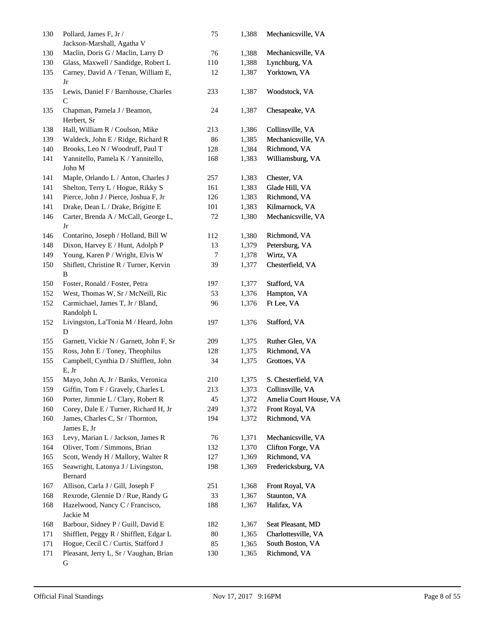| 130 | Pollard, James F, Jr /<br>Jackson-Marshall, Agatha V | 75     | 1,388 | Mechanicsville, VA     |
|-----|------------------------------------------------------|--------|-------|------------------------|
| 130 | Maclin, Doris G / Maclin, Larry D                    | 76     | 1,388 | Mechanicsville, VA     |
| 130 | Glass, Maxwell / Sandidge, Robert L                  | 110    | 1,388 | Lynchburg, VA          |
| 135 | Carney, David A / Tenan, William E,<br>Jr            | 12     | 1,387 | Yorktown, VA           |
| 135 | Lewis, Daniel F / Barnhouse, Charles<br>C            | 233    | 1,387 | Woodstock, VA          |
| 135 | Chapman, Pamela J / Beamon,<br>Herbert, Sr           | 24     | 1,387 | Chesapeake, VA         |
| 138 | Hall, William R / Coulson, Mike                      | 213    | 1,386 | Collinsville, VA       |
| 139 | Waldeck, John E / Ridge, Richard R                   | 86     | 1,385 | Mechanicsville, VA     |
| 140 | Brooks, Leo N / Woodruff, Paul T                     | 128    | 1,384 | Richmond, VA           |
| 141 | Yannitello, Pamela K / Yannitello,<br>John M         | 168    | 1,383 | Williamsburg, VA       |
| 141 | Maple, Orlando L / Anton, Charles J                  | 257    | 1,383 | Chester, VA            |
| 141 | Shelton, Terry L / Hogue, Rikky S                    | 161    | 1,383 | Glade Hill, VA         |
| 141 | Pierce, John J / Pierce, Joshua F, Jr                | 126    | 1,383 | Richmond, VA           |
| 141 | Drake, Dean L / Drake, Brigitte E                    | 101    | 1,383 | Kilmarnock, VA         |
| 146 | Carter, Brenda A / McCall, George L,<br>Jr           | 72     | 1,380 | Mechanicsville, VA     |
| 146 | Contarino, Joseph / Holland, Bill W                  | 112    | 1,380 | Richmond, VA           |
| 148 | Dixon, Harvey E / Hunt, Adolph P                     | 13     | 1,379 | Petersburg, VA         |
| 149 | Young, Karen P / Wright, Elvis W                     | 7      | 1,378 | Wirtz, VA              |
| 150 | Shiflett, Christine R / Turner, Kervin               | 39     | 1,377 | Chesterfield, VA       |
|     | B                                                    |        |       |                        |
| 150 | Foster, Ronald / Foster, Petra                       | 197    | 1,377 | Stafford, VA           |
| 152 | West, Thomas W, Sr / McNeill, Ric                    | 53     | 1,376 | Hampton, VA            |
| 152 | Carmichael, James T, Jr / Bland,<br>Randolph L       | 96     | 1,376 | Ft Lee, VA             |
| 152 | Livingston, La'Tonia M / Heard, John<br>D            | 197    | 1,376 | Stafford, VA           |
| 155 | Garnett, Vickie N / Garnett, John F, Sr              | 209    | 1,375 | Ruther Glen, VA        |
| 155 | Ross, John E / Toney, Theophilus                     | 128    | 1,375 | Richmond, VA           |
| 155 | Campbell, Cynthia D / Shifflett, John<br>E, Jr       | 34     | 1,375 | Grottoes, VA           |
| 155 | Mayo, John A, Jr / Banks, Veronica                   | 210    | 1,375 | S. Chesterfield, VA    |
| 159 | Giffin, Tom F / Gravely, Charles L                   | 213    | 1,373 | Collinsville, VA       |
| 160 | Porter, Jimmie L / Clary, Robert R                   | 45     | 1,372 | Amelia Court House, VA |
| 160 | Corey, Dale E / Turner, Richard H, Jr                | 249    | 1,372 | Front Royal, VA        |
| 160 | James, Charles C, Sr / Thornton,<br>James E, Jr      | 194    | 1,372 | Richmond, VA           |
| 163 | Levy, Marian L / Jackson, James R                    | 76     | 1,371 | Mechanicsville, VA     |
| 164 | Oliver, Tom / Simmons, Brian                         | 132    | 1,370 | Clifton Forge, VA      |
| 165 | Scott, Wendy H / Mallory, Walter R                   | 127    | 1,369 | Richmond, VA           |
| 165 | Seawright, Latonya J / Livingston,<br>Bernard        | 198    | 1,369 | Fredericksburg, VA     |
| 167 | Allison, Carla J / Gill, Joseph F                    | 251    | 1,368 | Front Royal, VA        |
| 168 | Rexrode, Glennie D / Rue, Randy G                    | 33     | 1,367 | Staunton, VA           |
| 168 | Hazelwood, Nancy C / Francisco,                      | 188    | 1,367 | Halifax, VA            |
| 168 | Jackie M<br>Barbour, Sidney P / Guill, David E       | 182    | 1,367 | Seat Pleasant, MD      |
| 171 | Shifflett, Peggy R / Shifflett, Edgar L              | $80\,$ | 1,365 | Charlottesville, VA    |
| 171 | Hogue, Cecil C / Curtis, Stafford J                  | 85     | 1,365 | South Boston, VA       |
| 171 | Pleasant, Jerry L, Sr / Vaughan, Brian               | 130    | 1,365 | Richmond, VA           |
|     | G                                                    |        |       |                        |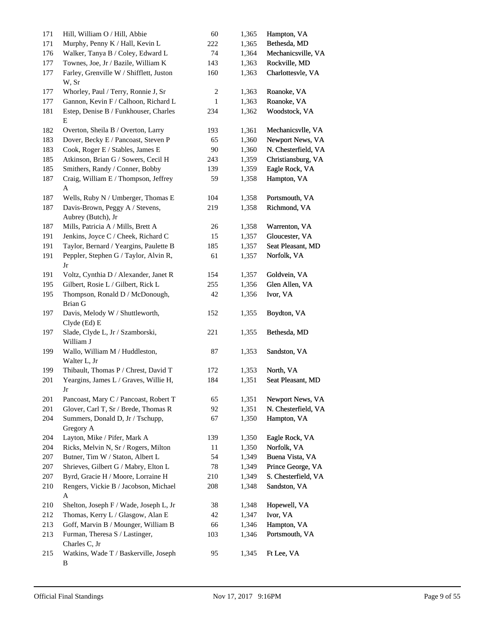| 171 | Hill, William O / Hill, Abbie                         | $60\,$                  | 1,365 | Hampton, VA         |
|-----|-------------------------------------------------------|-------------------------|-------|---------------------|
| 171 | Murphy, Penny K / Hall, Kevin L                       | 222                     | 1,365 | Bethesda, MD        |
| 176 | Walker, Tanya B / Coley, Edward L                     | 74                      | 1,364 | Mechanicsville, VA  |
| 177 | Townes, Joe, Jr / Bazile, William K                   | 143                     | 1,363 | Rockville, MD       |
| 177 | Farley, Grenville W / Shifflett, Juston<br>W, Sr      | 160                     | 1,363 | Charlottesvle, VA   |
| 177 | Whorley, Paul / Terry, Ronnie J, Sr                   | $\overline{\mathbf{c}}$ | 1,363 | Roanoke, VA         |
| 177 | Gannon, Kevin F / Calhoon, Richard L                  | $\mathbf{1}$            | 1,363 | Roanoke, VA         |
| 181 | Estep, Denise B / Funkhouser, Charles<br>E            | 234                     | 1,362 | Woodstock, VA       |
| 182 | Overton, Sheila B / Overton, Larry                    | 193                     | 1,361 | Mechanicsvlle, VA   |
| 183 | Dover, Becky E / Pancoast, Steven P                   | 65                      | 1,360 | Newport News, VA    |
| 183 | Cook, Roger E / Stables, James E                      | $90\,$                  | 1,360 | N. Chesterfield, VA |
| 185 | Atkinson, Brian G / Sowers, Cecil H                   | 243                     | 1,359 | Christiansburg, VA  |
| 185 | Smithers, Randy / Conner, Bobby                       | 139                     | 1,359 | Eagle Rock, VA      |
| 187 | Craig, William E / Thompson, Jeffrey<br>A             | 59                      | 1,358 | Hampton, VA         |
| 187 | Wells, Ruby N / Umberger, Thomas E                    | 104                     | 1,358 | Portsmouth, VA      |
| 187 | Davis-Brown, Peggy A / Stevens,<br>Aubrey (Butch), Jr | 219                     | 1,358 | Richmond, VA        |
| 187 | Mills, Patricia A / Mills, Brett A                    | 26                      | 1,358 | Warrenton, VA       |
| 191 | Jenkins, Joyce C / Cheek, Richard C                   | 15                      | 1,357 | Gloucester, VA      |
| 191 | Taylor, Bernard / Yeargins, Paulette B                | 185                     | 1,357 | Seat Pleasant, MD   |
| 191 | Peppler, Stephen G / Taylor, Alvin R,<br>Jr           | 61                      | 1,357 | Norfolk, VA         |
| 191 | Voltz, Cynthia D / Alexander, Janet R                 | 154                     | 1,357 | Goldvein, VA        |
| 195 | Gilbert, Rosie L / Gilbert, Rick L                    | 255                     | 1,356 | Glen Allen, VA      |
| 195 | Thompson, Ronald D / McDonough,<br><b>Brian G</b>     | 42                      | 1,356 | Ivor, VA            |
| 197 | Davis, Melody W / Shuttleworth,<br>Clyde (Ed) E       | 152                     | 1,355 | Boydton, VA         |
| 197 | Slade, Clyde L, Jr / Szamborski,<br>William J         | 221                     | 1,355 | Bethesda, MD        |
| 199 | Wallo, William M / Huddleston,<br>Walter L, Jr        | 87                      | 1,353 | Sandston, VA        |
| 199 | Thibault, Thomas P / Chrest, David T                  | 172                     | 1,353 | North, VA           |
| 201 | Yeargins, James L / Graves, Willie H,<br>Jr           | 184                     | 1,351 | Seat Pleasant, MD   |
| 201 | Pancoast, Mary C / Pancoast, Robert T                 | 65                      | 1,351 | Newport News, VA    |
| 201 | Glover, Carl T, Sr / Brede, Thomas R                  | 92                      | 1,351 | N. Chesterfield, VA |
| 204 | Summers, Donald D, Jr / Tschupp,<br>Gregory A         | 67                      | 1,350 | Hampton, VA         |
| 204 | Layton, Mike / Pifer, Mark A                          | 139                     | 1,350 | Eagle Rock, VA      |
| 204 | Ricks, Melvin N, Sr / Rogers, Milton                  | 11                      | 1,350 | Norfolk, VA         |
| 207 | Butner, Tim W / Staton, Albert L                      | 54                      | 1,349 | Buena Vista, VA     |
| 207 | Shrieves, Gilbert G / Mabry, Elton L                  | $78\,$                  | 1,349 | Prince George, VA   |
| 207 | Byrd, Gracie H / Moore, Lorraine H                    | 210                     | 1,349 | S. Chesterfield, VA |
| 210 | Rengers, Vickie B / Jacobson, Michael<br>A            | 208                     | 1,348 | Sandston, VA        |
| 210 | Shelton, Joseph F / Wade, Joseph L, Jr                | 38                      | 1,348 | Hopewell, VA        |
| 212 | Thomas, Kerry L / Glasgow, Alan E                     | $42\,$                  | 1,347 | Ivor, VA            |
| 213 | Goff, Marvin B / Mounger, William B                   | 66                      | 1,346 | Hampton, VA         |
| 213 | Furman, Theresa S / Lastinger,<br>Charles C, Jr       | 103                     | 1,346 | Portsmouth, VA      |
| 215 | Watkins, Wade T / Baskerville, Joseph<br>В            | 95                      | 1,345 | Ft Lee, VA          |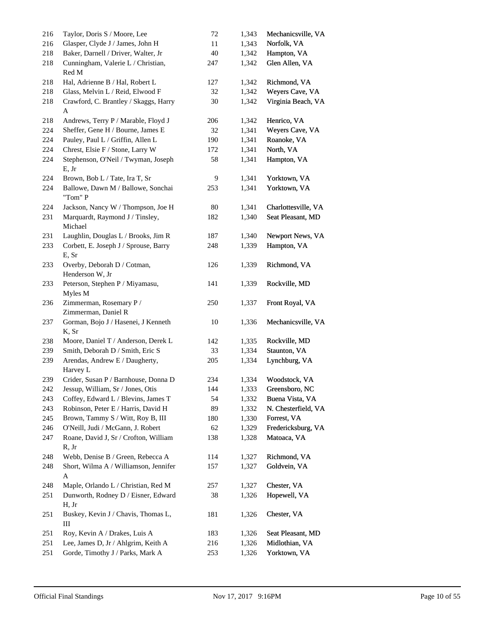| 216 | Taylor, Doris S / Moore, Lee                   | $72\,$ | 1,343 | Mechanicsville, VA  |
|-----|------------------------------------------------|--------|-------|---------------------|
| 216 | Glasper, Clyde J / James, John H               | 11     | 1,343 | Norfolk, VA         |
| 218 | Baker, Darnell / Driver, Walter, Jr            | 40     | 1,342 | Hampton, VA         |
| 218 | Cunningham, Valerie L / Christian,<br>Red M    | 247    | 1,342 | Glen Allen, VA      |
| 218 | Hal, Adrienne B / Hal, Robert L                | 127    | 1,342 | Richmond, VA        |
| 218 | Glass, Melvin L / Reid, Elwood F               | 32     | 1,342 | Weyers Cave, VA     |
| 218 | Crawford, C. Brantley / Skaggs, Harry<br>A     | 30     | 1,342 | Virginia Beach, VA  |
| 218 | Andrews, Terry P / Marable, Floyd J            | 206    | 1,342 | Henrico, VA         |
| 224 | Sheffer, Gene H / Bourne, James E              | 32     | 1,341 | Weyers Cave, VA     |
| 224 | Pauley, Paul L / Griffin, Allen L              | 190    | 1,341 | Roanoke, VA         |
| 224 | Chrest, Elsie F / Stone, Larry W               | 172    | 1,341 | North, VA           |
| 224 | Stephenson, O'Neil / Twyman, Joseph<br>E, Jr   | 58     | 1,341 | Hampton, VA         |
| 224 | Brown, Bob L / Tate, Ira T, Sr                 | 9      | 1,341 | Yorktown, VA        |
| 224 | Ballowe, Dawn M / Ballowe, Sonchai<br>"Tom" P  | 253    | 1,341 | Yorktown, VA        |
| 224 | Jackson, Nancy W / Thompson, Joe H             | 80     | 1,341 | Charlottesville, VA |
| 231 | Marquardt, Raymond J / Tinsley,<br>Michael     | 182    | 1,340 | Seat Pleasant, MD   |
| 231 | Laughlin, Douglas L / Brooks, Jim R            | 187    | 1,340 | Newport News, VA    |
| 233 | Corbett, E. Joseph J / Sprouse, Barry<br>E, Sr | 248    | 1,339 | Hampton, VA         |
| 233 | Overby, Deborah D / Cotman,<br>Henderson W, Jr | 126    | 1,339 | Richmond, VA        |
| 233 | Peterson, Stephen P / Miyamasu,<br>Myles M     | 141    | 1,339 | Rockville, MD       |
| 236 | Zimmerman, Rosemary P/<br>Zimmerman, Daniel R  | 250    | 1,337 | Front Royal, VA     |
| 237 | Gorman, Bojo J / Hasenei, J Kenneth<br>K, Sr   | 10     | 1,336 | Mechanicsville, VA  |
| 238 | Moore, Daniel T / Anderson, Derek L            | 142    | 1,335 | Rockville, MD       |
| 239 | Smith, Deborah D / Smith, Eric S               | 33     | 1,334 | Staunton, VA        |
| 239 | Arendas, Andrew E / Daugherty,<br>Harvey L     | 205    | 1,334 | Lynchburg, VA       |
| 239 | Crider, Susan P / Barnhouse, Donna D           | 234    | 1,334 | Woodstock, VA       |
| 242 | Jessup, William, Sr / Jones, Otis              | 144    | 1,333 | Greensboro, NC      |
| 243 | Coffey, Edward L / Blevins, James T            | 54     | 1,332 | Buena Vista, VA     |
| 243 | Robinson, Peter E / Harris, David H            | 89     | 1,332 | N. Chesterfield, VA |
| 245 | Brown, Tammy S / Witt, Roy B, III              | 180    | 1,330 | Forrest, VA         |
| 246 | O'Neill, Judi / McGann, J. Robert              | 62     | 1,329 | Fredericksburg, VA  |
| 247 | Roane, David J, Sr / Crofton, William<br>R, Jr | 138    | 1,328 | Matoaca, VA         |
| 248 | Webb, Denise B / Green, Rebecca A              | 114    | 1,327 | Richmond, VA        |
| 248 | Short, Wilma A / Williamson, Jennifer<br>A     | 157    | 1,327 | Goldvein, VA        |
| 248 | Maple, Orlando L / Christian, Red M            | 257    | 1,327 | Chester, VA         |
| 251 | Dunworth, Rodney D / Eisner, Edward<br>H, Jr   | 38     | 1,326 | Hopewell, VA        |
| 251 | Buskey, Kevin J / Chavis, Thomas L,<br>III     | 181    | 1,326 | Chester, VA         |
| 251 | Roy, Kevin A / Drakes, Luis A                  | 183    | 1,326 | Seat Pleasant, MD   |
| 251 | Lee, James D, Jr / Ahlgrim, Keith A            | 216    | 1,326 | Midlothian, VA      |
| 251 | Gorde, Timothy J / Parks, Mark A               | 253    | 1,326 | Yorktown, VA        |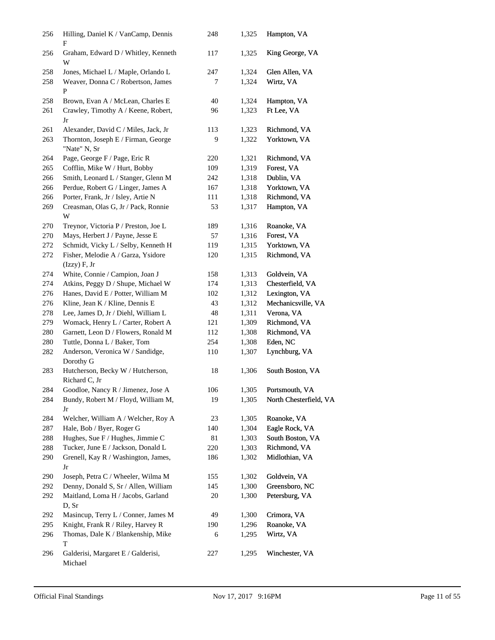| 256 | Hilling, Daniel K / VanCamp, Dennis<br>F            | 248 | 1,325 | Hampton, VA            |
|-----|-----------------------------------------------------|-----|-------|------------------------|
| 256 | Graham, Edward D / Whitley, Kenneth<br>W            | 117 | 1,325 | King George, VA        |
| 258 | Jones, Michael L / Maple, Orlando L                 | 247 | 1,324 | Glen Allen, VA         |
| 258 | Weaver, Donna C / Robertson, James<br>P             | 7   | 1,324 | Wirtz, VA              |
| 258 | Brown, Evan A / McLean, Charles E                   | 40  | 1,324 | Hampton, VA            |
| 261 | Crawley, Timothy A / Keene, Robert,<br>Jr           | 96  | 1,323 | Ft Lee, VA             |
| 261 | Alexander, David C / Miles, Jack, Jr                | 113 | 1,323 | Richmond, VA           |
| 263 | Thornton, Joseph E / Firman, George<br>"Nate" N, Sr | 9   | 1,322 | Yorktown, VA           |
| 264 | Page, George F / Page, Eric R                       | 220 | 1,321 | Richmond, VA           |
| 265 | Cofflin, Mike W / Hurt, Bobby                       | 109 | 1,319 | Forest, VA             |
| 266 | Smith, Leonard L / Stanger, Glenn M                 | 242 | 1,318 | Dublin, VA             |
| 266 | Perdue, Robert G / Linger, James A                  | 167 | 1,318 | Yorktown, VA           |
| 266 | Porter, Frank, Jr / Isley, Artie N                  | 111 | 1,318 | Richmond, VA           |
| 269 | Creasman, Olas G, Jr / Pack, Ronnie<br>W            | 53  | 1,317 | Hampton, VA            |
| 270 | Treynor, Victoria P / Preston, Joe L                | 189 | 1,316 | Roanoke, VA            |
| 270 | Mays, Herbert J / Payne, Jesse E                    | 57  | 1,316 | Forest, VA             |
| 272 | Schmidt, Vicky L / Selby, Kenneth H                 | 119 | 1,315 | Yorktown, VA           |
| 272 | Fisher, Melodie A / Garza, Ysidore<br>(Izzy) F, Jr  | 120 | 1,315 | Richmond, VA           |
| 274 | White, Connie / Campion, Joan J                     | 158 | 1,313 | Goldvein, VA           |
| 274 | Atkins, Peggy D / Shupe, Michael W                  | 174 | 1,313 | Chesterfield, VA       |
| 276 | Hanes, David E / Potter, William M                  | 102 | 1,312 | Lexington, VA          |
| 276 | Kline, Jean K / Kline, Dennis E                     | 43  | 1,312 | Mechanicsville, VA     |
| 278 | Lee, James D, Jr / Diehl, William L                 | 48  | 1,311 | Verona, VA             |
| 279 | Womack, Henry L / Carter, Robert A                  | 121 | 1,309 | Richmond, VA           |
| 280 | Garnett, Leon D / Flowers, Ronald M                 | 112 | 1,308 | Richmond, VA           |
| 280 | Tuttle, Donna L / Baker, Tom                        | 254 | 1,308 | Eden, NC               |
| 282 | Anderson, Veronica W / Sandidge,<br>Dorothy G       | 110 | 1,307 | Lynchburg, VA          |
| 283 | Hutcherson, Becky W / Hutcherson,<br>Richard C, Jr  | 18  | 1,306 | South Boston, VA       |
| 284 | Goodloe, Nancy R / Jimenez, Jose A                  | 106 | 1,305 | Portsmouth, VA         |
| 284 | Bundy, Robert M / Floyd, William M,<br>Jr           | 19  | 1,305 | North Chesterfield, VA |
| 284 | Welcher, William A / Welcher, Roy A                 | 23  | 1,305 | Roanoke, VA            |
| 287 | Hale, Bob / Byer, Roger G                           | 140 | 1,304 | Eagle Rock, VA         |
| 288 | Hughes, Sue F / Hughes, Jimmie C                    | 81  | 1,303 | South Boston, VA       |
| 288 | Tucker, June E / Jackson, Donald L                  | 220 | 1,303 | Richmond, VA           |
| 290 | Grenell, Kay R / Washington, James,<br>Jr           | 186 | 1,302 | Midlothian, VA         |
| 290 | Joseph, Petra C / Wheeler, Wilma M                  | 155 | 1,302 | Goldvein, VA           |
| 292 | Denny, Donald S, Sr / Allen, William                | 145 | 1,300 | Greensboro, NC         |
| 292 | Maitland, Loma H / Jacobs, Garland<br>D, Sr         | 20  | 1,300 | Petersburg, VA         |
| 292 | Masincup, Terry L / Conner, James M                 | 49  | 1,300 | Crimora, VA            |
| 295 | Knight, Frank R / Riley, Harvey R                   | 190 | 1,296 | Roanoke, VA            |
| 296 | Thomas, Dale K / Blankenship, Mike<br>T             | 6   | 1,295 | Wirtz, VA              |
| 296 | Galderisi, Margaret E / Galderisi,<br>Michael       | 227 | 1,295 | Winchester, VA         |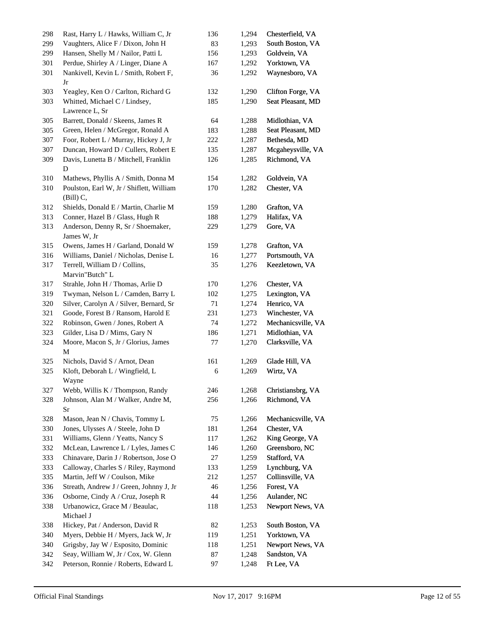| 298 | Rast, Harry L / Hawks, William C, Jr                    | 136 | 1,294 | Chesterfield, VA   |
|-----|---------------------------------------------------------|-----|-------|--------------------|
| 299 | Vaughters, Alice F / Dixon, John H                      | 83  | 1,293 | South Boston, VA   |
| 299 | Hansen, Shelly M / Nailor, Patti L                      | 156 | 1,293 | Goldvein, VA       |
| 301 | Perdue, Shirley A / Linger, Diane A                     | 167 | 1,292 | Yorktown, VA       |
| 301 | Nankivell, Kevin L / Smith, Robert F,<br>Jr             | 36  | 1,292 | Waynesboro, VA     |
| 303 | Yeagley, Ken O / Carlton, Richard G                     | 132 | 1,290 | Clifton Forge, VA  |
| 303 | Whitted, Michael C / Lindsey,<br>Lawrence L, Sr         | 185 | 1,290 | Seat Pleasant, MD  |
| 305 | Barrett, Donald / Skeens, James R                       | 64  | 1,288 | Midlothian, VA     |
| 305 | Green, Helen / McGregor, Ronald A                       | 183 | 1,288 | Seat Pleasant, MD  |
| 307 | Foor, Robert L / Murray, Hickey J, Jr                   | 222 | 1,287 | Bethesda, MD       |
| 307 | Duncan, Howard D / Cullers, Robert E                    | 135 | 1,287 | Mcgaheysville, VA  |
| 309 | Davis, Lunetta B / Mitchell, Franklin                   | 126 | 1,285 | Richmond, VA       |
|     | D                                                       |     |       |                    |
| 310 | Mathews, Phyllis A / Smith, Donna M                     | 154 | 1,282 | Goldvein, VA       |
| 310 | Poulston, Earl W, Jr / Shiflett, William<br>$(Bill)$ C, | 170 | 1,282 | Chester, VA        |
| 312 | Shields, Donald E / Martin, Charlie M                   | 159 | 1,280 | Grafton, VA        |
| 313 | Conner, Hazel B / Glass, Hugh R                         | 188 | 1,279 | Halifax, VA        |
| 313 | Anderson, Denny R, Sr / Shoemaker,<br>James W, Jr       | 229 | 1,279 | Gore, VA           |
| 315 | Owens, James H / Garland, Donald W                      | 159 | 1,278 | Grafton, VA        |
| 316 | Williams, Daniel / Nicholas, Denise L                   | 16  | 1,277 | Portsmouth, VA     |
| 317 | Terrell, William D / Collins,<br>Marvin"Butch" L        | 35  | 1,276 | Keezletown, VA     |
| 317 | Strahle, John H / Thomas, Arlie D                       | 170 | 1,276 | Chester, VA        |
| 319 | Twyman, Nelson L / Camden, Barry L                      | 102 | 1,275 | Lexington, VA      |
| 320 | Silver, Carolyn A / Silver, Bernard, Sr                 | 71  | 1,274 | Henrico, VA        |
| 321 | Goode, Forest B / Ransom, Harold E                      | 231 | 1,273 | Winchester, VA     |
| 322 | Robinson, Gwen / Jones, Robert A                        | 74  | 1,272 | Mechanicsville, VA |
| 323 | Gilder, Lisa D / Mims, Gary N                           | 186 | 1,271 | Midlothian, VA     |
| 324 | Moore, Macon S, Jr / Glorius, James<br>М                | 77  | 1,270 | Clarksville, VA    |
| 325 | Nichols, David S / Arnot, Dean                          | 161 | 1,269 | Glade Hill, VA     |
| 325 | Kloft, Deborah L / Wingfield, L<br>Wayne                | 6   | 1,269 | Wirtz, VA          |
| 327 | Webb, Willis K / Thompson, Randy                        | 246 | 1,268 | Christiansbrg, VA  |
| 328 | Johnson, Alan M / Walker, Andre M,<br>Sr                | 256 | 1,266 | Richmond, VA       |
| 328 | Mason, Jean N / Chavis, Tommy L                         | 75  | 1,266 | Mechanicsville, VA |
| 330 | Jones, Ulysses A / Steele, John D                       | 181 | 1,264 | Chester, VA        |
| 331 | Williams, Glenn / Yeatts, Nancy S                       | 117 | 1,262 | King George, VA    |
| 332 | McLean, Lawrence L / Lyles, James C                     | 146 | 1,260 | Greensboro, NC     |
| 333 | Chinavare, Darin J / Robertson, Jose O                  | 27  | 1,259 | Stafford, VA       |
| 333 | Calloway, Charles S / Riley, Raymond                    | 133 | 1,259 | Lynchburg, VA      |
| 335 | Martin, Jeff W / Coulson, Mike                          | 212 | 1,257 | Collinsville, VA   |
| 336 | Streath, Andrew J / Green, Johnny J, Jr                 | 46  | 1,256 | Forest, VA         |
| 336 | Osborne, Cindy A / Cruz, Joseph R                       | 44  | 1,256 | Aulander, NC       |
| 338 | Urbanowicz, Grace M / Beaulac,<br>Michael J             | 118 | 1,253 | Newport News, VA   |
| 338 | Hickey, Pat / Anderson, David R                         | 82  | 1,253 | South Boston, VA   |
| 340 | Myers, Debbie H / Myers, Jack W, Jr                     | 119 | 1,251 | Yorktown, VA       |
| 340 | Grigsby, Jay W / Esposito, Dominic                      | 118 | 1,251 | Newport News, VA   |
| 342 | Seay, William W, Jr / Cox, W. Glenn                     | 87  | 1,248 | Sandston, VA       |
| 342 | Peterson, Ronnie / Roberts, Edward L                    | 97  | 1,248 | Ft Lee, VA         |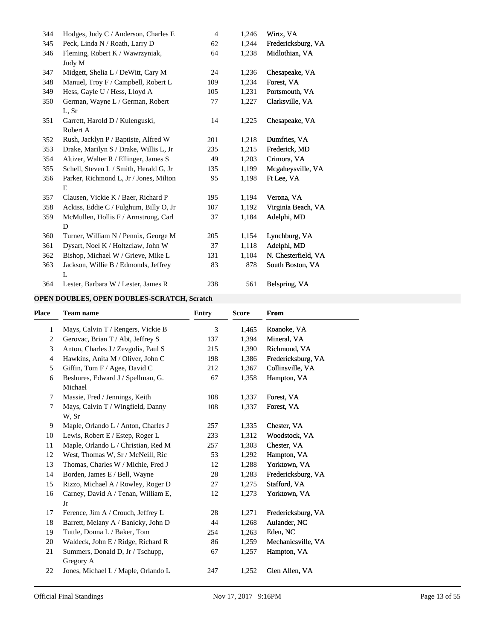| 344 | Hodges, Judy C / Anderson, Charles E   | 4   | 1,246 | Wirtz, VA           |
|-----|----------------------------------------|-----|-------|---------------------|
| 345 | Peck, Linda N / Roath, Larry D         | 62  | 1,244 | Fredericksburg, VA  |
| 346 | Fleming, Robert K / Wawrzyniak,        | 64  | 1,238 | Midlothian, VA      |
|     | Judy M                                 |     |       |                     |
| 347 | Midgett, Shelia L / DeWitt, Cary M     | 24  | 1,236 | Chesapeake, VA      |
| 348 | Manuel, Troy F / Campbell, Robert L    | 109 | 1,234 | Forest, VA          |
| 349 | Hess, Gayle U / Hess, Lloyd A          | 105 | 1,231 | Portsmouth, VA      |
| 350 | German, Wayne L / German, Robert       | 77  | 1,227 | Clarksville, VA     |
|     | L, Sr                                  |     |       |                     |
| 351 | Garrett, Harold D / Kulenguski,        | 14  | 1,225 | Chesapeake, VA      |
|     | Robert A                               |     |       |                     |
| 352 | Rush, Jacklyn P / Baptiste, Alfred W   | 201 | 1,218 | Dumfries, VA        |
| 353 | Drake, Marilyn S / Drake, Willis L, Jr | 235 | 1,215 | Frederick, MD       |
| 354 | Altizer, Walter R / Ellinger, James S  | 49  | 1,203 | Crimora, VA         |
| 355 | Schell, Steven L / Smith, Herald G, Jr | 135 | 1,199 | Mcgaheysville, VA   |
| 356 | Parker, Richmond L, Jr / Jones, Milton | 95  | 1,198 | Ft Lee, VA          |
|     | Ε                                      |     |       |                     |
| 357 | Clausen, Vickie K / Baer, Richard P    | 195 | 1,194 | Verona, VA          |
| 358 | Ackiss, Eddie C / Fulghum, Billy O, Jr | 107 | 1,192 | Virginia Beach, VA  |
| 359 | McMullen, Hollis F / Armstrong, Carl   | 37  | 1,184 | Adelphi, MD         |
|     | D                                      |     |       |                     |
| 360 | Turner, William N / Pennix, George M   | 205 | 1,154 | Lynchburg, VA       |
| 361 | Dysart, Noel K / Holtzclaw, John W     | 37  | 1,118 | Adelphi, MD         |
| 362 | Bishop, Michael W / Grieve, Mike L     | 131 | 1,104 | N. Chesterfield, VA |
| 363 | Jackson, Willie B / Edmonds, Jeffrey   | 83  | 878   | South Boston, VA    |
|     | L                                      |     |       |                     |
| 364 | Lester, Barbara W / Lester, James R    | 238 | 561   | Belspring, VA       |

## **OPEN DOUBLES, OPEN DOUBLES-SCRATCH, Scratch**

| <b>Place</b> | <b>Team name</b>                    | <b>Entry</b> | <b>Score</b> | <b>From</b>        |
|--------------|-------------------------------------|--------------|--------------|--------------------|
| 1            | Mays, Calvin T / Rengers, Vickie B  | 3            | 1,465        | Roanoke, VA        |
| 2            | Gerovac, Brian T / Abt, Jeffrey S   | 137          | 1,394        | Mineral, VA        |
| 3            | Anton, Charles J / Zevgolis, Paul S | 215          | 1,390        | Richmond, VA       |
| 4            | Hawkins, Anita M / Oliver, John C   | 198          | 1,386        | Fredericksburg, VA |
| 5            | Giffin, Tom F / Agee, David C       | 212          | 1,367        | Collinsville, VA   |
| 6            | Beshures, Edward J / Spellman, G.   | 67           | 1,358        | Hampton, VA        |
|              | Michael                             |              |              |                    |
| 7            | Massie, Fred / Jennings, Keith      | 108          | 1,337        | Forest, VA         |
| 7            | Mays, Calvin T / Wingfield, Danny   | 108          | 1,337        | Forest, VA         |
|              | W, Sr                               |              |              |                    |
| 9            | Maple, Orlando L / Anton, Charles J | 257          | 1,335        | Chester, VA        |
| 10           | Lewis, Robert E / Estep, Roger L    | 233          | 1,312        | Woodstock, VA      |
| 11           | Maple, Orlando L / Christian, Red M | 257          | 1,303        | Chester, VA        |
| 12           | West, Thomas W, Sr / McNeill, Ric   | 53           | 1,292        | Hampton, VA        |
| 13           | Thomas, Charles W / Michie, Fred J  | 12           | 1,288        | Yorktown, VA       |
| 14           | Borden, James E / Bell, Wayne       | 28           | 1,283        | Fredericksburg, VA |
| 15           | Rizzo, Michael A / Rowley, Roger D  | 27           | 1,275        | Stafford, VA       |
| 16           | Carney, David A / Tenan, William E, | 12           | 1,273        | Yorktown, VA       |
|              | Jr                                  |              |              |                    |
| 17           | Ference, Jim A / Crouch, Jeffrey L  | 28           | 1,271        | Fredericksburg, VA |
| 18           | Barrett, Melany A / Banicky, John D | 44           | 1,268        | Aulander, NC       |
| 19           | Tuttle, Donna L / Baker, Tom        | 254          | 1,263        | Eden, NC           |
| 20           | Waldeck, John E / Ridge, Richard R  | 86           | 1,259        | Mechanicsville, VA |
| 21           | Summers, Donald D, Jr / Tschupp,    | 67           | 1,257        | Hampton, VA        |
|              | Gregory A                           |              |              |                    |
| 22           | Jones, Michael L / Maple, Orlando L | 247          | 1,252        | Glen Allen, VA     |
|              |                                     |              |              |                    |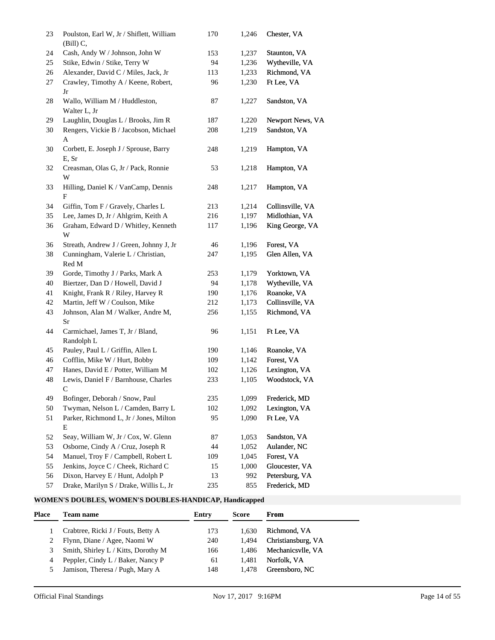| 23 | Poulston, Earl W, Jr / Shiflett, William<br>$(Bill)$ C, | 170 | 1,246 | Chester, VA      |
|----|---------------------------------------------------------|-----|-------|------------------|
| 24 | Cash, Andy W / Johnson, John W                          | 153 | 1,237 | Staunton, VA     |
| 25 | Stike, Edwin / Stike, Terry W                           | 94  | 1,236 | Wytheville, VA   |
| 26 | Alexander, David C / Miles, Jack, Jr                    | 113 | 1,233 | Richmond, VA     |
| 27 | Crawley, Timothy A / Keene, Robert,<br>Jr               | 96  | 1,230 | Ft Lee, VA       |
| 28 | Wallo, William M / Huddleston,<br>Walter L, Jr          | 87  | 1,227 | Sandston, VA     |
| 29 | Laughlin, Douglas L / Brooks, Jim R                     | 187 | 1,220 | Newport News, VA |
| 30 | Rengers, Vickie B / Jacobson, Michael<br>A              | 208 | 1,219 | Sandston, VA     |
| 30 | Corbett, E. Joseph J / Sprouse, Barry<br>E, Sr          | 248 | 1,219 | Hampton, VA      |
| 32 | Creasman, Olas G, Jr / Pack, Ronnie<br>W                | 53  | 1,218 | Hampton, VA      |
| 33 | Hilling, Daniel K / VanCamp, Dennis<br>F                | 248 | 1,217 | Hampton, VA      |
| 34 | Giffin, Tom F / Gravely, Charles L                      | 213 | 1,214 | Collinsville, VA |
| 35 | Lee, James D, Jr / Ahlgrim, Keith A                     | 216 | 1,197 | Midlothian, VA   |
| 36 | Graham, Edward D / Whitley, Kenneth<br>W                | 117 | 1,196 | King George, VA  |
| 36 | Streath, Andrew J / Green, Johnny J, Jr                 | 46  | 1,196 | Forest, VA       |
| 38 | Cunningham, Valerie L / Christian,                      | 247 | 1,195 | Glen Allen, VA   |
|    | Red M                                                   |     |       |                  |
| 39 | Gorde, Timothy J / Parks, Mark A                        | 253 | 1,179 | Yorktown, VA     |
| 40 | Biertzer, Dan D / Howell, David J                       | 94  | 1,178 | Wytheville, VA   |
| 41 | Knight, Frank R / Riley, Harvey R                       | 190 | 1,176 | Roanoke, VA      |
| 42 | Martin, Jeff W / Coulson, Mike                          | 212 | 1,173 | Collinsville, VA |
| 43 | Johnson, Alan M / Walker, Andre M,                      | 256 | 1,155 | Richmond, VA     |
|    | Sr                                                      |     |       |                  |
| 44 | Carmichael, James T, Jr / Bland,                        | 96  | 1,151 | Ft Lee, VA       |
|    | Randolph L                                              |     |       |                  |
| 45 | Pauley, Paul L / Griffin, Allen L                       | 190 | 1,146 | Roanoke, VA      |
| 46 | Cofflin, Mike W / Hurt, Bobby                           | 109 | 1,142 | Forest, VA       |
| 47 | Hanes, David E / Potter, William M                      | 102 | 1,126 | Lexington, VA    |
| 48 | Lewis, Daniel F / Barnhouse, Charles<br>C               | 233 | 1,105 | Woodstock, VA    |
| 49 | Bofinger, Deborah / Snow, Paul                          | 235 | 1,099 | Frederick, MD    |
| 50 | Twyman, Nelson L / Camden, Barry L                      | 102 | 1,092 | Lexington, VA    |
| 51 | Parker, Richmond L, Jr / Jones, Milton<br>E             | 95  | 1,090 | Ft Lee, VA       |
| 52 | Seay, William W, Jr / Cox, W. Glenn                     | 87  | 1,053 | Sandston, VA     |
| 53 | Osborne, Cindy A / Cruz, Joseph R                       | 44  | 1,052 | Aulander, NC     |
| 54 | Manuel, Troy F / Campbell, Robert L                     | 109 | 1,045 | Forest, VA       |
| 55 | Jenkins, Joyce C / Cheek, Richard C                     | 15  | 1,000 | Gloucester, VA   |
| 56 | Dixon, Harvey E / Hunt, Adolph P                        | 13  | 992   | Petersburg, VA   |
| 57 | Drake, Marilyn S / Drake, Willis L, Jr                  | 235 | 855   | Frederick, MD    |

# **WOMEN'S DOUBLES, WOMEN'S DOUBLES-HANDICAP, Handicapped**

| Place | Team name                           | Entry | <b>Score</b> | <b>From</b>        |
|-------|-------------------------------------|-------|--------------|--------------------|
|       | Crabtree, Ricki J / Fouts, Betty A  | 173   | 1.630        | Richmond, VA       |
|       | Flynn, Diane / Agee, Naomi W        | 240   | 1.494        | Christiansburg, VA |
|       | Smith, Shirley L / Kitts, Dorothy M | 166   | 1.486        | Mechanicsvlle, VA  |
| 4     | Peppler, Cindy L / Baker, Nancy P   | 61    | 1.481        | Norfolk, VA        |
|       | Jamison, Theresa / Pugh, Mary A     | 148   | 1.478        | Greensboro, NC     |
|       |                                     |       |              |                    |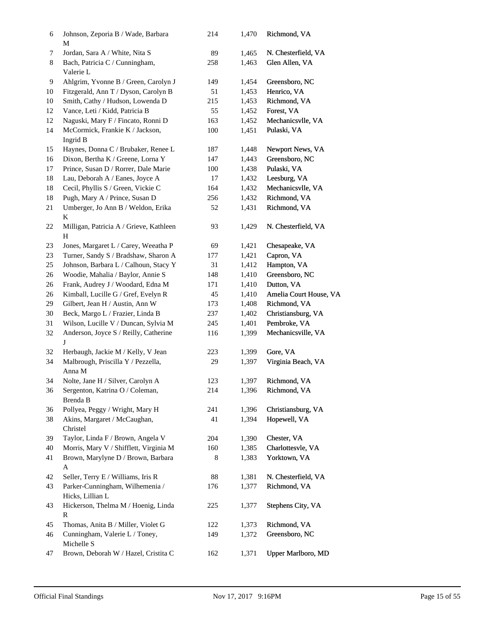| 6  | Johnson, Zeporia B / Wade, Barbara<br>М             | 214 | 1,470 | Richmond, VA           |
|----|-----------------------------------------------------|-----|-------|------------------------|
| 7  | Jordan, Sara A / White, Nita S                      | 89  | 1,465 | N. Chesterfield, VA    |
| 8  | Bach, Patricia C / Cunningham,<br>Valerie L         | 258 | 1,463 | Glen Allen, VA         |
| 9  | Ahlgrim, Yvonne B / Green, Carolyn J                | 149 | 1,454 | Greensboro, NC         |
| 10 | Fitzgerald, Ann T / Dyson, Carolyn B                | 51  | 1,453 | Henrico, VA            |
| 10 | Smith, Cathy / Hudson, Lowenda D                    | 215 | 1,453 | Richmond, VA           |
| 12 | Vance, Leti / Kidd, Patricia B                      | 55  | 1,452 | Forest, VA             |
| 12 | Naguski, Mary F / Fincato, Ronni D                  | 163 | 1,452 | Mechanicsvlle, VA      |
| 14 | McCormick, Frankie K / Jackson,<br>Ingrid B         | 100 | 1,451 | Pulaski, VA            |
| 15 | Haynes, Donna C / Brubaker, Renee L                 | 187 | 1,448 | Newport News, VA       |
| 16 | Dixon, Bertha K / Greene, Lorna Y                   | 147 | 1,443 | Greensboro, NC         |
| 17 | Prince, Susan D / Rorrer, Dale Marie                | 100 | 1,438 | Pulaski, VA            |
| 18 | Lau, Deborah A / Eanes, Joyce A                     | 17  | 1,432 | Leesburg, VA           |
| 18 | Cecil, Phyllis S / Green, Vickie C                  | 164 | 1,432 | Mechanicsvlle, VA      |
| 18 | Pugh, Mary A / Prince, Susan D                      | 256 | 1,432 | Richmond, VA           |
| 21 | Umberger, Jo Ann B / Weldon, Erika<br>K             | 52  | 1,431 | Richmond, VA           |
| 22 | Milligan, Patricia A / Grieve, Kathleen<br>Η        | 93  | 1,429 | N. Chesterfield, VA    |
| 23 | Jones, Margaret L / Carey, Weeatha P                | 69  | 1,421 | Chesapeake, VA         |
| 23 | Turner, Sandy S / Bradshaw, Sharon A                | 177 | 1,421 | Capron, VA             |
| 25 | Johnson, Barbara L / Calhoun, Stacy Y               | 31  | 1,412 | Hampton, VA            |
| 26 | Woodie, Mahalia / Baylor, Annie S                   | 148 | 1,410 | Greensboro, NC         |
| 26 | Frank, Audrey J / Woodard, Edna M                   | 171 | 1,410 | Dutton, VA             |
| 26 | Kimball, Lucille G / Gref, Evelyn R                 | 45  | 1,410 | Amelia Court House, VA |
| 29 | Gilbert, Jean H / Austin, Ann W                     | 173 | 1,408 | Richmond, VA           |
| 30 | Beck, Margo L / Frazier, Linda B                    | 237 | 1,402 | Christiansburg, VA     |
| 31 | Wilson, Lucille V / Duncan, Sylvia M                | 245 | 1,401 | Pembroke, VA           |
| 32 | Anderson, Joyce S / Reilly, Catherine<br>J          | 116 | 1,399 | Mechanicsville, VA     |
| 32 | Herbaugh, Jackie M / Kelly, V Jean                  | 223 | 1,399 | Gore, VA               |
| 34 | Malbrough, Priscilla Y / Pezzella,<br>Anna M        | 29  | 1,397 | Virginia Beach, VA     |
| 34 | Nolte, Jane H / Silver, Carolyn A                   | 123 | 1,397 | Richmond, VA           |
| 36 | Sergenton, Katrina O / Coleman,<br>Brenda B         | 214 | 1,396 | Richmond, VA           |
| 36 | Pollyea, Peggy / Wright, Mary H                     | 241 | 1,396 | Christiansburg, VA     |
| 38 | Akins, Margaret / McCaughan,<br>Christel            | 41  | 1,394 | Hopewell, VA           |
| 39 | Taylor, Linda F / Brown, Angela V                   | 204 | 1,390 | Chester, VA            |
| 40 | Morris, Mary V / Shifflett, Virginia M              | 160 | 1,385 | Charlottesvle, VA      |
| 41 | Brown, Marylyne D / Brown, Barbara<br>A             | 8   | 1,383 | Yorktown, VA           |
| 42 | Seller, Terry E / Williams, Iris R                  | 88  | 1,381 | N. Chesterfield, VA    |
| 43 | Parker-Cunningham, Wilhemenia /<br>Hicks, Lillian L | 176 | 1,377 | Richmond, VA           |
| 43 | Hickerson, Thelma M / Hoenig, Linda<br>$\mathbb{R}$ | 225 | 1,377 | Stephens City, VA      |
| 45 | Thomas, Anita B / Miller, Violet G                  | 122 | 1,373 | Richmond, VA           |
| 46 | Cunningham, Valerie L / Toney,<br>Michelle S        | 149 | 1,372 | Greensboro, NC         |
| 47 | Brown, Deborah W / Hazel, Cristita C                | 162 | 1,371 | Upper Marlboro, MD     |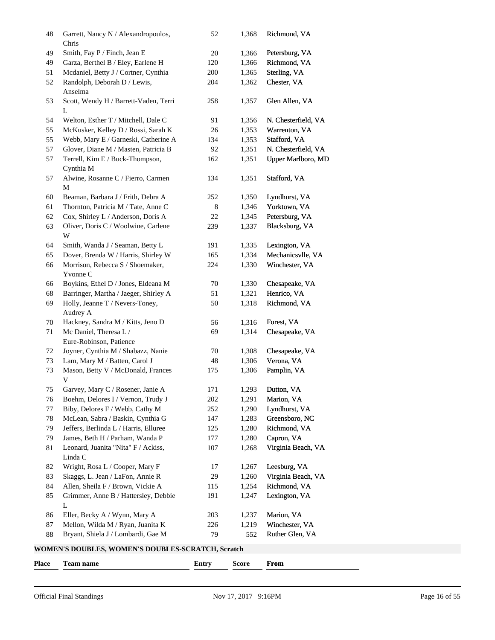| 48 | Garrett, Nancy N / Alexandropoulos,<br>Chris          | 52  | 1,368 | Richmond, VA        |  |  |  |  |
|----|-------------------------------------------------------|-----|-------|---------------------|--|--|--|--|
| 49 | Smith, Fay P / Finch, Jean E                          | 20  | 1,366 | Petersburg, VA      |  |  |  |  |
| 49 | Garza, Berthel B / Eley, Earlene H                    | 120 | 1,366 | Richmond, VA        |  |  |  |  |
| 51 | Mcdaniel, Betty J / Cortner, Cynthia                  | 200 | 1,365 | Sterling, VA        |  |  |  |  |
| 52 | Randolph, Deborah D / Lewis,                          | 204 | 1,362 | Chester, VA         |  |  |  |  |
| 53 | Anselma<br>Scott, Wendy H / Barrett-Vaden, Terri<br>L | 258 | 1,357 | Glen Allen, VA      |  |  |  |  |
| 54 | Welton, Esther T / Mitchell, Dale C                   | 91  | 1,356 | N. Chesterfield, VA |  |  |  |  |
| 55 | McKusker, Kelley D / Rossi, Sarah K                   | 26  | 1,353 | Warrenton, VA       |  |  |  |  |
| 55 | Webb, Mary E / Garneski, Catherine A                  | 134 | 1,353 | Stafford, VA        |  |  |  |  |
| 57 | Glover, Diane M / Masten, Patricia B                  | 92  | 1,351 | N. Chesterfield, VA |  |  |  |  |
| 57 | Terrell, Kim E / Buck-Thompson,                       | 162 | 1,351 | Upper Marlboro, MD  |  |  |  |  |
|    | Cynthia M                                             |     |       |                     |  |  |  |  |
| 57 | Alwine, Rosanne C / Fierro, Carmen<br>M               | 134 | 1,351 | Stafford, VA        |  |  |  |  |
| 60 | Beaman, Barbara J / Frith, Debra A                    | 252 | 1,350 | Lyndhurst, VA       |  |  |  |  |
| 61 | Thornton, Patricia M / Tate, Anne C                   | 8   | 1,346 | Yorktown, VA        |  |  |  |  |
| 62 | Cox, Shirley L / Anderson, Doris A                    | 22  | 1,345 | Petersburg, VA      |  |  |  |  |
| 63 | Oliver, Doris C / Woolwine, Carlene                   | 239 | 1,337 | Blacksburg, VA      |  |  |  |  |
|    | W                                                     |     |       |                     |  |  |  |  |
| 64 | Smith, Wanda J / Seaman, Betty L                      | 191 | 1,335 | Lexington, VA       |  |  |  |  |
| 65 | Dover, Brenda W / Harris, Shirley W                   | 165 | 1,334 | Mechanicsvlle, VA   |  |  |  |  |
| 66 | Morrison, Rebecca S / Shoemaker,                      | 224 | 1,330 | Winchester, VA      |  |  |  |  |
|    | Yvonne C                                              |     |       |                     |  |  |  |  |
| 66 | Boykins, Ethel D / Jones, Eldeana M                   | 70  | 1,330 | Chesapeake, VA      |  |  |  |  |
| 68 | Barringer, Martha / Jaeger, Shirley A                 | 51  | 1,321 | Henrico, VA         |  |  |  |  |
| 69 | Holly, Jeanne T / Nevers-Toney,                       | 50  | 1,318 | Richmond, VA        |  |  |  |  |
|    | Audrey A                                              |     |       |                     |  |  |  |  |
| 70 | Hackney, Sandra M / Kitts, Jeno D                     | 56  | 1,316 | Forest, VA          |  |  |  |  |
| 71 | Mc Daniel, Theresa L /                                | 69  | 1,314 | Chesapeake, VA      |  |  |  |  |
|    | Eure-Robinson, Patience                               |     |       |                     |  |  |  |  |
| 72 | Joyner, Cynthia M / Shabazz, Nanie                    | 70  | 1,308 | Chesapeake, VA      |  |  |  |  |
| 73 | Lam, Mary M / Batten, Carol J                         | 48  | 1,306 | Verona, VA          |  |  |  |  |
| 73 | Mason, Betty V / McDonald, Frances                    | 175 | 1,306 | Pamplin, VA         |  |  |  |  |
|    | V                                                     |     |       |                     |  |  |  |  |
| 75 | Garvey, Mary C / Rosener, Janie A                     | 171 |       | 1,293 Dutton, VA    |  |  |  |  |
| 76 | Boehm, Delores I / Vernon, Trudy J                    | 202 | 1,291 | Marion, VA          |  |  |  |  |
| 77 | Biby, Delores F / Webb, Cathy M                       | 252 | 1,290 | Lyndhurst, VA       |  |  |  |  |
| 78 | McLean, Sabra / Baskin, Cynthia G                     | 147 | 1,283 | Greensboro, NC      |  |  |  |  |
| 79 | Jeffers, Berlinda L / Harris, Elluree                 | 125 | 1,280 | Richmond, VA        |  |  |  |  |
| 79 | James, Beth H / Parham, Wanda P                       | 177 | 1,280 | Capron, VA          |  |  |  |  |
| 81 | Leonard, Juanita "Nita" F / Ackiss,<br>Linda C        | 107 | 1,268 | Virginia Beach, VA  |  |  |  |  |
| 82 | Wright, Rosa L / Cooper, Mary F                       | 17  | 1,267 | Leesburg, VA        |  |  |  |  |
| 83 | Skaggs, L. Jean / LaFon, Annie R                      | 29  | 1,260 | Virginia Beach, VA  |  |  |  |  |
| 84 | Allen, Sheila F / Brown, Vickie A                     | 115 | 1,254 | Richmond, VA        |  |  |  |  |
| 85 | Grimmer, Anne B / Hattersley, Debbie                  | 191 | 1,247 | Lexington, VA       |  |  |  |  |
|    | L                                                     |     |       |                     |  |  |  |  |
| 86 | Eller, Becky A / Wynn, Mary A                         | 203 | 1,237 | Marion, VA          |  |  |  |  |
| 87 | Mellon, Wilda M / Ryan, Juanita K                     | 226 | 1,219 | Winchester, VA      |  |  |  |  |
| 88 | Bryant, Shiela J / Lombardi, Gae M                    | 79  | 552   | Ruther Glen, VA     |  |  |  |  |
|    | WOMEN'S DOUBLES, WOMEN'S DOUBLES-SCRATCH, Scratch     |     |       |                     |  |  |  |  |

| <b>Place</b> | ream name | ுப்பட | core | From |
|--------------|-----------|-------|------|------|
|              |           |       |      |      |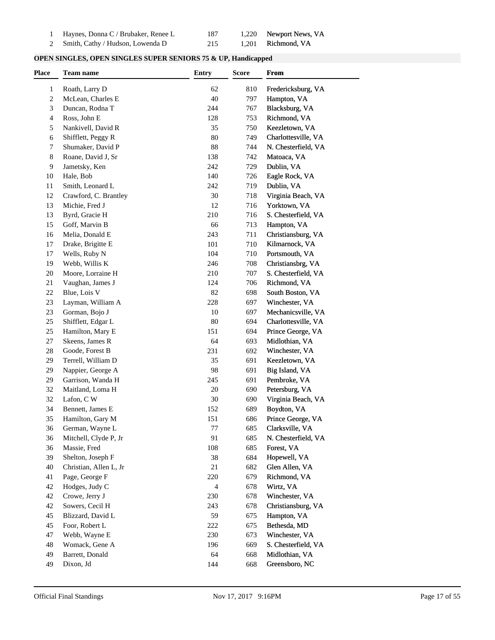| Haynes, Donna C / Brubaker, Renee L |  | 1,220 Newport News, VA |
|-------------------------------------|--|------------------------|
| 2 Smith, Cathy / Hudson, Lowenda D  |  | 1,201 Richmond, VA     |

| <b>OPEN SINGLES, OPEN SINGLES SUPER SENIORS 75 &amp; UP, Handicapped</b> |  |
|--------------------------------------------------------------------------|--|
|--------------------------------------------------------------------------|--|

| Place | <b>Team name</b>       | <b>Entry</b>   | <b>Score</b> | From                |
|-------|------------------------|----------------|--------------|---------------------|
| 1     | Roath, Larry D         | 62             | 810          | Fredericksburg, VA  |
| 2     | McLean, Charles E      | 40             | 797          | Hampton, VA         |
| 3     | Duncan, Rodna T        | 244            | 767          | Blacksburg, VA      |
| 4     | Ross, John E           | 128            | 753          | Richmond, VA        |
| 5     | Nankivell, David R     | 35             | 750          | Keezletown, VA      |
| 6     | Shifflett, Peggy R     | 80             | 749          | Charlottesville, VA |
| 7     | Shumaker, David P      | 88             | 744          | N. Chesterfield, VA |
| 8     | Roane, David J, Sr     | 138            | 742          | Matoaca, VA         |
| 9     | Jametsky, Ken          | 242            | 729          | Dublin, VA          |
|       | Hale, Bob              | 140            | 726          |                     |
| 10    |                        |                |              | Eagle Rock, VA      |
| 11    | Smith, Leonard L       | 242            | 719          | Dublin, VA          |
| 12    | Crawford, C. Brantley  | 30             | 718          | Virginia Beach, VA  |
| 13    | Michie, Fred J         | 12             | 716          | Yorktown, VA        |
| 13    | Byrd, Gracie H         | 210            | 716          | S. Chesterfield, VA |
| 15    | Goff, Marvin B         | 66             | 713          | Hampton, VA         |
| 16    | Melia, Donald E        | 243            | 711          | Christiansburg, VA  |
| 17    | Drake, Brigitte E      | 101            | 710          | Kilmarnock, VA      |
| 17    | Wells, Ruby N          | 104            | 710          | Portsmouth, VA      |
| 19    | Webb, Willis K         | 246            | 708          | Christiansbrg, VA   |
| 20    | Moore, Lorraine H      | 210            | 707          | S. Chesterfield, VA |
| 21    | Vaughan, James J       | 124            | 706          | Richmond, VA        |
| 22    | Blue, Lois V           | 82             | 698          | South Boston, VA    |
| 23    | Layman, William A      | 228            | 697          | Winchester, VA      |
| 23    | Gorman, Bojo J         | 10             | 697          | Mechanicsville, VA  |
| 25    | Shifflett, Edgar L     | 80             | 694          | Charlottesville, VA |
| 25    | Hamilton, Mary E       | 151            | 694          | Prince George, VA   |
| 27    | Skeens, James R        | 64             | 693          | Midlothian, VA      |
| 28    | Goode, Forest B        | 231            | 692          | Winchester, VA      |
| 29    | Terrell, William D     | 35             | 691          | Keezletown, VA      |
| 29    | Nappier, George A      | 98             | 691          | Big Island, VA      |
| 29    | Garrison, Wanda H      | 245            | 691          | Pembroke, VA        |
| 32    | Maitland, Loma H       | 20             | 690          | Petersburg, VA      |
| 32    | Lafon, C W             | 30             | 690          | Virginia Beach, VA  |
| 34    | Bennett, James E       | 152            | 689          | Boydton, VA         |
| 35    | Hamilton, Gary M       | 151            | 686          | Prince George, VA   |
| 36    | German, Wayne L        | 77             | 685          | Clarksville, VA     |
| 36    | Mitchell, Clyde P, Jr  | 91             | 685          | N. Chesterfield, VA |
| 36    | Massie, Fred           | 108            | 685          | Forest, VA          |
| 39    | Shelton, Joseph F      | 38             | 684          | Hopewell, VA        |
| 40    | Christian, Allen L, Jr | 21             | 682          | Glen Allen, VA      |
| 41    | Page, George F         | 220            | 679          | Richmond, VA        |
|       |                        |                |              |                     |
| 42    | Hodges, Judy C         | $\overline{4}$ | 678          | Wirtz, VA           |
| 42    | Crowe, Jerry J         | 230            | 678          | Winchester, VA      |
| 42    | Sowers, Cecil H        | 243            | 678          | Christiansburg, VA  |
| 45    | Blizzard, David L      | 59             | 675          | Hampton, VA         |
| 45    | Foor, Robert L         | 222            | 675          | Bethesda, MD        |
| 47    | Webb, Wayne E          | 230            | 673          | Winchester, VA      |
| 48    | Womack, Gene A         | 196            | 669          | S. Chesterfield, VA |
| 49    | Barrett, Donald        | 64             | 668          | Midlothian, VA      |
| 49    | Dixon, Jd              | 144            | 668          | Greensboro, NC      |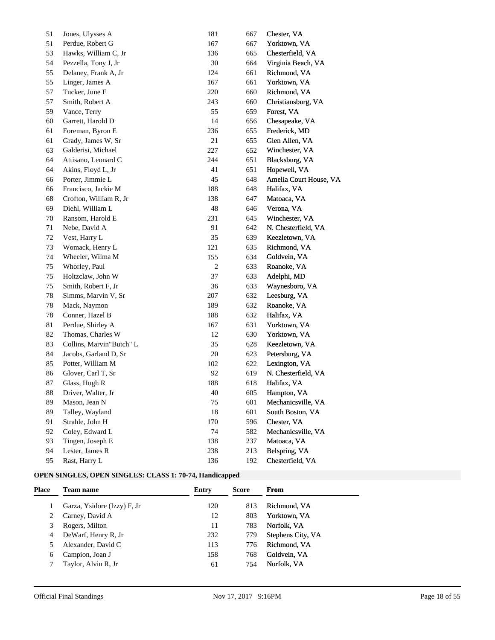| 51     | Jones, Ulysses A         | 181            | 667 | Chester, VA            |
|--------|--------------------------|----------------|-----|------------------------|
| 51     | Perdue, Robert G         | 167            | 667 | Yorktown, VA           |
| 53     | Hawks, William C, Jr     | 136            | 665 | Chesterfield, VA       |
| 54     | Pezzella, Tony J, Jr     | 30             | 664 | Virginia Beach, VA     |
| 55     | Delaney, Frank A, Jr     | 124            | 661 | Richmond, VA           |
| 55     | Linger, James A          | 167            | 661 | Yorktown, VA           |
| 57     | Tucker, June E           | 220            | 660 | Richmond, VA           |
| 57     | Smith, Robert A          | 243            | 660 | Christiansburg, VA     |
| 59     | Vance, Terry             | 55             | 659 | Forest, VA             |
| 60     | Garrett, Harold D        | 14             | 656 | Chesapeake, VA         |
| 61     | Foreman, Byron E         | 236            | 655 | Frederick, MD          |
| 61     | Grady, James W, Sr       | 21             | 655 | Glen Allen, VA         |
| 63     | Galderisi, Michael       | 227            | 652 | Winchester, VA         |
| 64     | Attisano, Leonard C      | 244            | 651 | Blacksburg, VA         |
| 64     | Akins, Floyd L, Jr       | 41             | 651 | Hopewell, VA           |
| 66     | Porter, Jimmie L         | 45             | 648 | Amelia Court House, VA |
| 66     | Francisco, Jackie M      | 188            | 648 | Halifax, VA            |
| 68     | Crofton, William R, Jr   | 138            | 647 | Matoaca, VA            |
| 69     | Diehl, William L         | 48             | 646 | Verona, VA             |
| 70     | Ransom, Harold E         | 231            | 645 | Winchester, VA         |
| 71     | Nebe, David A            | 91             | 642 | N. Chesterfield, VA    |
| 72     | Vest, Harry L            | 35             | 639 | Keezletown, VA         |
| 73     | Womack, Henry L          | 121            | 635 | Richmond, VA           |
| 74     | Wheeler, Wilma M         | 155            | 634 | Goldvein, VA           |
| 75     | Whorley, Paul            | $\overline{c}$ | 633 | Roanoke, VA            |
| 75     | Holtzclaw, John W        | 37             | 633 | Adelphi, MD            |
| 75     | Smith, Robert F, Jr      | 36             | 633 | Waynesboro, VA         |
| 78     | Simms, Marvin V, Sr      | 207            | 632 | Leesburg, VA           |
| 78     | Mack, Naymon             | 189            | 632 | Roanoke, VA            |
| 78     | Conner, Hazel B          | 188            | 632 | Halifax, VA            |
| 81     | Perdue, Shirley A        | 167            | 631 | Yorktown, VA           |
| 82     | Thomas, Charles W        | 12             | 630 | Yorktown, VA           |
| 83     | Collins, Marvin"Butch" L | 35             | 628 | Keezletown, VA         |
| 84     | Jacobs, Garland D, Sr    | 20             | 623 | Petersburg, VA         |
| 85     | Potter, William M        | 102            | 622 | Lexington, VA          |
| 86     | Glover, Carl T, Sr       | 92             | 619 | N. Chesterfield, VA    |
| 87     | Glass, Hugh R            | 188            | 618 | Halifax, VA            |
| $88\,$ | Driver, Walter, Jr       | 40             | 605 | Hampton, VA            |
| 89     | Mason, Jean N            | 75             | 601 | Mechanicsville, VA     |
| 89     | Talley, Wayland          | $18\,$         | 601 | South Boston, VA       |
| 91     | Strahle, John H          | 170            | 596 | Chester, VA            |
| 92     | Coley, Edward L          | 74             | 582 | Mechanicsville, VA     |
| 93     | Tingen, Joseph E         | 138            | 237 | Matoaca, VA            |
| 94     | Lester, James R          | 238            | 213 | Belspring, VA          |
| 95     | Rast, Harry L            | 136            | 192 | Chesterfield, VA       |

## **OPEN SINGLES, OPEN SINGLES: CLASS 1: 70-74, Handicapped**

| Place | <b>Team name</b>            | Entry | <b>Score</b> | From              |
|-------|-----------------------------|-------|--------------|-------------------|
|       | Garza, Ysidore (Izzy) F, Jr | 120   | 813          | Richmond, VA      |
|       | Carney, David A             | 12    | 803          | Yorktown, VA      |
|       | Rogers, Milton              | 11    | 783          | Norfolk, VA       |
|       | DeWarf, Henry R, Jr         | 232   | 779          | Stephens City, VA |
|       | Alexander, David C          | 113   | 776          | Richmond, VA      |
| 6     | Campion, Joan J             | 158   | 768          | Goldvein, VA      |
|       | Taylor, Alvin R, Jr         | 61    | 754          | Norfolk, VA       |
|       |                             |       |              |                   |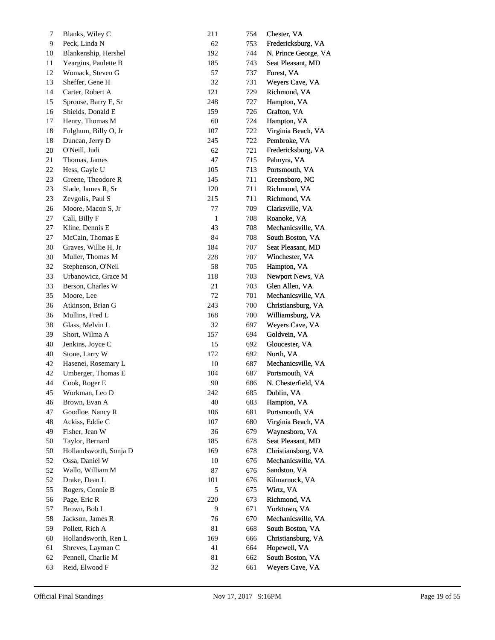| 7        | Blanks, Wiley C        | 211          | 754 | Chester, VA          |
|----------|------------------------|--------------|-----|----------------------|
| 9        | Peck, Linda N          | 62           | 753 | Fredericksburg, VA   |
| 10       | Blankenship, Hershel   | 192          | 744 | N. Prince George, VA |
| 11       | Yeargins, Paulette B   | 185          | 743 | Seat Pleasant, MD    |
| 12       | Womack, Steven G       | 57           | 737 | Forest, VA           |
| 13       | Sheffer, Gene H        | 32           | 731 | Weyers Cave, VA      |
| 14       | Carter, Robert A       | 121          | 729 | Richmond, VA         |
| 15       | Sprouse, Barry E, Sr   | 248          | 727 | Hampton, VA          |
| 16       | Shields, Donald E      | 159          | 726 | Grafton, VA          |
| 17       | Henry, Thomas M        | 60           | 724 | Hampton, VA          |
| 18       | Fulghum, Billy O, Jr   | 107          | 722 | Virginia Beach, VA   |
| 18       | Duncan, Jerry D        | 245          | 722 | Pembroke, VA         |
| 20       | O'Neill, Judi          | 62           | 721 | Fredericksburg, VA   |
| 21       | Thomas, James          | 47           | 715 | Palmyra, VA          |
| 22       | Hess, Gayle U          | 105          | 713 | Portsmouth, VA       |
| 23       | Greene, Theodore R     | 145          | 711 | Greensboro, NC       |
| 23       | Slade, James R, Sr     | 120          | 711 | Richmond, VA         |
| 23       | Zevgolis, Paul S       | 215          | 711 | Richmond, VA         |
| 26       | Moore, Macon S, Jr     | 77           | 709 | Clarksville, VA      |
| 27       | Call, Billy F          | $\mathbf{1}$ | 708 | Roanoke, VA          |
| 27       | Kline, Dennis E        | 43           | 708 | Mechanicsville, VA   |
| 27       | McCain, Thomas E       | 84           | 708 | South Boston, VA     |
| 30       | Graves, Willie H, Jr   | 184          | 707 | Seat Pleasant, MD    |
| 30       | Muller, Thomas M       | 228          | 707 | Winchester, VA       |
| 32       | Stephenson, O'Neil     | 58           | 705 | Hampton, VA          |
| 33       | Urbanowicz, Grace M    | 118          | 703 | Newport News, VA     |
| 33       | Berson, Charles W      | 21           | 703 | Glen Allen, VA       |
| 35       | Moore, Lee             | $72\,$       | 701 | Mechanicsville, VA   |
| 36       | Atkinson, Brian G      | 243          | 700 | Christiansburg, VA   |
| 36       | Mullins, Fred L        | 168          | 700 | Williamsburg, VA     |
| 38       | Glass, Melvin L        | 32           | 697 | Weyers Cave, VA      |
| 39       | Short, Wilma A         | 157          | 694 | Goldvein, VA         |
| 40       | Jenkins, Joyce C       | 15           | 692 | Gloucester, VA       |
| 40       | Stone, Larry W         | 172          | 692 | North, VA            |
| 42       | Hasenei, Rosemary L    | 10           | 687 | Mechanicsville, VA   |
| 42       | Umberger, Thomas E     | 104          | 687 | Portsmouth, VA       |
| 44       | Cook, Roger E          | 90           | 686 | N. Chesterfield, VA  |
| 45       | Workman, Leo D         | 242          | 685 | Dublin, VA           |
| 46       | Brown, Evan A          | 40           | 683 | Hampton, VA          |
| 47       | Goodloe, Nancy R       | 106          | 681 | Portsmouth, VA       |
| 48       | Ackiss, Eddie C        | 107          | 680 | Virginia Beach, VA   |
| 49       | Fisher, Jean W         | 36           | 679 | Waynesboro, VA       |
| 50       | Taylor, Bernard        | 185          | 678 | Seat Pleasant, MD    |
| 50       | Hollandsworth, Sonja D | 169          | 678 | Christiansburg, VA   |
| 52       | Ossa, Daniel W         | 10           | 676 | Mechanicsville, VA   |
| 52       | Wallo, William M       | $87\,$       | 676 | Sandston, VA         |
| 52       | Drake, Dean L          | 101          | 676 | Kilmarnock, VA       |
| 55       | Rogers, Connie B       | $\sqrt{5}$   | 675 | Wirtz, VA            |
| 56       | Page, Eric R           | 220          | 673 | Richmond, VA         |
| 57       | Brown, Bob L           | 9            | 671 | Yorktown, VA         |
| 58       | Jackson, James R       | 76           | 670 | Mechanicsville, VA   |
| 59       | Pollett, Rich A        | 81           | 668 | South Boston, VA     |
| 60       | Hollandsworth, Ren L   | 169          | 666 | Christiansburg, VA   |
|          | Shreves, Layman C      | 41           | 664 | Hopewell, VA         |
| 61<br>62 | Pennell, Charlie M     | 81           | 662 | South Boston, VA     |
|          | Reid, Elwood F         | 32           |     | Weyers Cave, VA      |
| 63       |                        |              | 661 |                      |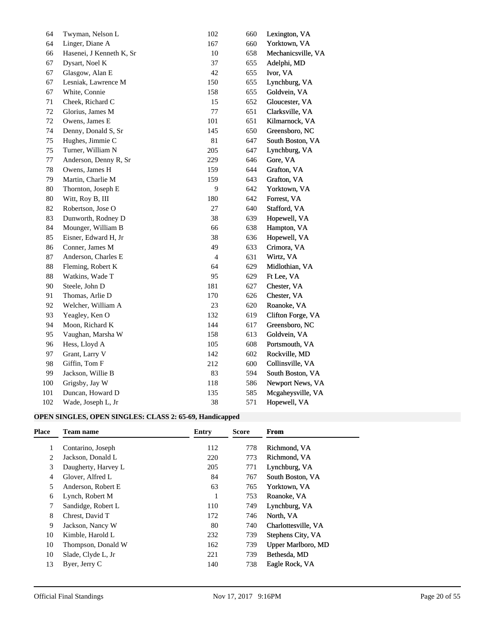| 64     | Twyman, Nelson L         | 102                      | 660 | Lexington, VA      |
|--------|--------------------------|--------------------------|-----|--------------------|
| 64     | Linger, Diane A          | 167                      | 660 | Yorktown, VA       |
| 66     | Hasenei, J Kenneth K, Sr | 10                       | 658 | Mechanicsville, VA |
| 67     | Dysart, Noel K           | 37                       | 655 | Adelphi, MD        |
| 67     | Glasgow, Alan E          | 42                       | 655 | Ivor, VA           |
| 67     | Lesniak, Lawrence M      | 150                      | 655 | Lynchburg, VA      |
| 67     | White, Connie            | 158                      | 655 | Goldvein, VA       |
| 71     | Cheek, Richard C         | 15                       | 652 | Gloucester, VA     |
| 72     | Glorius, James M         | $77\,$                   | 651 | Clarksville, VA    |
| 72     | Owens, James E           | 101                      | 651 | Kilmarnock, VA     |
| 74     | Denny, Donald S, Sr      | 145                      | 650 | Greensboro, NC     |
| 75     | Hughes, Jimmie C         | $81\,$                   | 647 | South Boston, VA   |
| 75     | Turner, William N        | 205                      | 647 | Lynchburg, VA      |
| 77     | Anderson, Denny R, Sr    | 229                      | 646 | Gore, VA           |
| 78     | Owens, James H           | 159                      | 644 | Grafton, VA        |
| 79     | Martin, Charlie M        | 159                      | 643 | Grafton, VA        |
| 80     | Thornton, Joseph E       | 9                        | 642 | Yorktown, VA       |
| $80\,$ | Witt, Roy B, III         | 180                      | 642 | Forrest, VA        |
| 82     | Robertson, Jose O        | $27\,$                   | 640 | Stafford, VA       |
| 83     | Dunworth, Rodney D       | 38                       | 639 | Hopewell, VA       |
| 84     | Mounger, William B       | 66                       | 638 | Hampton, VA        |
| 85     | Eisner, Edward H, Jr     | 38                       | 636 | Hopewell, VA       |
| 86     | Conner, James M          | 49                       | 633 | Crimora, VA        |
| 87     | Anderson, Charles E      | $\overline{\mathcal{A}}$ | 631 | Wirtz, VA          |
| 88     | Fleming, Robert K        | 64                       | 629 | Midlothian, VA     |
| 88     | Watkins, Wade T          | 95                       | 629 | Ft Lee, VA         |
| 90     | Steele, John D           | 181                      | 627 | Chester, VA        |
| 91     | Thomas, Arlie D          | 170                      | 626 | Chester, VA        |
| 92     | Welcher, William A       | 23                       | 620 | Roanoke, VA        |
| 93     | Yeagley, Ken O           | 132                      | 619 | Clifton Forge, VA  |
| 94     | Moon, Richard K          | 144                      | 617 | Greensboro, NC     |
| 95     | Vaughan, Marsha W        | 158                      | 613 | Goldvein, VA       |
| 96     | Hess, Lloyd A            | 105                      | 608 | Portsmouth, VA     |
| 97     | Grant, Larry V           | 142                      | 602 | Rockville, MD      |
| 98     | Giffin, Tom F            | 212                      | 600 | Collinsville, VA   |
| 99     | Jackson, Willie B        | 83                       | 594 | South Boston, VA   |
| 100    | Grigsby, Jay W           | 118                      | 586 | Newport News, VA   |
| 101    | Duncan, Howard D         | 135                      | 585 | Mcgaheysville, VA  |
| 102    | Wade, Joseph L, Jr       | 38                       | 571 | Hopewell, VA       |

## **OPEN SINGLES, OPEN SINGLES: CLASS 2: 65-69, Handicapped**

| <b>Place</b> | <b>Team name</b>    | Entry | <b>Score</b> | From                |
|--------------|---------------------|-------|--------------|---------------------|
|              | Contarino, Joseph   | 112   | 778          | Richmond, VA        |
| 2            | Jackson, Donald L   | 220   | 773          | Richmond, VA        |
| 3            | Daugherty, Harvey L | 205   | 771          | Lynchburg, VA       |
| 4            | Glover, Alfred L    | 84    | 767          | South Boston, VA    |
| 5            | Anderson, Robert E  | 63    | 765          | Yorktown, VA        |
| 6            | Lynch, Robert M     | -1    | 753          | Roanoke, VA         |
|              | Sandidge, Robert L  | 110   | 749          | Lynchburg, VA       |
| 8            | Chrest, David T     | 172   | 746          | North, VA           |
| 9            | Jackson, Nancy W    | 80    | 740          | Charlottesville, VA |
| 10           | Kimble, Harold L    | 232   | 739          | Stephens City, VA   |
| 10           | Thompson, Donald W  | 162   | 739          | Upper Marlboro, MD  |
| 10           | Slade, Clyde L, Jr  | 221   | 739          | Bethesda, MD        |
| 13           | Byer, Jerry C       | 140   | 738          | Eagle Rock, VA      |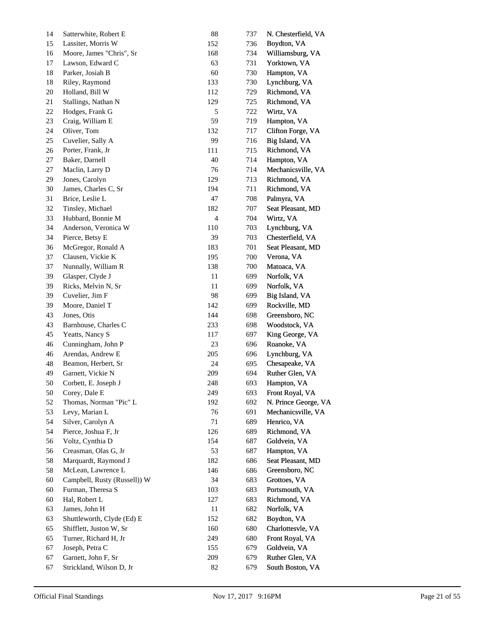| 14 | Satterwhite, Robert E        | $88\,$        | 737 | N. Chesterfield, VA  |
|----|------------------------------|---------------|-----|----------------------|
| 15 | Lassiter, Morris W           | 152           | 736 | Boydton, VA          |
| 16 | Moore, James "Chris", Sr     | 168           | 734 | Williamsburg, VA     |
| 17 | Lawson, Edward C             | 63            | 731 | Yorktown, VA         |
| 18 | Parker, Josiah B             | 60            | 730 | Hampton, VA          |
| 18 | Riley, Raymond               | 133           | 730 | Lynchburg, VA        |
| 20 | Holland, Bill W              | 112           | 729 | Richmond, VA         |
| 21 | Stallings, Nathan N          | 129           | 725 | Richmond, VA         |
| 22 | Hodges, Frank G              | $\mathfrak s$ | 722 | Wirtz, VA            |
| 23 | Craig, William E             | 59            | 719 | Hampton, VA          |
| 24 | Oliver, Tom                  | 132           | 717 | Clifton Forge, VA    |
| 25 | Cuvelier, Sally A            | 99            | 716 | Big Island, VA       |
| 26 | Porter, Frank, Jr            | 111           | 715 | Richmond, VA         |
| 27 | Baker, Darnell               | $40\,$        | 714 | Hampton, VA          |
| 27 | Maclin, Larry D              | 76            | 714 | Mechanicsville, VA   |
| 29 | Jones, Carolyn               | 129           | 713 | Richmond, VA         |
| 30 | James, Charles C, Sr         | 194           | 711 | Richmond, VA         |
| 31 | Brice, Leslie L              | 47            | 708 | Palmyra, VA          |
| 32 | Tinsley, Michael             | 182           | 707 | Seat Pleasant, MD    |
| 33 | Hubbard, Bonnie M            | $\sqrt{4}$    | 704 | Wirtz, VA            |
| 34 | Anderson, Veronica W         | 110           | 703 | Lynchburg, VA        |
| 34 | Pierce, Betsy E              | 39            | 703 | Chesterfield, VA     |
| 36 | McGregor, Ronald A           | 183           | 701 | Seat Pleasant, MD    |
| 37 | Clausen, Vickie K            | 195           | 700 | Verona, VA           |
| 37 | Nunnally, William R          | 138           | 700 | Matoaca, VA          |
| 39 | Glasper, Clyde J             | 11            | 699 | Norfolk, VA          |
| 39 | Ricks, Melvin N, Sr          | 11            | 699 | Norfolk, VA          |
| 39 | Cuvelier, Jim F              | 98            | 699 | Big Island, VA       |
| 39 | Moore, Daniel T              | 142           | 699 | Rockville, MD        |
| 43 | Jones, Otis                  | 144           | 698 | Greensboro, NC       |
| 43 | Barnhouse, Charles C         | 233           | 698 | Woodstock, VA        |
| 45 | Yeatts, Nancy S              | 117           | 697 | King George, VA      |
| 46 | Cunningham, John P           | 23            | 696 | Roanoke, VA          |
| 46 | Arendas, Andrew E            | 205           | 696 | Lynchburg, VA        |
| 48 | Beamon, Herbert, Sr          | 24            | 695 | Chesapeake, VA       |
| 49 | Garnett, Vickie N            | 209           | 694 | Ruther Glen, VA      |
| 50 | Corbett, E. Joseph J         | 248           | 693 | Hampton, VA          |
| 50 | Corey, Dale E                | 249           | 693 | Front Royal, VA      |
| 52 | Thomas, Norman "Pic" L       | 192           | 692 | N. Prince George, VA |
| 53 | Levy, Marian L               | 76            | 691 | Mechanicsville, VA   |
| 54 | Silver, Carolyn A            | $71\,$        | 689 | Henrico, VA          |
| 54 | Pierce, Joshua F, Jr         | 126           | 689 | Richmond, VA         |
| 56 | Voltz, Cynthia D             | 154           | 687 | Goldvein, VA         |
| 56 | Creasman, Olas G, Jr         | 53            | 687 | Hampton, VA          |
| 58 | Marquardt, Raymond J         | 182           | 686 | Seat Pleasant, MD    |
| 58 | McLean, Lawrence L           | 146           | 686 | Greensboro, NC       |
| 60 | Campbell, Rusty (Russell)) W | 34            | 683 | Grottoes, VA         |
| 60 | Furman, Theresa S            | 103           | 683 | Portsmouth, VA       |
| 60 | Hal, Robert L                | 127           | 683 | Richmond, VA         |
| 63 | James, John H                | 11            | 682 | Norfolk, VA          |
| 63 | Shuttleworth, Clyde (Ed) E   | 152           | 682 | Boydton, VA          |
| 65 | Shifflett, Juston W, Sr      | 160           | 680 | Charlottesvle, VA    |
| 65 | Turner, Richard H, Jr        | 249           | 680 | Front Royal, VA      |
| 67 | Joseph, Petra C              | 155           | 679 | Goldvein, VA         |
| 67 | Garnett, John F, Sr          | 209           | 679 | Ruther Glen, VA      |
| 67 | Strickland, Wilson D, Jr     | 82            | 679 | South Boston, VA     |
|    |                              |               |     |                      |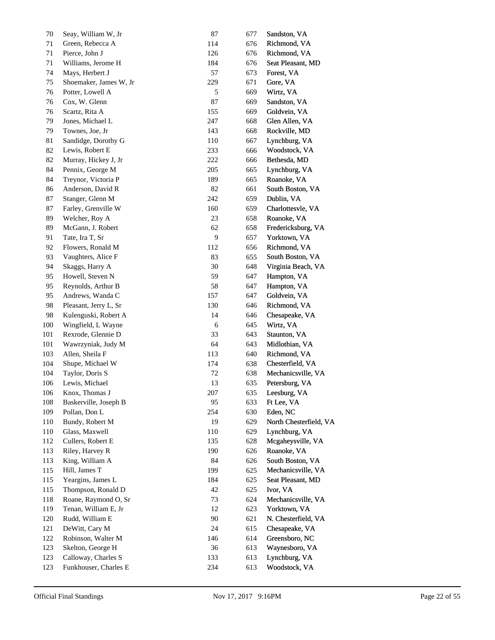| 70      | Seay, William W, Jr    | 87           | 677 | Sandston, VA           |
|---------|------------------------|--------------|-----|------------------------|
| 71      | Green, Rebecca A       | 114          | 676 | Richmond, VA           |
| 71      | Pierce, John J         | 126          | 676 | Richmond, VA           |
| 71      | Williams, Jerome H     | 184          | 676 | Seat Pleasant, MD      |
| 74      | Mays, Herbert J        | 57           | 673 | Forest, VA             |
| 75      | Shoemaker, James W, Jr | 229          | 671 | Gore, VA               |
| 76      | Potter, Lowell A       | $\sqrt{5}$   | 669 | Wirtz, VA              |
| 76      | Cox, W. Glenn          | 87           | 669 | Sandston, VA           |
| 76      | Scartz, Rita A         | 155          | 669 | Goldvein, VA           |
| 79      | Jones, Michael L       | 247          | 668 | Glen Allen, VA         |
| 79      | Townes, Joe, Jr        | 143          | 668 | Rockville, MD          |
| 81      | Sandidge, Dorothy G    | 110          | 667 | Lynchburg, VA          |
| 82      | Lewis, Robert E        | 233          | 666 | Woodstock, VA          |
| 82      | Murray, Hickey J, Jr   | 222          | 666 | Bethesda, MD           |
| 84      | Pennix, George M       | 205          | 665 | Lynchburg, VA          |
| 84      | Treynor, Victoria P    | 189          | 665 | Roanoke, VA            |
| 86      | Anderson, David R      | $82\,$       | 661 | South Boston, VA       |
| 87      | Stanger, Glenn M       | 242          | 659 | Dublin, VA             |
| 87      | Farley, Grenville W    | 160          | 659 | Charlottesvle, VA      |
| 89      | Welcher, Roy A         | 23           | 658 | Roanoke, VA            |
| 89      | McGann, J. Robert      | 62           | 658 | Fredericksburg, VA     |
| 91      | Tate, Ira T, Sr        | 9            | 657 | Yorktown, VA           |
| 92      | Flowers, Ronald M      | 112          | 656 | Richmond, VA           |
| 93      | Vaughters, Alice F     | 83           | 655 | South Boston, VA       |
| 94      | Skaggs, Harry A        | 30           | 648 | Virginia Beach, VA     |
| 95      | Howell, Steven N       | 59           | 647 | Hampton, VA            |
| 95      | Reynolds, Arthur B     | 58           | 647 | Hampton, VA            |
| 95      | Andrews, Wanda C       | 157          | 647 | Goldvein, VA           |
| 98      | Pleasant, Jerry L, Sr  | 130          | 646 | Richmond, VA           |
| 98      | Kulenguski, Robert A   | 14           | 646 | Chesapeake, VA         |
| $100\,$ | Wingfield, L Wayne     | $\sqrt{6}$   | 645 | Wirtz, VA              |
| 101     | Rexrode, Glennie D     | 33           | 643 | Staunton, VA           |
| 101     | Wawrzyniak, Judy M     | 64           | 643 | Midlothian, VA         |
| 103     | Allen, Sheila F        | 113          | 640 | Richmond, VA           |
| 104     | Shupe, Michael W       | 174          | 638 | Chesterfield, VA       |
| 104     | Taylor, Doris S        | $72\,$       | 638 | Mechanicsville, VA     |
| 106     | Lewis, Michael         | 13           | 635 | Petersburg, VA         |
| 106     | Knox, Thomas J         | 207          | 635 | Leesburg, VA           |
| 108     | Baskerville, Joseph B  | 95           | 633 | Ft Lee, VA             |
| 109     | Pollan, Don L          | 254          | 630 | Eden, NC               |
| 110     | Bundy, Robert M        | 19           | 629 | North Chesterfield, VA |
| 110     | Glass, Maxwell         | 110          | 629 | Lynchburg, VA          |
| 112     | Cullers, Robert E      | 135          | 628 | Mcgaheysville, VA      |
| 113     | Riley, Harvey R        | 190          | 626 | Roanoke, VA            |
| 113     | King, William A        | 84           | 626 | South Boston, VA       |
| 115     | Hill, James T          | 199          | 625 | Mechanicsville, VA     |
| 115     | Yeargins, James L      | 184          | 625 | Seat Pleasant, MD      |
| 115     | Thompson, Ronald D     | $42\,$       | 625 | Ivor, VA               |
| 118     | Roane, Raymond O, Sr   | 73           | 624 | Mechanicsville, VA     |
| 119     | Tenan, William E, Jr   | 12           | 623 | Yorktown, VA           |
| 120     | Rudd, William E        | $90\text{ }$ | 621 | N. Chesterfield, VA    |
| 121     | DeWitt, Cary M         | 24           | 615 | Chesapeake, VA         |
| 122     | Robinson, Walter M     | 146          | 614 | Greensboro, NC         |
| 123     | Skelton, George H      | 36           | 613 | Waynesboro, VA         |
| 123     | Calloway, Charles S    | 133          | 613 | Lynchburg, VA          |
| 123     | Funkhouser, Charles E  | 234          | 613 | Woodstock, VA          |
|         |                        |              |     |                        |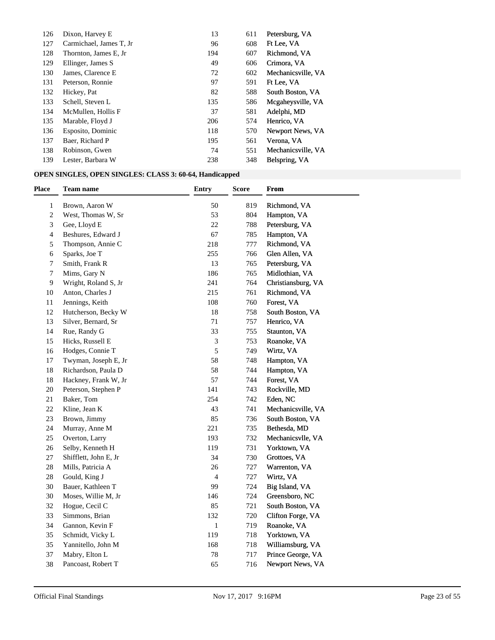| 126 | Dixon, Harvey E         | 13  | 611 | Petersburg, VA     |
|-----|-------------------------|-----|-----|--------------------|
| 127 | Carmichael, James T, Jr | 96  | 608 | Ft Lee, VA         |
| 128 | Thornton, James E, Jr.  | 194 | 607 | Richmond, VA       |
| 129 | Ellinger, James S       | 49  | 606 | Crimora, VA        |
| 130 | James, Clarence E       | 72  | 602 | Mechanicsville, VA |
| 131 | Peterson, Ronnie        | 97  | 591 | Ft Lee, VA         |
| 132 | Hickey, Pat             | 82  | 588 | South Boston, VA   |
| 133 | Schell, Steven L        | 135 | 586 | Mcgaheysville, VA  |
| 134 | McMullen, Hollis F      | 37  | 581 | Adelphi, MD        |
| 135 | Marable, Floyd J        | 206 | 574 | Henrico, VA        |
| 136 | Esposito, Dominic       | 118 | 570 | Newport News, VA   |
| 137 | Baer, Richard P         | 195 | 561 | Verona, VA         |
| 138 | Robinson, Gwen          | 74  | 551 | Mechanicsville, VA |
| 139 | Lester, Barbara W       | 238 | 348 | Belspring, VA      |

# **OPEN SINGLES, OPEN SINGLES: CLASS 3: 60-64, Handicapped**

| Place        | <b>Team name</b>      | <b>Entry</b>   | <b>Score</b> | From               |
|--------------|-----------------------|----------------|--------------|--------------------|
| $\mathbf{1}$ | Brown, Aaron W        | 50             | 819          | Richmond, VA       |
| 2            | West, Thomas W, Sr    | 53             | 804          | Hampton, VA        |
| 3            | Gee, Lloyd E          | 22             | 788          | Petersburg, VA     |
| 4            | Beshures, Edward J    | 67             | 785          | Hampton, VA        |
| 5            | Thompson, Annie C     | 218            | 777          | Richmond, VA       |
| 6            | Sparks, Joe T         | 255            | 766          | Glen Allen, VA     |
| 7            | Smith, Frank R        | 13             | 765          | Petersburg, VA     |
| 7            | Mims, Gary N          | 186            | 765          | Midlothian, VA     |
| 9            | Wright, Roland S, Jr  | 241            | 764          | Christiansburg, VA |
| 10           | Anton, Charles J      | 215            | 761          | Richmond, VA       |
| 11           | Jennings, Keith       | 108            | 760          | Forest, VA         |
| 12           | Hutcherson, Becky W   | 18             | 758          | South Boston, VA   |
| 13           | Silver, Bernard, Sr   | 71             | 757          | Henrico, VA        |
| 14           | Rue, Randy G          | 33             | 755          | Staunton, VA       |
| 15           | Hicks, Russell E      | 3              | 753          | Roanoke, VA        |
| 16           | Hodges, Connie T      | 5              | 749          | Wirtz, VA          |
| 17           | Twyman, Joseph E, Jr  | 58             | 748          | Hampton, VA        |
| 18           | Richardson, Paula D   | 58             | 744          | Hampton, VA        |
| 18           | Hackney, Frank W, Jr  | 57             | 744          | Forest, VA         |
| 20           | Peterson, Stephen P   | 141            | 743          | Rockville, MD      |
| 21           | Baker, Tom            | 254            | 742          | Eden, NC           |
| 22           | Kline, Jean K         | 43             | 741          | Mechanicsville, VA |
| 23           | Brown, Jimmy          | 85             | 736          | South Boston, VA   |
| 24           | Murray, Anne M        | 221            | 735          | Bethesda, MD       |
| 25           | Overton, Larry        | 193            | 732          | Mechanicsvlle, VA  |
| 26           | Selby, Kenneth H      | 119            | 731          | Yorktown, VA       |
| 27           | Shifflett, John E, Jr | 34             | 730          | Grottoes, VA       |
| 28           | Mills, Patricia A     | 26             | 727          | Warrenton, VA      |
| 28           | Gould, King J         | $\overline{4}$ | 727          | Wirtz, VA          |
| 30           | Bauer, Kathleen T     | 99             | 724          | Big Island, VA     |
| 30           | Moses, Willie M, Jr   | 146            | 724          | Greensboro, NC     |
| 32           | Hogue, Cecil C        | 85             | 721          | South Boston, VA   |
| 33           | Simmons, Brian        | 132            | 720          | Clifton Forge, VA  |
| 34           | Gannon, Kevin F       | $\mathbf{1}$   | 719          | Roanoke, VA        |
| 35           | Schmidt, Vicky L      | 119            | 718          | Yorktown, VA       |
| 35           | Yannitello, John M    | 168            | 718          | Williamsburg, VA   |
| 37           | Mabry, Elton L        | 78             | 717          | Prince George, VA  |
| 38           | Pancoast, Robert T    | 65             | 716          | Newport News, VA   |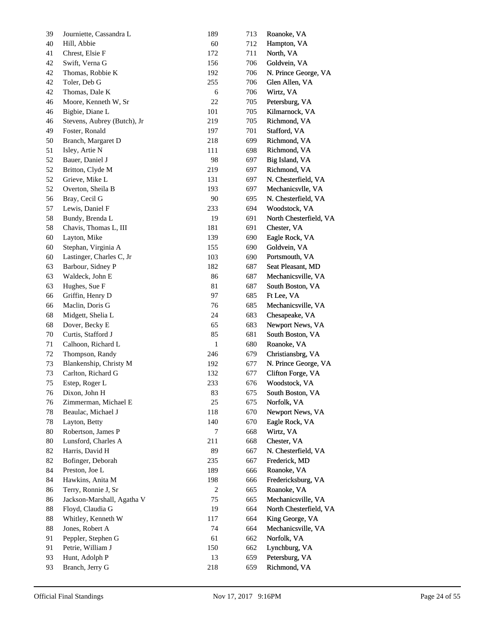| 39     | Journiette, Cassandra L     | 189          | 713 | Roanoke, VA            |
|--------|-----------------------------|--------------|-----|------------------------|
| 40     | Hill, Abbie                 | 60           | 712 | Hampton, VA            |
| 41     | Chrest, Elsie F             | 172          | 711 | North, VA              |
| 42     | Swift, Verna G              | 156          | 706 | Goldvein, VA           |
| 42     | Thomas, Robbie K            | 192          | 706 | N. Prince George, VA   |
| 42     | Toler, Deb G                | 255          | 706 | Glen Allen, VA         |
| 42     | Thomas, Dale K              | 6            | 706 | Wirtz, VA              |
| 46     | Moore, Kenneth W, Sr        | 22           | 705 | Petersburg, VA         |
| 46     | Bigbie, Diane L             | 101          | 705 | Kilmarnock, VA         |
| 46     | Stevens, Aubrey (Butch), Jr | 219          | 705 | Richmond, VA           |
| 49     | Foster, Ronald              | 197          | 701 | Stafford, VA           |
| 50     | Branch, Margaret D          | 218          | 699 | Richmond, VA           |
| 51     | Isley, Artie N              | 111          | 698 | Richmond, VA           |
| 52     | Bauer, Daniel J             | 98           | 697 | Big Island, VA         |
| 52     | Britton, Clyde M            | 219          | 697 | Richmond, VA           |
| 52     | Grieve, Mike L              | 131          | 697 | N. Chesterfield, VA    |
| 52     | Overton, Sheila B           | 193          | 697 | Mechanicsvlle, VA      |
| 56     | Bray, Cecil G               | 90           | 695 | N. Chesterfield, VA    |
| 57     | Lewis, Daniel F             | 233          | 694 | Woodstock, VA          |
| 58     | Bundy, Brenda L             | 19           | 691 | North Chesterfield, VA |
| 58     | Chavis, Thomas L, III       | 181          | 691 | Chester, VA            |
| 60     | Layton, Mike                | 139          | 690 | Eagle Rock, VA         |
| 60     | Stephan, Virginia A         | 155          | 690 | Goldvein, VA           |
| 60     | Lastinger, Charles C, Jr    | 103          | 690 | Portsmouth, VA         |
| 63     | Barbour, Sidney P           | 182          | 687 | Seat Pleasant, MD      |
| 63     | Waldeck, John E             | 86           | 687 | Mechanicsville, VA     |
| 63     | Hughes, Sue F               | 81           | 687 | South Boston, VA       |
| 66     | Griffin, Henry D            | 97           | 685 | Ft Lee, VA             |
| 66     | Maclin, Doris G             | 76           | 685 | Mechanicsville, VA     |
| 68     | Midgett, Shelia L           | 24           | 683 | Chesapeake, VA         |
| 68     | Dover, Becky E              | 65           | 683 | Newport News, VA       |
| 70     | Curtis, Stafford J          | 85           | 681 | South Boston, VA       |
| 71     | Calhoon, Richard L          | $\mathbf{1}$ | 680 | Roanoke, VA            |
| 72     | Thompson, Randy             | 246          | 679 | Christiansbrg, VA      |
| 73     | Blankenship, Christy M      | 192          | 677 | N. Prince George, VA   |
| 73     | Carlton, Richard G          | 132          | 677 | Clifton Forge, VA      |
| 75     | Estep, Roger L              | 233          | 676 | Woodstock, VA          |
| $76\,$ | Dixon, John H               | 83           | 675 | South Boston, VA       |
| 76     | Zimmerman, Michael E        | 25           | 675 | Norfolk, VA            |
| 78     | Beaulac, Michael J          | 118          | 670 | Newport News, VA       |
| 78     | Layton, Betty               | 140          | 670 | Eagle Rock, VA         |
| 80     | Robertson, James P          | 7            | 668 | Wirtz, VA              |
| 80     | Lunsford, Charles A         | 211          | 668 | Chester, VA            |
| 82     | Harris, David H             | 89           | 667 | N. Chesterfield, VA    |
| 82     | Bofinger, Deborah           | 235          | 667 | Frederick, MD          |
| 84     | Preston, Joe L              | 189          | 666 | Roanoke, VA            |
| 84     | Hawkins, Anita M            | 198          | 666 | Fredericksburg, VA     |
| 86     | Terry, Ronnie J, Sr         | 2            | 665 | Roanoke, VA            |
| 86     | Jackson-Marshall, Agatha V  | 75           | 665 | Mechanicsville, VA     |
| 88     | Floyd, Claudia G            | 19           | 664 | North Chesterfield, VA |
| 88     | Whitley, Kenneth W          | 117          | 664 | King George, VA        |
| 88     | Jones, Robert A             | 74           | 664 | Mechanicsville, VA     |
| 91     | Peppler, Stephen G          | 61           | 662 | Norfolk, VA            |
| 91     | Petrie, William J           | 150          | 662 | Lynchburg, VA          |
| 93     | Hunt, Adolph P              | 13           | 659 | Petersburg, VA         |
|        | Branch, Jerry G             | 218          |     |                        |
| 93     |                             |              | 659 | Richmond, VA           |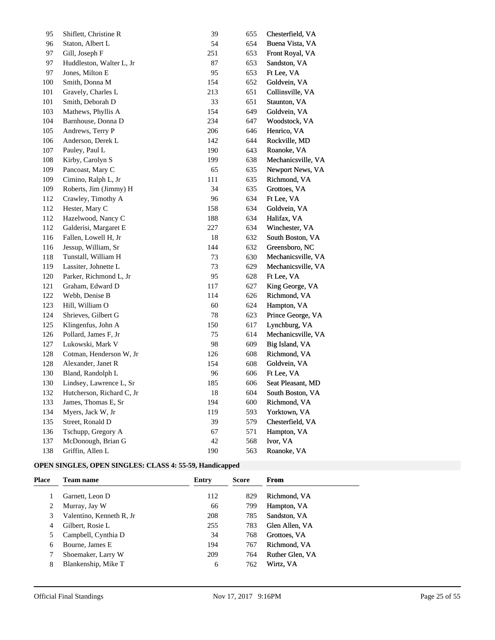| 95  | Shiflett, Christine R     | 39     | 655 | Chesterfield, VA   |
|-----|---------------------------|--------|-----|--------------------|
| 96  | Staton, Albert L          | 54     | 654 | Buena Vista, VA    |
| 97  | Gill, Joseph F            | 251    | 653 | Front Royal, VA    |
| 97  | Huddleston, Walter L, Jr  | 87     | 653 | Sandston, VA       |
| 97  | Jones, Milton E           | 95     | 653 | Ft Lee, VA         |
| 100 | Smith, Donna M            | 154    | 652 | Goldvein, VA       |
| 101 | Gravely, Charles L        | 213    | 651 | Collinsville, VA   |
| 101 | Smith, Deborah D          | 33     | 651 | Staunton, VA       |
| 103 | Mathews, Phyllis A        | 154    | 649 | Goldvein, VA       |
| 104 | Barnhouse, Donna D        | 234    | 647 | Woodstock, VA      |
| 105 | Andrews, Terry P          | 206    | 646 | Henrico, VA        |
| 106 | Anderson, Derek L         | 142    | 644 | Rockville, MD      |
| 107 | Pauley, Paul L            | 190    | 643 | Roanoke, VA        |
| 108 | Kirby, Carolyn S          | 199    | 638 | Mechanicsville, VA |
| 109 | Pancoast, Mary C          | 65     | 635 | Newport News, VA   |
| 109 | Cimino, Ralph L, Jr       | 111    | 635 | Richmond, VA       |
| 109 | Roberts, Jim (Jimmy) H    | 34     | 635 | Grottoes, VA       |
| 112 | Crawley, Timothy A        | 96     | 634 | Ft Lee, VA         |
| 112 | Hester, Mary C            | 158    | 634 | Goldvein, VA       |
| 112 | Hazelwood, Nancy C        | 188    | 634 | Halifax, VA        |
| 112 | Galderisi, Margaret E     | 227    | 634 | Winchester, VA     |
| 116 | Fallen, Lowell H, Jr      | 18     | 632 | South Boston, VA   |
| 116 | Jessup, William, Sr       | 144    | 632 | Greensboro, NC     |
| 118 | Tunstall, William H       | 73     | 630 | Mechanicsville, VA |
| 119 | Lassiter, Johnette L      | 73     | 629 | Mechanicsville, VA |
| 120 | Parker, Richmond L, Jr    | 95     | 628 | Ft Lee, VA         |
| 121 | Graham, Edward D          | 117    | 627 | King George, VA    |
| 122 | Webb, Denise B            | 114    | 626 | Richmond, VA       |
| 123 | Hill, William O           | 60     | 624 | Hampton, VA        |
| 124 | Shrieves, Gilbert G       | 78     | 623 | Prince George, VA  |
| 125 | Klingenfus, John A        | 150    | 617 | Lynchburg, VA      |
| 126 | Pollard, James F, Jr      | 75     | 614 | Mechanicsville, VA |
| 127 | Lukowski, Mark V          | 98     | 609 | Big Island, VA     |
| 128 | Cotman, Henderson W, Jr   | 126    | 608 | Richmond, VA       |
| 128 | Alexander, Janet R        | 154    | 608 | Goldvein, VA       |
| 130 | Bland, Randolph L         | 96     | 606 | Ft Lee, VA         |
| 130 | Lindsey, Lawrence L, Sr   | 185    | 606 | Seat Pleasant, MD  |
| 132 | Hutcherson, Richard C, Jr | $18\,$ | 604 | South Boston, VA   |
| 133 | James, Thomas E, Sr       | 194    | 600 | Richmond, VA       |
| 134 | Myers, Jack W, Jr         | 119    | 593 | Yorktown, VA       |
| 135 | Street, Ronald D          | 39     | 579 | Chesterfield, VA   |
| 136 | Tschupp, Gregory A        | 67     | 571 | Hampton, VA        |
| 137 | McDonough, Brian G        | 42     | 568 | Ivor, VA           |
| 138 | Griffin, Allen L          | 190    | 563 | Roanoke, VA        |

## **OPEN SINGLES, OPEN SINGLES: CLASS 4: 55-59, Handicapped**

| Place | <b>Team name</b>         | Entry | <b>Score</b> | From            |
|-------|--------------------------|-------|--------------|-----------------|
|       | Garnett, Leon D          | 112   | 829          | Richmond, VA    |
|       | Murray, Jay W            | 66    | 799          | Hampton, VA     |
| 3     | Valentino, Kenneth R, Jr | 208   | 785          | Sandston, VA    |
| 4     | Gilbert, Rosie L         | 255   | 783          | Glen Allen, VA  |
|       | Campbell, Cynthia D      | 34    | 768          | Grottoes, VA    |
| 6     | Bourne, James E          | 194   | 767          | Richmond, VA    |
|       | Shoemaker, Larry W       | 209   | 764          | Ruther Glen, VA |
| 8     | Blankenship, Mike T      | 6     | 762          | Wirtz, VA       |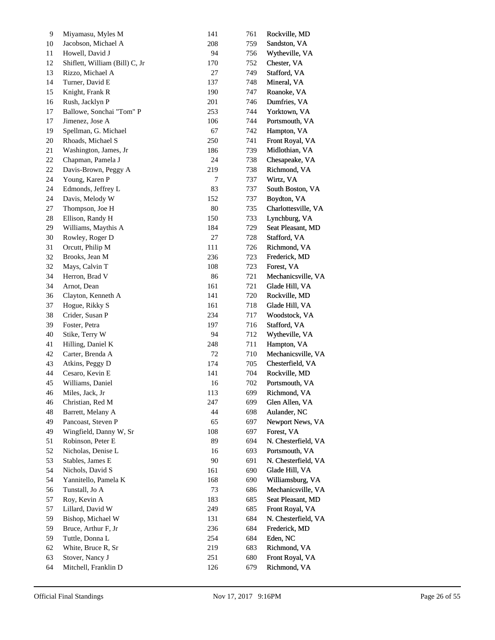| 9        | Miyamasu, Myles M                     | 141       | 761 | Rockville, MD       |
|----------|---------------------------------------|-----------|-----|---------------------|
| 10       | Jacobson, Michael A                   | 208       | 759 | Sandston, VA        |
| 11       | Howell, David J                       | 94        | 756 | Wytheville, VA      |
| 12       | Shiflett, William (Bill) C, Jr        | 170       | 752 | Chester, VA         |
| 13       | Rizzo, Michael A                      | 27        | 749 | Stafford, VA        |
| 14       | Turner, David E                       | 137       | 748 | Mineral, VA         |
| 15       | Knight, Frank R                       | 190       | 747 | Roanoke, VA         |
| 16       | Rush, Jacklyn P                       | 201       | 746 | Dumfries, VA        |
| 17       | Ballowe, Sonchai "Tom" P              | 253       | 744 | Yorktown, VA        |
| 17       | Jimenez, Jose A                       | 106       | 744 | Portsmouth, VA      |
| 19       | Spellman, G. Michael                  | 67        | 742 | Hampton, VA         |
| 20       | Rhoads, Michael S                     | 250       | 741 | Front Royal, VA     |
| 21       | Washington, James, Jr                 | 186       | 739 | Midlothian, VA      |
| 22       | Chapman, Pamela J                     | 24        | 738 | Chesapeake, VA      |
| 22       | Davis-Brown, Peggy A                  | 219       | 738 | Richmond, VA        |
| 24       | Young, Karen P                        | $\tau$    | 737 | Wirtz, VA           |
| 24       | Edmonds, Jeffrey L                    | 83        | 737 | South Boston, VA    |
| 24       | Davis, Melody W                       | 152       | 737 | Boydton, VA         |
| 27       | Thompson, Joe H                       | $80\,$    | 735 | Charlottesville, VA |
| 28       | Ellison, Randy H                      | 150       | 733 | Lynchburg, VA       |
| 29       | Williams, Maythis A                   | 184       | 729 | Seat Pleasant, MD   |
| 30       | Rowley, Roger D                       | $27\,$    | 728 | Stafford, VA        |
| 31       | Orcutt, Philip M                      | 111       | 726 | Richmond, VA        |
| 32       | Brooks, Jean M                        | 236       | 723 | Frederick, MD       |
| 32       | Mays, Calvin T                        | 108       | 723 | Forest, VA          |
| 34       | Herron, Brad V                        | 86        | 721 | Mechanicsville, VA  |
| 34       | Arnot, Dean                           | 161       | 721 | Glade Hill, VA      |
| 36       | Clayton, Kenneth A                    | 141       | 720 | Rockville, MD       |
| 37       | Hogue, Rikky S                        | 161       | 718 | Glade Hill, VA      |
| 38       | Crider, Susan P                       | 234       | 717 | Woodstock, VA       |
| 39       | Foster, Petra                         | 197       | 716 | Stafford, VA        |
| 40       | Stike, Terry W                        | 94        | 712 | Wytheville, VA      |
| 41       | Hilling, Daniel K                     | 248       | 711 | Hampton, VA         |
| 42       | Carter, Brenda A                      | $72\,$    | 710 | Mechanicsville, VA  |
| 43       | Atkins, Peggy D                       | 174       | 705 | Chesterfield, VA    |
| 44       | Cesaro, Kevin E                       | 141       | 704 | Rockville, MD       |
| 45       |                                       | 16        | 702 | Portsmouth, VA      |
| $46\,$   | Williams, Daniel<br>Miles, Jack, Jr   | 113       | 699 | Richmond, VA        |
|          |                                       | 247       | 699 | Glen Allen, VA      |
| 46<br>48 | Christian, Red M<br>Barrett, Melany A | 44        | 698 | Aulander, NC        |
| 49       | Pancoast, Steven P                    | 65        | 697 | Newport News, VA    |
|          | Wingfield, Danny W, Sr                |           |     | Forest, VA          |
| 49       |                                       | 108<br>89 | 697 |                     |
| 51       | Robinson, Peter E                     |           | 694 | N. Chesterfield, VA |
| 52       | Nicholas, Denise L                    | 16        | 693 | Portsmouth, VA      |
| 53       | Stables, James E                      | $90\,$    | 691 | N. Chesterfield, VA |
| 54       | Nichols, David S                      | 161       | 690 | Glade Hill, VA      |
| 54       | Yannitello, Pamela K                  | 168       | 690 | Williamsburg, VA    |
| 56       | Tunstall, Jo A                        | 73        | 686 | Mechanicsville, VA  |
| 57       | Roy, Kevin A                          | 183       | 685 | Seat Pleasant, MD   |
| 57       | Lillard, David W                      | 249       | 685 | Front Royal, VA     |
| 59       | Bishop, Michael W                     | 131       | 684 | N. Chesterfield, VA |
| 59       | Bruce, Arthur F, Jr                   | 236       | 684 | Frederick, MD       |
| 59       | Tuttle, Donna L                       | 254       | 684 | Eden, NC            |
| 62       | White, Bruce R, Sr                    | 219       | 683 | Richmond, VA        |
| 63       | Stover, Nancy J                       | 251       | 680 | Front Royal, VA     |
| 64       | Mitchell, Franklin D                  | 126       | 679 | Richmond, VA        |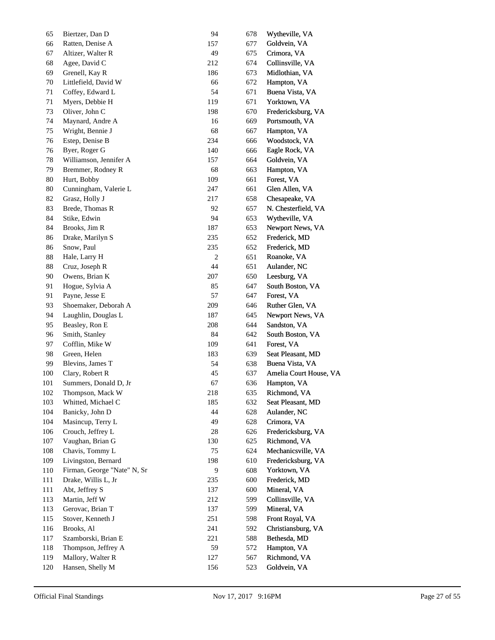| 65  | Biertzer, Dan D             | 94  | 678 | Wytheville, VA         |
|-----|-----------------------------|-----|-----|------------------------|
| 66  | Ratten, Denise A            | 157 | 677 | Goldvein, VA           |
| 67  | Altizer, Walter R           | 49  | 675 | Crimora, VA            |
| 68  | Agee, David C               | 212 | 674 | Collinsville, VA       |
| 69  | Grenell, Kay R              | 186 | 673 | Midlothian, VA         |
| 70  | Littlefield, David W        | 66  | 672 | Hampton, VA            |
| 71  | Coffey, Edward L            | 54  | 671 | Buena Vista, VA        |
| 71  | Myers, Debbie H             | 119 | 671 | Yorktown, VA           |
| 73  | Oliver, John C              | 198 | 670 | Fredericksburg, VA     |
| 74  | Maynard, Andre A            | 16  | 669 | Portsmouth, VA         |
| 75  | Wright, Bennie J            | 68  | 667 | Hampton, VA            |
| 76  | Estep, Denise B             | 234 | 666 | Woodstock, VA          |
| 76  | Byer, Roger G               | 140 | 666 | Eagle Rock, VA         |
| 78  | Williamson, Jennifer A      | 157 | 664 | Goldvein, VA           |
| 79  | Bremmer, Rodney R           | 68  | 663 | Hampton, VA            |
| 80  | Hurt, Bobby                 | 109 | 661 | Forest, VA             |
| 80  | Cunningham, Valerie L       | 247 | 661 | Glen Allen, VA         |
| 82  | Grasz, Holly J              | 217 | 658 | Chesapeake, VA         |
| 83  | Brede, Thomas R             | 92  | 657 | N. Chesterfield, VA    |
| 84  | Stike, Edwin                | 94  | 653 | Wytheville, VA         |
| 84  | Brooks, Jim R               | 187 | 653 | Newport News, VA       |
| 86  | Drake, Marilyn S            | 235 | 652 | Frederick, MD          |
| 86  | Snow, Paul                  | 235 | 652 | Frederick, MD          |
| 88  | Hale, Larry H               | 2   | 651 | Roanoke, VA            |
| 88  | Cruz, Joseph R              | 44  | 651 | Aulander, NC           |
| 90  | Owens, Brian K              | 207 | 650 | Leesburg, VA           |
| 91  | Hogue, Sylvia A             | 85  | 647 | South Boston, VA       |
| 91  | Payne, Jesse E              | 57  | 647 | Forest, VA             |
| 93  | Shoemaker, Deborah A        | 209 | 646 | Ruther Glen, VA        |
| 94  | Laughlin, Douglas L         | 187 | 645 | Newport News, VA       |
| 95  | Beasley, Ron E              | 208 | 644 | Sandston, VA           |
| 96  | Smith, Stanley              | 84  | 642 | South Boston, VA       |
| 97  | Cofflin, Mike W             | 109 | 641 | Forest, VA             |
| 98  | Green, Helen                | 183 | 639 | Seat Pleasant, MD      |
| 99  | Blevins, James T            | 54  | 638 | Buena Vista, VA        |
| 100 | Clary, Robert R             | 45  | 637 | Amelia Court House, VA |
| 101 | Summers, Donald D, Jr       | 67  | 636 | Hampton, VA            |
| 102 | Thompson, Mack W            | 218 | 635 | Richmond, VA           |
| 103 | Whitted, Michael C          | 185 | 632 | Seat Pleasant, MD      |
| 104 | Banicky, John D             | 44  | 628 | Aulander, NC           |
| 104 | Masincup, Terry L           | 49  | 628 | Crimora, VA            |
| 106 | Crouch, Jeffrey L           | 28  | 626 | Fredericksburg, VA     |
| 107 | Vaughan, Brian G            | 130 | 625 | Richmond, VA           |
| 108 | Chavis, Tommy L             | 75  | 624 | Mechanicsville, VA     |
| 109 | Livingston, Bernard         | 198 | 610 | Fredericksburg, VA     |
| 110 | Firman, George "Nate" N, Sr | 9   | 608 | Yorktown, VA           |
| 111 | Drake, Willis L, Jr         | 235 | 600 | Frederick, MD          |
| 111 | Abt, Jeffrey S              | 137 | 600 | Mineral, VA            |
| 113 | Martin, Jeff W              | 212 | 599 | Collinsville, VA       |
| 113 | Gerovac, Brian T            | 137 | 599 | Mineral, VA            |
| 115 | Stover, Kenneth J           | 251 | 598 | Front Royal, VA        |
| 116 | Brooks, Al                  | 241 | 592 | Christiansburg, VA     |
| 117 | Szamborski, Brian E         | 221 | 588 | Bethesda, MD           |
| 118 | Thompson, Jeffrey A         | 59  | 572 | Hampton, VA            |
| 119 | Mallory, Walter R           | 127 | 567 | Richmond, VA           |
| 120 | Hansen, Shelly M            | 156 | 523 | Goldvein, VA           |
|     |                             |     |     |                        |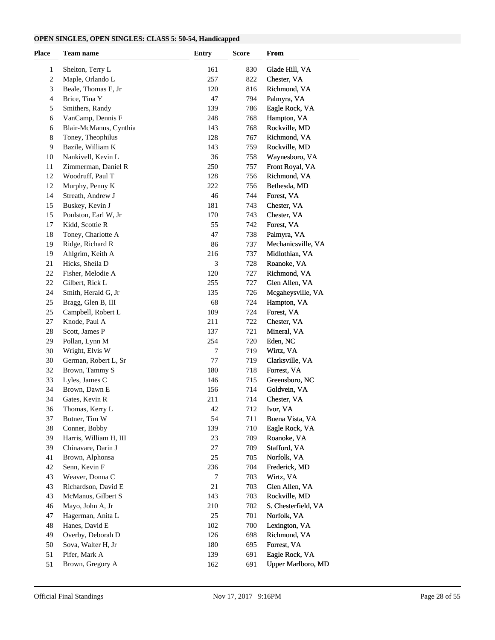#### **OPEN SINGLES, OPEN SINGLES: CLASS 5: 50-54, Handicapped**

| <b>Place</b> | <b>Team name</b>       | <b>Entry</b> | <b>Score</b> | <b>From</b>         |  |
|--------------|------------------------|--------------|--------------|---------------------|--|
| 1            | Shelton, Terry L       | 161          | 830          | Glade Hill, VA      |  |
| 2            | Maple, Orlando L       | 257          | 822          | Chester, VA         |  |
| 3            | Beale, Thomas E, Jr    | 120          | 816          | Richmond, VA        |  |
| 4            | Brice, Tina Y          | 47           | 794          | Palmyra, VA         |  |
| 5            | Smithers, Randy        | 139          | 786          | Eagle Rock, VA      |  |
| 6            | VanCamp, Dennis F      | 248          | 768          | Hampton, VA         |  |
| 6            | Blair-McManus, Cynthia | 143          | 768          | Rockville, MD       |  |
| 8            | Toney, Theophilus      | 128          | 767          | Richmond, VA        |  |
| 9            | Bazile, William K      | 143          | 759          | Rockville, MD       |  |
| 10           | Nankivell, Kevin L     | 36           | 758          | Waynesboro, VA      |  |
| 11           | Zimmerman, Daniel R    | 250          | 757          | Front Royal, VA     |  |
| 12           | Woodruff, Paul T       | 128          | 756          | Richmond, VA        |  |
| 12           | Murphy, Penny K        | 222          | 756          | Bethesda, MD        |  |
| 14           | Streath, Andrew J      | 46           | 744          | Forest, VA          |  |
| 15           | Buskey, Kevin J        | 181          | 743          | Chester, VA         |  |
| 15           | Poulston, Earl W, Jr   | 170          | 743          | Chester, VA         |  |
| 17           | Kidd, Scottie R        | 55           | 742          | Forest, VA          |  |
| 18           | Toney, Charlotte A     | 47           | 738          | Palmyra, VA         |  |
| 19           | Ridge, Richard R       | 86           | 737          | Mechanicsville, VA  |  |
| 19           | Ahlgrim, Keith A       | 216          | 737          | Midlothian, VA      |  |
| 21           | Hicks, Sheila D        | 3            | 728          | Roanoke, VA         |  |
| 22           | Fisher, Melodie A      | 120          | 727          | Richmond, VA        |  |
| 22           | Gilbert, Rick L        | 255          | 727          | Glen Allen, VA      |  |
| 24           | Smith, Herald G, Jr    | 135          | 726          | Mcgaheysville, VA   |  |
| 25           | Bragg, Glen B, III     | 68           | 724          | Hampton, VA         |  |
| 25           | Campbell, Robert L     | 109          | 724          | Forest, VA          |  |
| 27           | Knode, Paul A          | 211          | 722          | Chester, VA         |  |
| 28           | Scott, James P         | 137          | 721          | Mineral, VA         |  |
| 29           | Pollan, Lynn M         | 254          | 720          | Eden, NC            |  |
| 30           | Wright, Elvis W        | 7            | 719          | Wirtz, VA           |  |
| 30           | German, Robert L, Sr   | $77 \,$      | 719          | Clarksville, VA     |  |
| 32           | Brown, Tammy S         | 180          | 718          | Forrest, VA         |  |
| 33           | Lyles, James C         | 146          | 715          | Greensboro, NC      |  |
| 34           | Brown, Dawn E          | 156          | 714          | Goldvein, VA        |  |
| 34           | Gates, Kevin R         | 211          | 714          | Chester, VA         |  |
| 36           | Thomas, Kerry L        | 42           | 712          | Ivor, VA            |  |
| 37           | Butner, Tim W          | 54           | 711          | Buena Vista, VA     |  |
| 38           | Conner, Bobby          | 139          | 710          | Eagle Rock, VA      |  |
| 39           | Harris, William H, III | 23           | 709          | Roanoke, VA         |  |
| 39           | Chinavare, Darin J     | 27           | 709          | Stafford, VA        |  |
| 41           | Brown, Alphonsa        | 25           | 705          | Norfolk, VA         |  |
| 42           | Senn, Kevin F          | 236          | 704          | Frederick, MD       |  |
| 43           | Weaver, Donna C        | 7            | 703          | Wirtz, VA           |  |
| 43           | Richardson, David E    | 21           | 703          | Glen Allen, VA      |  |
| 43           | McManus, Gilbert S     | 143          | 703          | Rockville, MD       |  |
| 46           | Mayo, John A, Jr       | 210          | 702          | S. Chesterfield, VA |  |
| 47           | Hagerman, Anita L      | 25           | 701          | Norfolk, VA         |  |
| 48           | Hanes, David E         | 102          | 700          | Lexington, VA       |  |
| 49           | Overby, Deborah D      | 126          | 698          | Richmond, VA        |  |
| 50           | Sova, Walter H, Jr     | 180          | 695          | Forrest, VA         |  |
| 51           | Pifer, Mark A          | 139          | 691          | Eagle Rock, VA      |  |
| 51           | Brown, Gregory A       | 162          | 691          | Upper Marlboro, MD  |  |
|              |                        |              |              |                     |  |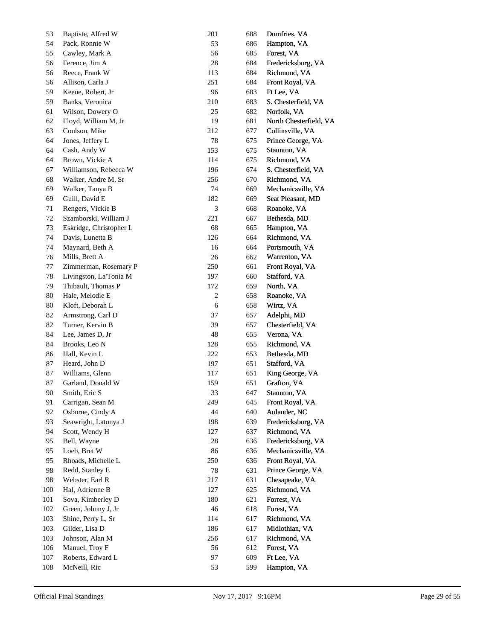| 53           | Baptiste, Alfred W      | 201              | 688 | Dumfries, VA           |
|--------------|-------------------------|------------------|-----|------------------------|
| 54           | Pack, Ronnie W          | 53               | 686 | Hampton, VA            |
| 55           | Cawley, Mark A          | 56               | 685 | Forest, VA             |
| 56           | Ference, Jim A          | 28               | 684 | Fredericksburg, VA     |
| 56           | Reece, Frank W          | 113              | 684 | Richmond, VA           |
| 56           | Allison, Carla J        | 251              | 684 | Front Royal, VA        |
| 59           | Keene, Robert, Jr       | 96               | 683 | Ft Lee, VA             |
| 59           | Banks, Veronica         | 210              | 683 | S. Chesterfield, VA    |
| 61           | Wilson, Dowery O        | 25               | 682 | Norfolk, VA            |
| 62           | Floyd, William M, Jr    | 19               | 681 | North Chesterfield, VA |
| 63           | Coulson, Mike           | 212              | 677 | Collinsville, VA       |
| 64           | Jones, Jeffery L        | 78               | 675 | Prince George, VA      |
| 64           | Cash, Andy W            | 153              | 675 | Staunton, VA           |
| 64           | Brown, Vickie A         | 114              | 675 | Richmond, VA           |
| 67           | Williamson, Rebecca W   | 196              | 674 | S. Chesterfield, VA    |
| 68           | Walker, Andre M, Sr     | 256              | 670 | Richmond, VA           |
| 69           | Walker, Tanya B         | 74               | 669 | Mechanicsville, VA     |
| 69           | Guill, David E          | 182              | 669 | Seat Pleasant, MD      |
| 71           | Rengers, Vickie B       | 3                | 668 | Roanoke, VA            |
| 72           | Szamborski, William J   | 221              | 667 | Bethesda, MD           |
| 73           | Eskridge, Christopher L | 68               | 665 | Hampton, VA            |
| 74           | Davis, Lunetta B        | 126              | 664 | Richmond, VA           |
| 74           | Maynard, Beth A         | 16               | 664 | Portsmouth, VA         |
| 76           | Mills, Brett A          | 26               | 662 | Warrenton, VA          |
| 77           | Zimmerman, Rosemary P   | 250              | 661 | Front Royal, VA        |
| 78           | Livingston, La'Tonia M  | 197              | 660 | Stafford, VA           |
| 79           | Thibault, Thomas P      | 172              | 659 | North, VA              |
| 80           | Hale, Melodie E         | $\boldsymbol{2}$ | 658 | Roanoke, VA            |
| 80           | Kloft, Deborah L        | 6                | 658 | Wirtz, VA              |
| 82           | Armstrong, Carl D       | 37               | 657 | Adelphi, MD            |
| 82           | Turner, Kervin B        | 39               | 657 | Chesterfield, VA       |
| 84           | Lee, James D, Jr        | 48               | 655 | Verona, VA             |
| 84           | Brooks, Leo N           | 128              | 655 | Richmond, VA           |
| 86           | Hall, Kevin L           | 222              | 653 | Bethesda, MD           |
| 87           | Heard, John D           | 197              | 651 | Stafford, VA           |
| 87           | Williams, Glenn         | 117              | 651 | King George, VA        |
| 87           | Garland, Donald W       | 159              | 651 | Grafton, VA            |
| $90\text{ }$ | Smith, Eric S           | 33               | 647 | Staunton, VA           |
| 91           | Carrigan, Sean M        | 249              | 645 | Front Royal, VA        |
| 92           | Osborne, Cindy A        | 44               | 640 | Aulander, NC           |
| 93           | Seawright, Latonya J    | 198              | 639 | Fredericksburg, VA     |
| 94           | Scott, Wendy H          | 127              | 637 | Richmond, VA           |
| 95           | Bell, Wayne             | $28\,$           | 636 | Fredericksburg, VA     |
| 95           | Loeb, Bret W            | 86               | 636 | Mechanicsville, VA     |
| 95           | Rhoads, Michelle L      | 250              | 636 | Front Royal, VA        |
| 98           | Redd, Stanley E         | 78               | 631 | Prince George, VA      |
| 98           | Webster, Earl R         | 217              | 631 | Chesapeake, VA         |
| 100          | Hal, Adrienne B         | 127              | 625 | Richmond, VA           |
| 101          | Sova, Kimberley D       | 180              | 621 | Forrest, VA            |
| 102          | Green, Johnny J, Jr     | $46\,$           | 618 | Forest, VA             |
| 103          | Shine, Perry L, Sr      | 114              | 617 | Richmond, VA           |
| 103          | Gilder, Lisa D          | 186              | 617 | Midlothian, VA         |
| 103          | Johnson, Alan M         | 256              | 617 | Richmond, VA           |
|              | Manuel, Troy F          | 56               |     | Forest, VA             |
| 106          | Roberts, Edward L       | 97               | 612 |                        |
| 107          |                         |                  | 609 | Ft Lee, VA             |
| $108\,$      | McNeill, Ric            | 53               | 599 | Hampton, VA            |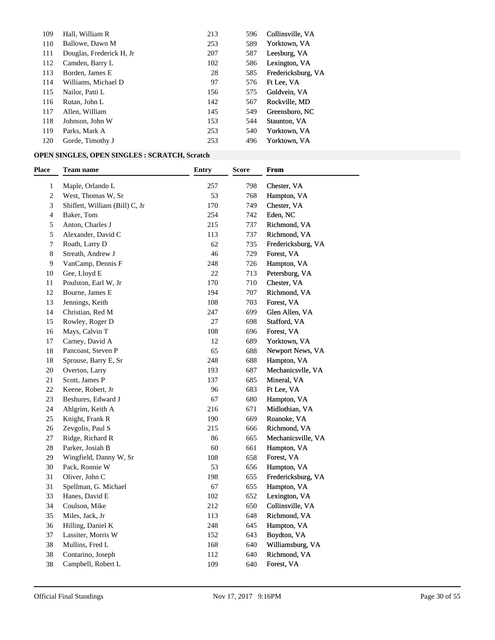| 109 | Hall, William R          | 213 | 596 | Collinsville, VA   |
|-----|--------------------------|-----|-----|--------------------|
| 110 | Ballowe, Dawn M          | 253 | 589 | Yorktown, VA       |
| 111 | Douglas, Frederick H, Jr | 207 | 587 | Leesburg, VA       |
| 112 | Camden, Barry L          | 102 | 586 | Lexington, VA      |
| 113 | Borden, James E          | 28  | 585 | Fredericksburg, VA |
| 114 | Williams, Michael D      | 97  | 576 | Ft Lee, VA         |
| 115 | Nailor, Patti L          | 156 | 575 | Goldvein, VA       |
| 116 | Rutan, John L            | 142 | 567 | Rockville, MD      |
| 117 | Allen, William           | 145 | 549 | Greensboro, NC     |
| 118 | Johnson. John W          | 153 | 544 | Staunton, VA       |
| 119 | Parks, Mark A            | 253 | 540 | Yorktown, VA       |
| 120 | Gorde, Timothy J         | 253 | 496 | Yorktown, VA       |

### **OPEN SINGLES, OPEN SINGLES : SCRATCH, Scratch**

| Place          | <b>Team name</b>               | <b>Entry</b> | <b>Score</b> | From               |
|----------------|--------------------------------|--------------|--------------|--------------------|
| 1              | Maple, Orlando L               | 257          | 798          | Chester, VA        |
| $\overline{c}$ | West, Thomas W, Sr             | 53           | 768          | Hampton, VA        |
| 3              | Shiflett, William (Bill) C, Jr | 170          | 749          | Chester, VA        |
| 4              | Baker, Tom                     | 254          | 742          | Eden, NC           |
| 5              | Anton, Charles J               | 215          | 737          | Richmond, VA       |
| 5              | Alexander, David C             | 113          | 737          | Richmond, VA       |
| 7              | Roath, Larry D                 | 62           | 735          | Fredericksburg, VA |
| 8              | Streath, Andrew J              | 46           | 729          | Forest, VA         |
| 9              | VanCamp, Dennis F              | 248          | 726          | Hampton, VA        |
| 10             | Gee, Lloyd E                   | 22           | 713          | Petersburg, VA     |
| 11             | Poulston, Earl W, Jr           | 170          | 710          | Chester, VA        |
| 12             | Bourne, James E                | 194          | 707          | Richmond, VA       |
| 13             | Jennings, Keith                | 108          | 703          | Forest, VA         |
| 14             | Christian, Red M               | 247          | 699          | Glen Allen, VA     |
| 15             | Rowley, Roger D                | 27           | 698          | Stafford, VA       |
| 16             | Mays, Calvin T                 | 108          | 696          | Forest, VA         |
| 17             | Carney, David A                | 12           | 689          | Yorktown, VA       |
| 18             | Pancoast, Steven P             | 65           | 688          | Newport News, VA   |
| 18             | Sprouse, Barry E, Sr           | 248          | 688          | Hampton, VA        |
| 20             | Overton, Larry                 | 193          | 687          | Mechanicsvlle, VA  |
| 21             | Scott, James P                 | 137          | 685          | Mineral, VA        |
| 22             | Keene, Robert, Jr              | 96           | 683          | Ft Lee, VA         |
| 23             | Beshures, Edward J             | 67           | 680          | Hampton, VA        |
| 24             | Ahlgrim, Keith A               | 216          | 671          | Midlothian, VA     |
| 25             | Knight, Frank R                | 190          | 669          | Roanoke, VA        |
| 26             | Zevgolis, Paul S               | 215          | 666          | Richmond, VA       |
| 27             | Ridge, Richard R               | 86           | 665          | Mechanicsville, VA |
| 28             | Parker, Josiah B               | 60           | 661          | Hampton, VA        |
| 29             | Wingfield, Danny W, Sr         | 108          | 658          | Forest, VA         |
| 30             | Pack, Ronnie W                 | 53           | 656          | Hampton, VA        |
| 31             | Oliver, John C                 | 198          | 655          | Fredericksburg, VA |
| 31             | Spellman, G. Michael           | 67           | 655          | Hampton, VA        |
| 33             | Hanes, David E                 | 102          | 652          | Lexington, VA      |
| 34             | Coulson, Mike                  | 212          | 650          | Collinsville, VA   |
| 35             | Miles, Jack, Jr                | 113          | 648          | Richmond, VA       |
| 36             | Hilling, Daniel K              | 248          | 645          | Hampton, VA        |
| 37             | Lassiter, Morris W             | 152          | 643          | Boydton, VA        |
| 38             | Mullins, Fred L                | 168          | 640          | Williamsburg, VA   |
| 38             | Contarino, Joseph              | 112          | 640          | Richmond, VA       |
| 38             | Campbell, Robert L             | 109          | 640          | Forest, VA         |
|                |                                |              |              |                    |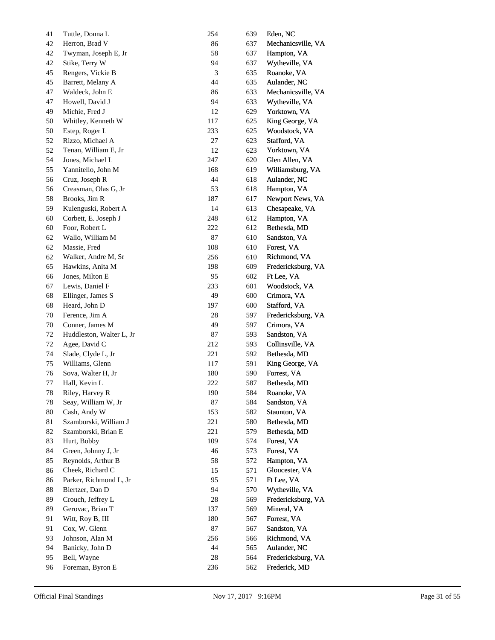| 41     | Tuttle, Donna L          | 254            | 639 | Eden, NC           |
|--------|--------------------------|----------------|-----|--------------------|
| 42     | Herron, Brad V           | 86             | 637 | Mechanicsville, VA |
| 42     | Twyman, Joseph E, Jr     | 58             | 637 | Hampton, VA        |
| 42     | Stike, Terry W           | 94             | 637 | Wytheville, VA     |
| 45     | Rengers, Vickie B        | $\mathfrak{Z}$ | 635 | Roanoke, VA        |
| 45     | Barrett, Melany A        | 44             | 635 | Aulander, NC       |
| 47     | Waldeck, John E          | 86             | 633 | Mechanicsville, VA |
| 47     | Howell, David J          | 94             | 633 | Wytheville, VA     |
| 49     | Michie, Fred J           | 12             | 629 | Yorktown, VA       |
| 50     | Whitley, Kenneth W       | 117            | 625 | King George, VA    |
| 50     | Estep, Roger L           | 233            | 625 | Woodstock, VA      |
| 52     | Rizzo, Michael A         | 27             | 623 | Stafford, VA       |
| 52     | Tenan, William E, Jr     | 12             | 623 | Yorktown, VA       |
| 54     | Jones, Michael L         | 247            | 620 | Glen Allen, VA     |
| 55     | Yannitello, John M       | 168            | 619 | Williamsburg, VA   |
| 56     | Cruz, Joseph R           | 44             | 618 | Aulander, NC       |
| 56     | Creasman, Olas G, Jr     | 53             | 618 | Hampton, VA        |
| 58     | Brooks, Jim R            | 187            | 617 | Newport News, VA   |
| 59     | Kulenguski, Robert A     | 14             | 613 | Chesapeake, VA     |
| 60     | Corbett, E. Joseph J     | 248            | 612 | Hampton, VA        |
| 60     | Foor, Robert L           | 222            | 612 | Bethesda, MD       |
| 62     | Wallo, William M         | 87             | 610 | Sandston, VA       |
| 62     | Massie, Fred             | 108            | 610 | Forest, VA         |
| 62     | Walker, Andre M, Sr      | 256            | 610 | Richmond, VA       |
| 65     | Hawkins, Anita M         | 198            | 609 | Fredericksburg, VA |
| 66     | Jones, Milton E          | 95             | 602 | Ft Lee, VA         |
| 67     | Lewis, Daniel F          | 233            | 601 | Woodstock, VA      |
| 68     | Ellinger, James S        | 49             | 600 | Crimora, VA        |
| 68     | Heard, John D            | 197            | 600 | Stafford, VA       |
| 70     | Ference, Jim A           | 28             | 597 | Fredericksburg, VA |
| 70     | Conner, James M          | 49             | 597 | Crimora, VA        |
| 72     | Huddleston, Walter L, Jr | 87             | 593 | Sandston, VA       |
| 72     | Agee, David C            | 212            | 593 | Collinsville, VA   |
| 74     | Slade, Clyde L, Jr       | 221            | 592 | Bethesda, MD       |
| 75     | Williams, Glenn          | 117            | 591 | King George, VA    |
| 76     | Sova, Walter H, Jr       | 180            | 590 | Forrest, VA        |
| 77     | Hall, Kevin L            | 222            | 587 | Bethesda, MD       |
| $78\,$ | Riley, Harvey R          | 190            | 584 | Roanoke, VA        |
| 78     | Seay, William W, Jr      | 87             | 584 | Sandston, VA       |
| 80     | Cash, Andy W             | 153            | 582 | Staunton, VA       |
| 81     | Szamborski, William J    | 221            | 580 | Bethesda, MD       |
| 82     | Szamborski, Brian E      | 221            | 579 | Bethesda, MD       |
| 83     | Hurt, Bobby              | 109            | 574 | Forest, VA         |
| 84     | Green, Johnny J, Jr      | 46             | 573 | Forest, VA         |
| 85     | Reynolds, Arthur B       | 58             | 572 | Hampton, VA        |
| 86     | Cheek, Richard C         | 15             | 571 | Gloucester, VA     |
| 86     | Parker, Richmond L, Jr   | 95             | 571 | Ft Lee, VA         |
| 88     | Biertzer, Dan D          | 94             | 570 | Wytheville, VA     |
| 89     | Crouch, Jeffrey L        | 28             | 569 | Fredericksburg, VA |
| 89     | Gerovac, Brian T         | 137            | 569 | Mineral, VA        |
| 91     | Witt, Roy B, III         | 180            | 567 | Forrest, VA        |
| 91     | Cox, W. Glenn            | $87\,$         | 567 | Sandston, VA       |
| 93     | Johnson, Alan M          | 256            | 566 | Richmond, VA       |
| 94     | Banicky, John D          | 44             | 565 | Aulander, NC       |
| 95     | Bell, Wayne              | 28             | 564 | Fredericksburg, VA |
| 96     | Foreman, Byron E         | 236            | 562 | Frederick, MD      |
|        |                          |                |     |                    |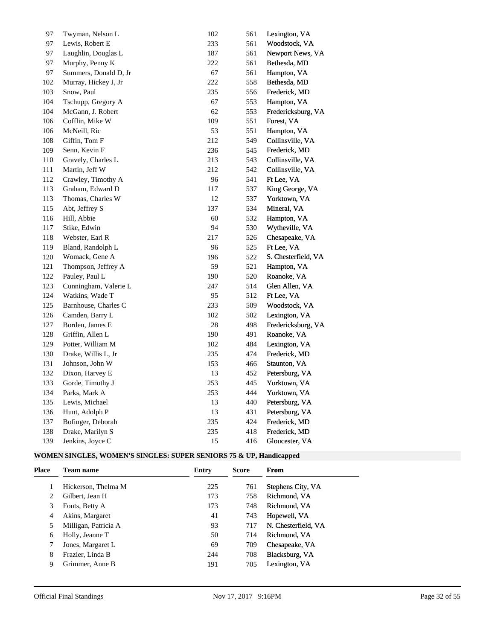| 97  | Twyman, Nelson L       | 102 | 561 | Lexington, VA       |
|-----|------------------------|-----|-----|---------------------|
| 97  | Lewis, Robert E        | 233 | 561 | Woodstock, VA       |
| 97  | Laughlin, Douglas L    | 187 | 561 | Newport News, VA    |
| 97  | Murphy, Penny K        | 222 | 561 | Bethesda, MD        |
| 97  | Summers, Donald D, Jr. | 67  | 561 | Hampton, VA         |
| 102 | Murray, Hickey J, Jr   | 222 | 558 | Bethesda, MD        |
| 103 | Snow, Paul             | 235 | 556 | Frederick, MD       |
| 104 | Tschupp, Gregory A     | 67  | 553 | Hampton, VA         |
| 104 | McGann, J. Robert      | 62  | 553 | Fredericksburg, VA  |
| 106 | Cofflin, Mike W        | 109 | 551 | Forest, VA          |
| 106 | McNeill, Ric           | 53  | 551 | Hampton, VA         |
| 108 | Giffin, Tom F          | 212 | 549 | Collinsville, VA    |
| 109 | Senn, Kevin F          | 236 | 545 | Frederick, MD       |
| 110 | Gravely, Charles L     | 213 | 543 | Collinsville, VA    |
| 111 | Martin, Jeff W         | 212 | 542 | Collinsville, VA    |
| 112 | Crawley, Timothy A     | 96  | 541 | Ft Lee, VA          |
| 113 | Graham, Edward D       | 117 | 537 | King George, VA     |
| 113 | Thomas, Charles W      | 12  | 537 | Yorktown, VA        |
| 115 | Abt, Jeffrey S         | 137 | 534 | Mineral, VA         |
| 116 | Hill, Abbie            | 60  | 532 | Hampton, VA         |
| 117 | Stike, Edwin           | 94  | 530 | Wytheville, VA      |
| 118 | Webster, Earl R        | 217 | 526 | Chesapeake, VA      |
| 119 | Bland, Randolph L      | 96  | 525 | Ft Lee, VA          |
| 120 | Womack, Gene A         | 196 | 522 | S. Chesterfield, VA |
| 121 | Thompson, Jeffrey A    | 59  | 521 | Hampton, VA         |
| 122 | Pauley, Paul L         | 190 | 520 | Roanoke, VA         |
| 123 | Cunningham, Valerie L  | 247 | 514 | Glen Allen, VA      |
| 124 | Watkins, Wade T        | 95  | 512 | Ft Lee, VA          |
| 125 | Barnhouse, Charles C   | 233 | 509 | Woodstock, VA       |
| 126 | Camden, Barry L        | 102 | 502 | Lexington, VA       |
| 127 | Borden, James E        | 28  | 498 | Fredericksburg, VA  |
| 128 | Griffin, Allen L       | 190 | 491 | Roanoke, VA         |
| 129 | Potter, William M      | 102 | 484 | Lexington, VA       |
| 130 | Drake, Willis L, Jr    | 235 | 474 | Frederick, MD       |
| 131 | Johnson, John W        | 153 | 466 | Staunton, VA        |
| 132 | Dixon, Harvey E        | 13  | 452 | Petersburg, VA      |
| 133 | Gorde, Timothy J       | 253 | 445 | Yorktown, VA        |
| 134 | Parks, Mark A          | 253 | 444 | Yorktown, VA        |
| 135 | Lewis, Michael         | 13  | 440 | Petersburg, VA      |
| 136 | Hunt, Adolph P         | 13  | 431 | Petersburg, VA      |
| 137 | Bofinger, Deborah      | 235 | 424 | Frederick, MD       |
| 138 | Drake, Marilyn S       | 235 | 418 | Frederick, MD       |
| 139 | Jenkins, Joyce C       | 15  | 416 | Gloucester, VA      |

## **WOMEN SINGLES, WOMEN'S SINGLES: SUPER SENIORS 75 & UP, Handicapped**

| Place | <b>Team name</b>     | Entry | <b>Score</b> | From                |
|-------|----------------------|-------|--------------|---------------------|
|       | Hickerson, Thelma M  | 225   | 761          | Stephens City, VA   |
|       | Gilbert, Jean H      | 173   | 758          | Richmond, VA        |
| 3     | Fouts, Betty A       | 173   | 748          | Richmond, VA        |
| 4     | Akins, Margaret      | 41    | 743          | Hopewell, VA        |
|       | Milligan, Patricia A | 93    | 717          | N. Chesterfield, VA |
| 6     | Holly, Jeanne T      | 50    | 714          | Richmond, VA        |
|       | Jones, Margaret L    | 69    | 709          | Chesapeake, VA      |
| 8     | Frazier, Linda B     | 244   | 708          | Blacksburg, VA      |
| 9     | Grimmer, Anne B      | 191   | 705          | Lexington, VA       |
|       |                      |       |              |                     |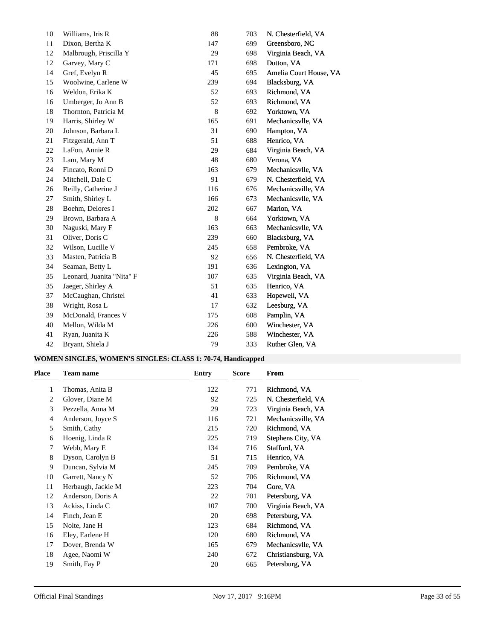| 10 | Williams, Iris R          | 88  | 703 | N. Chesterfield, VA    |
|----|---------------------------|-----|-----|------------------------|
| 11 | Dixon, Bertha K           | 147 | 699 | Greensboro, NC         |
| 12 | Malbrough, Priscilla Y    | 29  | 698 | Virginia Beach, VA     |
| 12 | Garvey, Mary C            | 171 | 698 | Dutton, VA             |
| 14 | Gref, Evelyn R            | 45  | 695 | Amelia Court House, VA |
| 15 | Woolwine, Carlene W       | 239 | 694 | Blacksburg, VA         |
| 16 | Weldon, Erika K           | 52  | 693 | Richmond, VA           |
| 16 | Umberger, Jo Ann B        | 52  | 693 | Richmond, VA           |
| 18 | Thornton, Patricia M      | 8   | 692 | Yorktown, VA           |
| 19 | Harris, Shirley W         | 165 | 691 | Mechanicsvlle, VA      |
| 20 | Johnson, Barbara L        | 31  | 690 | Hampton, VA            |
| 21 | Fitzgerald, Ann T         | 51  | 688 | Henrico, VA            |
| 22 | LaFon, Annie R            | 29  | 684 | Virginia Beach, VA     |
| 23 | Lam, Mary M               | 48  | 680 | Verona, VA             |
| 24 | Fincato, Ronni D          | 163 | 679 | Mechanicsvlle, VA      |
| 24 | Mitchell, Dale C          | 91  | 679 | N. Chesterfield, VA    |
| 26 | Reilly, Catherine J       | 116 | 676 | Mechanicsville, VA     |
| 27 | Smith, Shirley L          | 166 | 673 | Mechanicsvlle, VA      |
| 28 | Boehm, Delores I          | 202 | 667 | Marion, VA             |
| 29 | Brown, Barbara A          | 8   | 664 | Yorktown, VA           |
| 30 | Naguski, Mary F           | 163 | 663 | Mechanicsvlle, VA      |
| 31 | Oliver, Doris C           | 239 | 660 | Blacksburg, VA         |
| 32 | Wilson, Lucille V         | 245 | 658 | Pembroke, VA           |
| 33 | Masten, Patricia B        | 92  | 656 | N. Chesterfield, VA    |
| 34 | Seaman, Betty L           | 191 | 636 | Lexington, VA          |
| 35 | Leonard, Juanita "Nita" F | 107 | 635 | Virginia Beach, VA     |
| 35 | Jaeger, Shirley A         | 51  | 635 | Henrico, VA            |
| 37 | McCaughan, Christel       | 41  | 633 | Hopewell, VA           |
| 38 | Wright, Rosa L            | 17  | 632 | Leesburg, VA           |
| 39 | McDonald, Frances V       | 175 | 608 | Pamplin, VA            |
| 40 | Mellon, Wilda M           | 226 | 600 | Winchester, VA         |
| 41 | Ryan, Juanita K           | 226 | 588 | Winchester, VA         |
| 42 | Bryant, Shiela J          | 79  | 333 | Ruther Glen, VA        |

## **WOMEN SINGLES, WOMEN'S SINGLES: CLASS 1: 70-74, Handicapped**

| 122<br>Thomas, Anita B<br>771<br>Richmond, VA<br>1<br>92<br>Glover, Diane M<br>725<br>N. Chesterfield, VA<br>2<br>3<br>29<br>723<br>Virginia Beach, VA<br>Pezzella, Anna M |
|----------------------------------------------------------------------------------------------------------------------------------------------------------------------------|
|                                                                                                                                                                            |
|                                                                                                                                                                            |
|                                                                                                                                                                            |
| 116<br>Anderson, Joyce S<br>721<br>Mechanicsville, VA<br>4                                                                                                                 |
| 5<br>Smith, Cathy<br>215<br>720<br>Richmond, VA                                                                                                                            |
| 225<br>719<br>Hoenig, Linda R<br>Stephens City, VA<br>6                                                                                                                    |
| Webb, Mary E<br>134<br>716<br>Stafford, VA<br>7                                                                                                                            |
| 51<br>8<br>Dyson, Carolyn B<br>715<br>Henrico, VA                                                                                                                          |
| 9<br>Duncan, Sylvia M<br>245<br>709<br>Pembroke, VA                                                                                                                        |
| 52<br>10<br>Garrett, Nancy N<br>706<br>Richmond, VA                                                                                                                        |
| 11<br>Herbaugh, Jackie M<br>223<br>704<br>Gore, VA                                                                                                                         |
| 12<br>Anderson, Doris A<br>22<br>701<br>Petersburg, VA                                                                                                                     |
| 13<br>Ackiss, Linda C<br>107<br>700<br>Virginia Beach, VA                                                                                                                  |
| 20<br>14<br>Finch, Jean E<br>698<br>Petersburg, VA                                                                                                                         |
| 123<br>Richmond, VA<br>15<br>Nolte, Jane H<br>684                                                                                                                          |
| 120<br>16<br>Eley, Earlene H<br>680<br>Richmond, VA                                                                                                                        |
| 165<br>679<br>17<br>Dover, Brenda W<br>Mechanicsvlle, VA                                                                                                                   |
| 672<br>18<br>Agee, Naomi W<br>240<br>Christiansburg, VA                                                                                                                    |
| 20<br>19<br>Smith, Fay P<br>665<br>Petersburg, VA                                                                                                                          |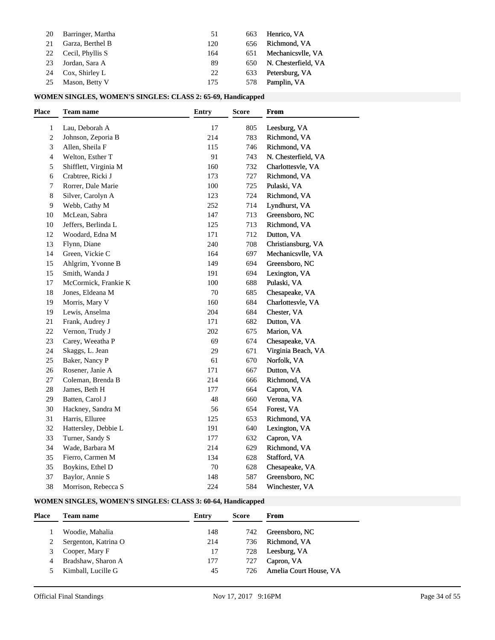| 20 | Barringer, Martha | 51  | 663 | Henrico, VA         |
|----|-------------------|-----|-----|---------------------|
| 21 | Garza, Berthel B  | 120 | 656 | Richmond, VA        |
| 22 | Cecil, Phyllis S  | 164 | 651 | Mechanicsvlle, VA   |
| 23 | Jordan, Sara A    | 89  | 650 | N. Chesterfield, VA |
| 24 | Cox, Shirley L    | 22  | 633 | Petersburg, VA      |
| 25 | Mason, Betty V    | 175 | 578 | Pamplin, VA         |

## **WOMEN SINGLES, WOMEN'S SINGLES: CLASS 2: 65-69, Handicapped**

| <b>Place</b>   | Team name             | Entry | <b>Score</b> | From                |
|----------------|-----------------------|-------|--------------|---------------------|
| 1              | Lau, Deborah A        | 17    | 805          | Leesburg, VA        |
| $\overline{c}$ | Johnson, Zeporia B    | 214   | 783          | Richmond, VA        |
| 3              | Allen, Sheila F       | 115   | 746          | Richmond, VA        |
| 4              | Welton, Esther T      | 91    | 743          | N. Chesterfield, VA |
| 5              | Shifflett, Virginia M | 160   | 732          | Charlottesvle, VA   |
| 6              | Crabtree, Ricki J     | 173   | 727          | Richmond, VA        |
| 7              | Rorrer, Dale Marie    | 100   | 725          | Pulaski, VA         |
| 8              | Silver, Carolyn A     | 123   | 724          | Richmond, VA        |
| 9              | Webb, Cathy M         | 252   | 714          | Lyndhurst, VA       |
| 10             | McLean, Sabra         | 147   | 713          | Greensboro, NC      |
| 10             | Jeffers, Berlinda L   | 125   | 713          | Richmond, VA        |
| 12             | Woodard, Edna M       | 171   | 712          | Dutton, VA          |
| 13             | Flynn, Diane          | 240   | 708          | Christiansburg, VA  |
| 14             | Green, Vickie C       | 164   | 697          | Mechanicsvlle, VA   |
| 15             | Ahlgrim, Yvonne B     | 149   | 694          | Greensboro, NC      |
| 15             | Smith, Wanda J        | 191   | 694          | Lexington, VA       |
| 17             | McCormick, Frankie K  | 100   | 688          | Pulaski, VA         |
| 18             | Jones, Eldeana M      | 70    | 685          | Chesapeake, VA      |
| 19             | Morris, Mary V        | 160   | 684          | Charlottesvle, VA   |
| 19             | Lewis, Anselma        | 204   | 684          | Chester, VA         |
| 21             | Frank, Audrey J       | 171   | 682          | Dutton, VA          |
| 22             | Vernon, Trudy J       | 202   | 675          | Marion, VA          |
| 23             | Carey, Weeatha P      | 69    | 674          | Chesapeake, VA      |
| 24             | Skaggs, L. Jean       | 29    | 671          | Virginia Beach, VA  |
| 25             | Baker, Nancy P        | 61    | 670          | Norfolk, VA         |
| 26             | Rosener, Janie A      | 171   | 667          | Dutton, VA          |
| 27             | Coleman, Brenda B     | 214   | 666          | Richmond, VA        |
| 28             | James, Beth H         | 177   | 664          | Capron, VA          |
| 29             | Batten, Carol J       | 48    | 660          | Verona, VA          |
| 30             | Hackney, Sandra M     | 56    | 654          | Forest, VA          |
| 31             | Harris, Elluree       | 125   | 653          | Richmond, VA        |
| 32             | Hattersley, Debbie L  | 191   | 640          | Lexington, VA       |
| 33             | Turner, Sandy S       | 177   | 632          | Capron, VA          |
| 34             | Wade, Barbara M       | 214   | 629          | Richmond, VA        |
| 35             | Fierro, Carmen M      | 134   | 628          | Stafford, VA        |
| 35             | Boykins, Ethel D      | 70    | 628          | Chesapeake, VA      |
| 37             | Baylor, Annie S       | 148   | 587          | Greensboro, NC      |
| 38             | Morrison, Rebecca S   | 224   | 584          | Winchester, VA      |

## **WOMEN SINGLES, WOMEN'S SINGLES: CLASS 3: 60-64, Handicapped**

| Place | <b>Team name</b>     | Entry | <b>Score</b> | From                   |
|-------|----------------------|-------|--------------|------------------------|
|       | Woodie, Mahalia      | 148   | 742          | Greensboro, NC         |
|       | Sergenton, Katrina O | 214   | 736          | Richmond, VA           |
|       | Cooper, Mary F       | 17    | 728          | Leesburg, VA           |
|       | Bradshaw, Sharon A   | 177   | 727          | Capron, VA             |
|       | Kimball, Lucille G   | 45    | 726          | Amelia Court House, VA |
|       |                      |       |              |                        |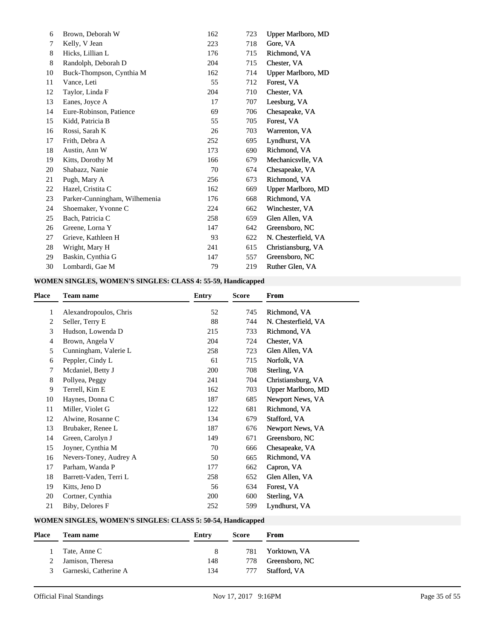| 6  | Brown, Deborah W              | 162 | 723 | Upper Marlboro, MD  |
|----|-------------------------------|-----|-----|---------------------|
| 7  | Kelly, V Jean                 | 223 | 718 | Gore, VA            |
| 8  | Hicks, Lillian L              | 176 | 715 | Richmond, VA        |
| 8  | Randolph, Deborah D           | 204 | 715 | Chester, VA         |
| 10 | Buck-Thompson, Cynthia M      | 162 | 714 | Upper Marlboro, MD  |
| 11 | Vance, Leti                   | 55  | 712 | Forest, VA          |
| 12 | Taylor, Linda F               | 204 | 710 | Chester, VA         |
| 13 | Eanes, Joyce A                | 17  | 707 | Leesburg, VA        |
| 14 | Eure-Robinson, Patience       | 69  | 706 | Chesapeake, VA      |
| 15 | Kidd, Patricia B              | 55  | 705 | Forest, VA          |
| 16 | Rossi, Sarah K                | 26  | 703 | Warrenton, VA       |
| 17 | Frith, Debra A                | 252 | 695 | Lyndhurst, VA       |
| 18 | Austin, Ann W                 | 173 | 690 | Richmond, VA        |
| 19 | Kitts, Dorothy M              | 166 | 679 | Mechanicsvlle, VA   |
| 20 | Shabazz, Nanie                | 70  | 674 | Chesapeake, VA      |
| 21 | Pugh, Mary A                  | 256 | 673 | Richmond, VA        |
| 22 | Hazel, Cristita C             | 162 | 669 | Upper Marlboro, MD  |
| 23 | Parker-Cunningham, Wilhemenia | 176 | 668 | Richmond, VA        |
| 24 | Shoemaker, Yvonne C           | 224 | 662 | Winchester, VA      |
| 25 | Bach, Patricia C              | 258 | 659 | Glen Allen, VA      |
| 26 | Greene, Lorna Y               | 147 | 642 | Greensboro, NC      |
| 27 | Grieve, Kathleen H            | 93  | 622 | N. Chesterfield, VA |
| 28 | Wright, Mary H                | 241 | 615 | Christiansburg, VA  |
| 29 | Baskin, Cynthia G             | 147 | 557 | Greensboro, NC      |
| 30 | Lombardi, Gae M               | 79  | 219 | Ruther Glen, VA     |

# **WOMEN SINGLES, WOMEN'S SINGLES: CLASS 4: 55-59, Handicapped**

| Place | <b>Team name</b>       | Entry | <b>Score</b> | From                |
|-------|------------------------|-------|--------------|---------------------|
| 1     | Alexandropoulos, Chris | 52    | 745          | Richmond, VA        |
| 2     | Seller, Terry E        | 88    | 744          | N. Chesterfield, VA |
| 3     | Hudson, Lowenda D      | 215   | 733          | Richmond, VA        |
| 4     | Brown, Angela V        | 204   | 724          | Chester, VA         |
| 5     | Cunningham, Valerie L  | 258   | 723          | Glen Allen, VA      |
| 6     | Peppler, Cindy L       | 61    | 715          | Norfolk, VA         |
| 7     | Mcdaniel, Betty J      | 200   | 708          | Sterling, VA        |
| 8     | Pollyea, Peggy         | 241   | 704          | Christiansburg, VA  |
| 9     | Terrell, Kim E         | 162   | 703          | Upper Marlboro, MD  |
| 10    | Haynes, Donna C        | 187   | 685          | Newport News, VA    |
| 11    | Miller, Violet G       | 122   | 681          | Richmond, VA        |
| 12    | Alwine, Rosanne C      | 134   | 679          | Stafford, VA        |
| 13    | Brubaker, Renee L      | 187   | 676          | Newport News, VA    |
| 14    | Green, Carolyn J       | 149   | 671          | Greensboro, NC      |
| 15    | Joyner, Cynthia M      | 70    | 666          | Chesapeake, VA      |
| 16    | Nevers-Toney, Audrey A | 50    | 665          | Richmond, VA        |
| 17    | Parham, Wanda P        | 177   | 662          | Capron, VA          |
| 18    | Barrett-Vaden, Terri L | 258   | 652          | Glen Allen, VA      |
| 19    | Kitts, Jeno D          | 56    | 634          | Forest, VA          |
| 20    | Cortner, Cynthia       | 200   | 600          | Sterling, VA        |
| 21    | Biby, Delores F        | 252   | 599          | Lyndhurst, VA       |
|       |                        |       |              |                     |

## **WOMEN SINGLES, WOMEN'S SINGLES: CLASS 5: 50-54, Handicapped**

| <b>Place</b> | <b>Team name</b>      | Entry | <b>Score</b> | From           |
|--------------|-----------------------|-------|--------------|----------------|
|              | Tate, Anne C          | 8     | 781          | Yorktown, VA   |
|              | 2 Jamison, Theresa    | 148   | 778.         | Greensboro, NC |
| 3            | Garneski, Catherine A | 134   | 777          | Stafford, VA   |
|              |                       |       |              |                |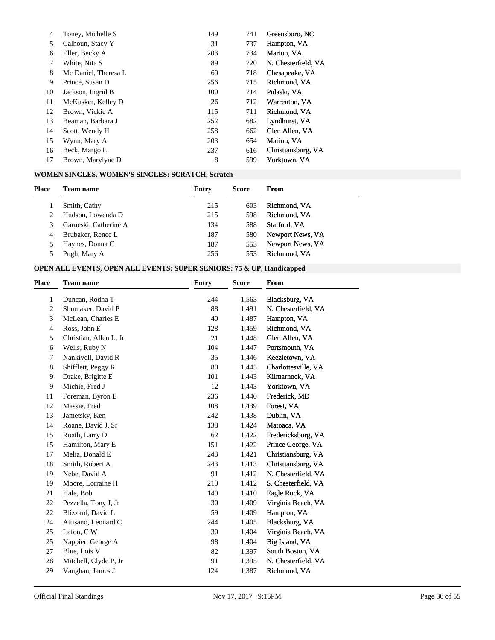| 4  | Toney, Michelle S    | 149 | 741 | Greensboro, NC      |
|----|----------------------|-----|-----|---------------------|
| 5. | Calhoun, Stacy Y     | 31  | 737 | Hampton, VA         |
| 6  | Eller, Becky A       | 203 | 734 | Marion, VA          |
|    | White, Nita S        | 89  | 720 | N. Chesterfield, VA |
| 8  | Mc Daniel, Theresa L | 69  | 718 | Chesapeake, VA      |
| 9  | Prince, Susan D      | 256 | 715 | Richmond, VA        |
| 10 | Jackson, Ingrid B    | 100 | 714 | Pulaski, VA         |
| 11 | McKusker, Kelley D   | 26  | 712 | Warrenton, VA       |
| 12 | Brown, Vickie A      | 115 | 711 | Richmond, VA        |
| 13 | Beaman, Barbara J    | 252 | 682 | Lyndhurst, VA       |
| 14 | Scott, Wendy H       | 258 | 662 | Glen Allen, VA      |
| 15 | Wynn, Mary A         | 203 | 654 | Marion, VA          |
| 16 | Beck, Margo L        | 237 | 616 | Christiansburg, VA  |
| 17 | Brown, Marylyne D    | 8   | 599 | Yorktown, VA        |

# **WOMEN SINGLES, WOMEN'S SINGLES: SCRATCH, Scratch**

| <b>Place</b> | <b>Team name</b>      | Entry | <b>Score</b> | <b>From</b>      |
|--------------|-----------------------|-------|--------------|------------------|
|              | Smith, Cathy          | 215   | 603          | Richmond, VA     |
|              | Hudson, Lowenda D     | 215   | 598          | Richmond, VA     |
| 3.           | Garneski, Catherine A | 134   | 588          | Stafford, VA     |
| 4            | Brubaker, Renee L     | 187   | 580          | Newport News, VA |
|              | Haynes, Donna C       | 187   | 553          | Newport News, VA |
|              | Pugh, Mary A          | 256   | 553          | Richmond, VA     |

## **OPEN ALL EVENTS, OPEN ALL EVENTS: SUPER SENIORS: 75 & UP, Handicapped**

| <b>Place</b> | <b>Team name</b>       | <b>Entry</b> | <b>Score</b> | <b>From</b>         |
|--------------|------------------------|--------------|--------------|---------------------|
| 1            | Duncan, Rodna T        | 244          | 1,563        | Blacksburg, VA      |
| 2            | Shumaker, David P      | 88           | 1,491        | N. Chesterfield, VA |
| 3            | McLean, Charles E      | 40           | 1,487        | Hampton, VA         |
| 4            | Ross, John E           | 128          | 1,459        | Richmond, VA        |
| 5            | Christian, Allen L, Jr | 21           | 1,448        | Glen Allen, VA      |
| 6            | Wells, Ruby N          | 104          | 1,447        | Portsmouth, VA      |
| 7            | Nankivell, David R     | 35           | 1,446        | Keezletown, VA      |
| 8            | Shifflett, Peggy R     | 80           | 1,445        | Charlottesville, VA |
| 9            | Drake, Brigitte E      | 101          | 1,443        | Kilmarnock, VA      |
| 9            | Michie, Fred J         | 12           | 1,443        | Yorktown, VA        |
| 11           | Foreman, Byron E       | 236          | 1,440        | Frederick, MD       |
| 12           | Massie, Fred           | 108          | 1,439        | Forest, VA          |
| 13           | Jametsky, Ken          | 242          | 1,438        | Dublin, VA          |
| 14           | Roane, David J, Sr     | 138          | 1,424        | Matoaca, VA         |
| 15           | Roath, Larry D         | 62           | 1,422        | Fredericksburg, VA  |
| 15           | Hamilton, Mary E       | 151          | 1,422        | Prince George, VA   |
| 17           | Melia, Donald E        | 243          | 1,421        | Christiansburg, VA  |
| 18           | Smith, Robert A        | 243          | 1,413        | Christiansburg, VA  |
| 19           | Nebe, David A          | 91           | 1,412        | N. Chesterfield, VA |
| 19           | Moore, Lorraine H      | 210          | 1,412        | S. Chesterfield, VA |
| 21           | Hale, Bob              | 140          | 1,410        | Eagle Rock, VA      |
| 22           | Pezzella, Tony J, Jr   | 30           | 1,409        | Virginia Beach, VA  |
| 22           | Blizzard, David L      | 59           | 1,409        | Hampton, VA         |
| 24           | Attisano, Leonard C    | 244          | 1,405        | Blacksburg, VA      |
| 25           | Lafon, CW              | 30           | 1,404        | Virginia Beach, VA  |
| 25           | Nappier, George A      | 98           | 1,404        | Big Island, VA      |
| 27           | Blue, Lois V           | 82           | 1,397        | South Boston, VA    |
| 28           | Mitchell, Clyde P, Jr  | 91           | 1,395        | N. Chesterfield, VA |
| 29           | Vaughan, James J       | 124          | 1,387        | Richmond, VA        |
|              |                        |              |              |                     |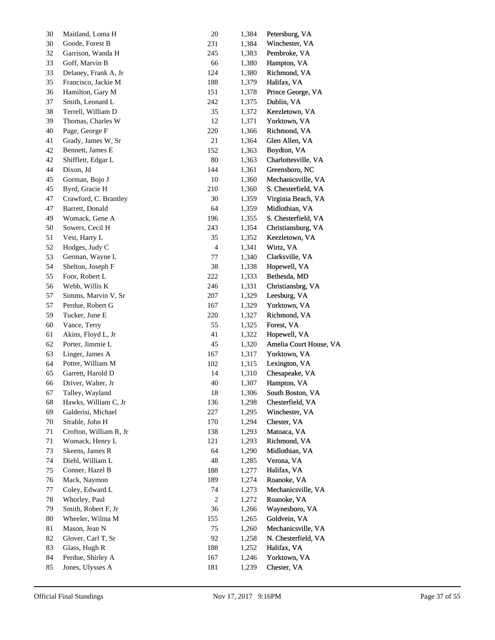| 30 | Maitland, Loma H       | 20                       | 1,384 | Petersburg, VA         |
|----|------------------------|--------------------------|-------|------------------------|
| 30 | Goode, Forest B        | 231                      | 1,384 | Winchester, VA         |
| 32 | Garrison, Wanda H      | 245                      | 1,383 | Pembroke, VA           |
| 33 | Goff, Marvin B         | 66                       | 1,380 | Hampton, VA            |
| 33 | Delaney, Frank A, Jr   | 124                      | 1,380 | Richmond, VA           |
| 35 | Francisco, Jackie M    | 188                      | 1,379 | Halifax, VA            |
| 36 | Hamilton, Gary M       | 151                      | 1,378 | Prince George, VA      |
| 37 | Smith, Leonard L       | 242                      | 1,375 | Dublin, VA             |
| 38 | Terrell, William D     | 35                       | 1,372 | Keezletown, VA         |
| 39 | Thomas, Charles W      | 12                       | 1,371 | Yorktown, VA           |
| 40 | Page, George F         | 220                      | 1,366 | Richmond, VA           |
| 41 | Grady, James W, Sr     | 21                       | 1,364 | Glen Allen, VA         |
| 42 | Bennett, James E       | 152                      | 1,363 | Boydton, VA            |
| 42 | Shifflett, Edgar L     | 80                       | 1,363 | Charlottesville, VA    |
| 44 | Dixon, Jd              | 144                      | 1,361 | Greensboro, NC         |
| 45 | Gorman, Bojo J         | 10                       | 1,360 | Mechanicsville, VA     |
| 45 | Byrd, Gracie H         | 210                      | 1,360 | S. Chesterfield, VA    |
| 47 | Crawford, C. Brantley  | 30                       | 1,359 | Virginia Beach, VA     |
| 47 | Barrett, Donald        | 64                       | 1,359 | Midlothian, VA         |
| 49 | Womack, Gene A         | 196                      | 1,355 | S. Chesterfield, VA    |
| 50 | Sowers, Cecil H        | 243                      | 1,354 | Christiansburg, VA     |
| 51 | Vest, Harry L          | 35                       | 1,352 | Keezletown, VA         |
| 52 | Hodges, Judy C         | $\overline{\mathcal{A}}$ | 1,341 | Wirtz, VA              |
| 53 | German, Wayne L        | 77                       | 1,340 | Clarksville, VA        |
| 54 | Shelton, Joseph F      | 38                       | 1,338 | Hopewell, VA           |
| 55 | Foor, Robert L         | 222                      | 1,333 | Bethesda, MD           |
| 56 | Webb, Willis K         | 246                      | 1,331 | Christiansbrg, VA      |
| 57 | Simms, Marvin V, Sr    | 207                      | 1,329 | Leesburg, VA           |
| 57 | Perdue, Robert G       | 167                      | 1,329 | Yorktown, VA           |
| 59 | Tucker, June E         | 220                      | 1,327 | Richmond, VA           |
| 60 | Vance, Terry           | 55                       | 1,325 | Forest, VA             |
| 61 | Akins, Floyd L, Jr     | 41                       | 1,322 | Hopewell, VA           |
| 62 | Porter, Jimmie L       | 45                       | 1,320 | Amelia Court House, VA |
| 63 | Linger, James A        | 167                      | 1,317 | Yorktown, VA           |
| 64 | Potter, William M      | 102                      | 1,315 | Lexington, VA          |
| 65 | Garrett, Harold D      | 14                       | 1,310 | Chesapeake, VA         |
| 66 | Driver, Walter, Jr.    | 40                       | 1,307 | Hampton, VA            |
| 67 | Talley, Wayland        | 18                       | 1,306 | South Boston, VA       |
| 68 | Hawks, William C, Jr   | 136                      | 1,298 | Chesterfield, VA       |
| 69 | Galderisi, Michael     | 227                      | 1,295 | Winchester, VA         |
| 70 | Strahle, John H        | 170                      | 1,294 | Chester, VA            |
| 71 | Crofton, William R, Jr | 138                      | 1,293 | Matoaca, VA            |
| 71 | Womack, Henry L        | 121                      | 1,293 | Richmond, VA           |
| 73 | Skeens, James R        | 64                       | 1,290 | Midlothian, VA         |
| 74 | Diehl, William L       | 48                       | 1,285 | Verona, VA             |
| 75 | Conner, Hazel B        | 188                      | 1,277 | Halifax, VA            |
| 76 | Mack, Naymon           | 189                      | 1,274 | Roanoke, VA            |
| 77 | Coley, Edward L        | 74                       | 1,273 | Mechanicsville, VA     |
| 78 | Whorley, Paul          | $\overline{\mathbf{c}}$  | 1,272 | Roanoke, VA            |
| 79 | Smith, Robert F, Jr    | 36                       | 1,266 | Waynesboro, VA         |
| 80 | Wheeler, Wilma M       | 155                      | 1,265 | Goldvein, VA           |
| 81 | Mason, Jean N          | 75                       | 1,260 | Mechanicsville, VA     |
| 82 | Glover, Carl T, Sr     | 92                       | 1,258 | N. Chesterfield, VA    |
| 83 | Glass, Hugh R          | 188                      | 1,252 | Halifax, VA            |
| 84 | Perdue, Shirley A      | 167                      | 1,246 | Yorktown, VA           |
| 85 | Jones, Ulysses A       | 181                      | 1,239 | Chester, VA            |
|    |                        |                          |       |                        |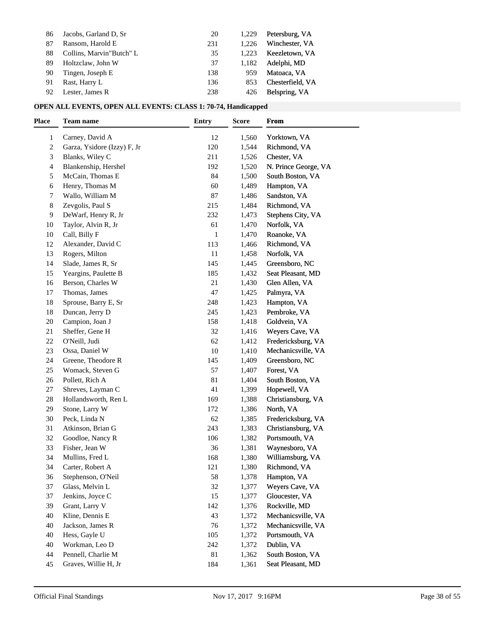| 86 | Jacobs, Garland D, Sr    | 20  | 1.229 | Petersburg, VA   |
|----|--------------------------|-----|-------|------------------|
| 87 | Ransom, Harold E         | 231 | 1.226 | Winchester, VA   |
| 88 | Collins, Marvin"Butch" L | 35  | 1.223 | Keezletown, VA   |
| 89 | Holtzclaw, John W        | 37  | 1.182 | Adelphi, MD      |
| 90 | Tingen, Joseph E         | 138 | 959   | Matoaca, VA      |
| 91 | Rast, Harry L            | 136 | 853   | Chesterfield, VA |
| 92 | Lester, James R          | 238 | 426   | Belspring, VA    |

## **OPEN ALL EVENTS, OPEN ALL EVENTS: CLASS 1: 70-74, Handicapped**

| <b>Place</b> | <b>Team name</b>            | <b>Entry</b> | <b>Score</b> | From                 |
|--------------|-----------------------------|--------------|--------------|----------------------|
| 1            | Carney, David A             | 12           | 1,560        | Yorktown, VA         |
| 2            | Garza, Ysidore (Izzy) F, Jr | 120          | 1,544        | Richmond, VA         |
| 3            | Blanks, Wiley C             | 211          | 1,526        | Chester, VA          |
| 4            | Blankenship, Hershel        | 192          | 1,520        | N. Prince George, VA |
| 5            | McCain, Thomas E            | 84           | 1,500        | South Boston, VA     |
| 6            | Henry, Thomas M             | 60           | 1,489        | Hampton, VA          |
| 7            | Wallo, William M            | 87           | 1,486        | Sandston, VA         |
| 8            | Zevgolis, Paul S            | 215          | 1,484        | Richmond, VA         |
| 9            | DeWarf, Henry R, Jr         | 232          | 1,473        | Stephens City, VA    |
| 10           | Taylor, Alvin R, Jr         | 61           | 1,470        | Norfolk, VA          |
| 10           | Call, Billy F               | $\mathbf{1}$ | 1,470        | Roanoke, VA          |
| 12           | Alexander, David C          | 113          | 1,466        | Richmond, VA         |
| 13           | Rogers, Milton              | 11           | 1,458        | Norfolk, VA          |
| 14           | Slade, James R, Sr          | 145          | 1,445        | Greensboro, NC       |
| 15           | Yeargins, Paulette B        | 185          | 1,432        | Seat Pleasant, MD    |
| 16           | Berson, Charles W           | 21           | 1,430        | Glen Allen, VA       |
| 17           | Thomas, James               | 47           | 1,425        | Palmyra, VA          |
| 18           | Sprouse, Barry E, Sr        | 248          | 1,423        | Hampton, VA          |
| 18           | Duncan, Jerry D             | 245          | 1,423        | Pembroke, VA         |
| 20           | Campion, Joan J             | 158          | 1,418        | Goldvein, VA         |
| 21           | Sheffer, Gene H             | 32           | 1,416        | Weyers Cave, VA      |
| 22           | O'Neill, Judi               | 62           | 1,412        | Fredericksburg, VA   |
| 23           | Ossa, Daniel W              | 10           | 1,410        | Mechanicsville, VA   |
| 24           | Greene, Theodore R          | 145          | 1,409        | Greensboro, NC       |
| $25\,$       | Womack, Steven G            | 57           | 1,407        | Forest, VA           |
| 26           | Pollett, Rich A             | 81           | 1,404        | South Boston, VA     |
| 27           | Shreves, Layman C           | 41           | 1,399        | Hopewell, VA         |
| 28           | Hollandsworth, Ren L        | 169          | 1,388        | Christiansburg, VA   |
| 29           | Stone, Larry W              | 172          | 1,386        | North, VA            |
| 30           | Peck, Linda N               | 62           | 1,385        | Fredericksburg, VA   |
| 31           | Atkinson, Brian G           | 243          | 1,383        | Christiansburg, VA   |
| 32           | Goodloe, Nancy R            | 106          | 1,382        | Portsmouth, VA       |
| 33           | Fisher, Jean W              | 36           | 1,381        | Waynesboro, VA       |
| 34           | Mullins, Fred L             | 168          | 1,380        | Williamsburg, VA     |
| 34           | Carter, Robert A            | 121          | 1,380        | Richmond, VA         |
| 36           | Stephenson, O'Neil          | 58           | 1,378        | Hampton, VA          |
| 37           | Glass, Melvin L             | 32           | 1,377        | Weyers Cave, VA      |
| 37           | Jenkins, Joyce C            | 15           | 1,377        | Gloucester, VA       |
| 39           | Grant, Larry V              | 142          | 1,376        | Rockville, MD        |
| 40           | Kline, Dennis E             | 43           | 1,372        | Mechanicsville, VA   |
| 40           | Jackson, James R            | 76           | 1,372        | Mechanicsville, VA   |
| 40           | Hess, Gayle U               | 105          | 1,372        | Portsmouth, VA       |
| 40           | Workman, Leo D              | 242          | 1,372        | Dublin, VA           |
| 44           | Pennell, Charlie M          | 81           | 1,362        | South Boston, VA     |
| 45           | Graves, Willie H, Jr        | 184          | 1,361        | Seat Pleasant, MD    |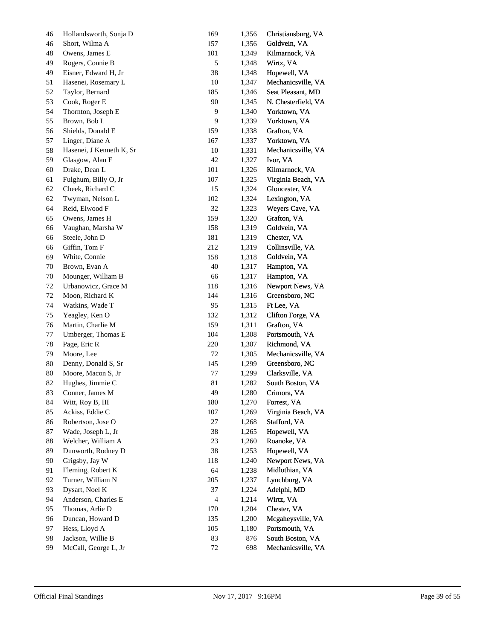| 46 | Hollandsworth, Sonja D   | 169            | 1,356 | Christiansburg, VA  |
|----|--------------------------|----------------|-------|---------------------|
| 46 | Short, Wilma A           | 157            | 1,356 | Goldvein, VA        |
| 48 | Owens, James E           | 101            | 1,349 | Kilmarnock, VA      |
| 49 | Rogers, Connie B         | $\sqrt{5}$     | 1,348 | Wirtz, VA           |
| 49 | Eisner, Edward H, Jr     | 38             | 1,348 | Hopewell, VA        |
| 51 | Hasenei, Rosemary L      | 10             | 1,347 | Mechanicsville, VA  |
| 52 | Taylor, Bernard          | 185            | 1,346 | Seat Pleasant, MD   |
| 53 | Cook, Roger E            | 90             | 1,345 | N. Chesterfield, VA |
| 54 | Thornton, Joseph E       | 9              | 1,340 | Yorktown, VA        |
| 55 | Brown, Bob L             | 9              | 1,339 | Yorktown, VA        |
| 56 | Shields, Donald E        | 159            | 1,338 | Grafton, VA         |
| 57 | Linger, Diane A          | 167            | 1,337 | Yorktown, VA        |
| 58 | Hasenei, J Kenneth K, Sr | 10             | 1,331 | Mechanicsville, VA  |
| 59 | Glasgow, Alan E          | 42             | 1,327 | Ivor, VA            |
| 60 | Drake, Dean L            | 101            | 1,326 | Kilmarnock, VA      |
| 61 | Fulghum, Billy O, Jr     | 107            | 1,325 | Virginia Beach, VA  |
| 62 | Cheek, Richard C         | 15             | 1,324 | Gloucester, VA      |
| 62 | Twyman, Nelson L         | 102            | 1,324 | Lexington, VA       |
| 64 | Reid, Elwood F           | 32             | 1,323 | Weyers Cave, VA     |
| 65 | Owens, James H           | 159            | 1,320 | Grafton, VA         |
| 66 | Vaughan, Marsha W        | 158            | 1,319 | Goldvein, VA        |
| 66 | Steele, John D           | 181            | 1,319 | Chester, VA         |
| 66 | Giffin, Tom F            | 212            | 1,319 | Collinsville, VA    |
| 69 | White, Connie            | 158            | 1,318 | Goldvein, VA        |
| 70 | Brown, Evan A            | 40             | 1,317 | Hampton, VA         |
| 70 | Mounger, William B       | 66             | 1,317 | Hampton, VA         |
| 72 | Urbanowicz, Grace M      | 118            | 1,316 | Newport News, VA    |
| 72 | Moon, Richard K          | 144            | 1,316 | Greensboro, NC      |
| 74 | Watkins, Wade T          | 95             | 1,315 | Ft Lee, VA          |
| 75 | Yeagley, Ken O           | 132            | 1,312 | Clifton Forge, VA   |
| 76 | Martin, Charlie M        | 159            | 1,311 | Grafton, VA         |
| 77 | Umberger, Thomas E       | 104            | 1,308 | Portsmouth, VA      |
| 78 | Page, Eric R             | 220            | 1,307 | Richmond, VA        |
| 79 | Moore, Lee               | 72             | 1,305 | Mechanicsville, VA  |
| 80 | Denny, Donald S, Sr      | 145            | 1,299 | Greensboro, NC      |
| 80 | Moore, Macon S, Jr       | 77             | 1,299 | Clarksville, VA     |
| 82 | Hughes, Jimmie C         | 81             | 1,282 | South Boston, VA    |
| 83 | Conner, James M          | 49             | 1,280 | Crimora, VA         |
| 84 | Witt, Roy B, III         | 180            | 1,270 | Forrest, VA         |
| 85 | Ackiss, Eddie C          | $107\,$        | 1,269 | Virginia Beach, VA  |
| 86 | Robertson, Jose O        | 27             | 1,268 | Stafford, VA        |
| 87 | Wade, Joseph L, Jr       | 38             | 1,265 | Hopewell, VA        |
| 88 | Welcher, William A       | 23             | 1,260 | Roanoke, VA         |
| 89 | Dunworth, Rodney D       | 38             | 1,253 | Hopewell, VA        |
| 90 | Grigsby, Jay W           | 118            | 1,240 | Newport News, VA    |
| 91 | Fleming, Robert K        | 64             | 1,238 | Midlothian, VA      |
| 92 | Turner, William N        | 205            | 1,237 | Lynchburg, VA       |
| 93 | Dysart, Noel K           | 37             | 1,224 | Adelphi, MD         |
| 94 | Anderson, Charles E      | $\overline{4}$ | 1,214 | Wirtz, VA           |
| 95 | Thomas, Arlie D          | 170            | 1,204 | Chester, VA         |
| 96 | Duncan, Howard D         | 135            | 1,200 | Mcgaheysville, VA   |
| 97 | Hess, Lloyd A            | 105            | 1,180 | Portsmouth, VA      |
| 98 | Jackson, Willie B        | 83             | 876   | South Boston, VA    |
| 99 | McCall, George L, Jr     | $72\,$         | 698   | Mechanicsville, VA  |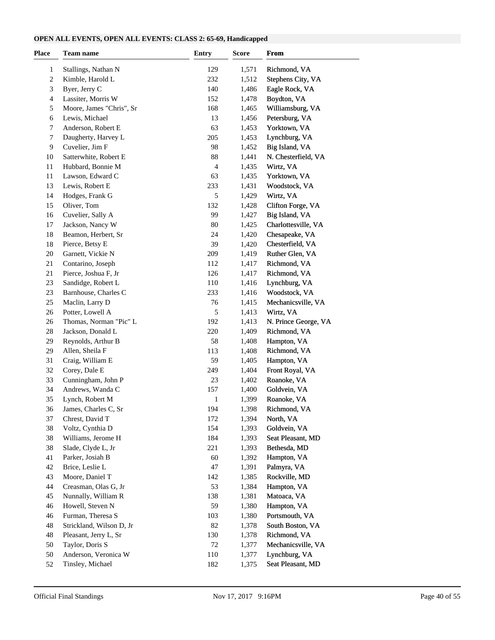#### **OPEN ALL EVENTS, OPEN ALL EVENTS: CLASS 2: 65-69, Handicapped**

| Place    | <b>Team name</b>         | <b>Entry</b>   | <b>Score</b> | <b>From</b>                    |  |
|----------|--------------------------|----------------|--------------|--------------------------------|--|
| 1        | Stallings, Nathan N      | 129            | 1,571        | Richmond, VA                   |  |
| 2        | Kimble, Harold L         | 232            | 1,512        | Stephens City, VA              |  |
| 3        | Byer, Jerry C            | 140            | 1,486        | Eagle Rock, VA                 |  |
| 4        | Lassiter, Morris W       | 152            | 1,478        | Boydton, VA                    |  |
| 5        | Moore, James "Chris", Sr | 168            | 1,465        | Williamsburg, VA               |  |
| 6        | Lewis, Michael           | 13             | 1,456        | Petersburg, VA                 |  |
| 7        | Anderson, Robert E       | 63             | 1,453        | Yorktown, VA                   |  |
| 7        | Daugherty, Harvey L      | 205            | 1,453        | Lynchburg, VA                  |  |
| 9        | Cuvelier, Jim F          | 98             | 1,452        | Big Island, VA                 |  |
| 10       | Satterwhite, Robert E    | 88             | 1,441        | N. Chesterfield, VA            |  |
| 11       | Hubbard, Bonnie M        | $\overline{4}$ | 1,435        | Wirtz, VA                      |  |
| 11       | Lawson, Edward C         | 63             | 1,435        | Yorktown, VA                   |  |
| 13       | Lewis, Robert E          | 233            | 1,431        | Woodstock, VA                  |  |
| 14       | Hodges, Frank G          | 5              | 1,429        | Wirtz, VA                      |  |
| 15       | Oliver, Tom              | 132            | 1,428        | Clifton Forge, VA              |  |
| 16       | Cuvelier, Sally A        | 99             | 1,427        | Big Island, VA                 |  |
| 17       | Jackson, Nancy W         | 80             | 1,425        | Charlottesville, VA            |  |
| 18       | Beamon, Herbert, Sr      | 24             | 1,420        | Chesapeake, VA                 |  |
| 18       | Pierce, Betsy E          | 39             | 1,420        | Chesterfield, VA               |  |
| 20       | Garnett, Vickie N        | 209            | 1,419        | Ruther Glen, VA                |  |
| 21       | Contarino, Joseph        | 112            | 1,417        | Richmond, VA                   |  |
| 21       | Pierce, Joshua F, Jr     | 126            | 1,417        | Richmond, VA                   |  |
|          | Sandidge, Robert L       | 110            | 1,416        |                                |  |
| 23<br>23 | Barnhouse, Charles C     | 233            | 1,416        | Lynchburg, VA<br>Woodstock, VA |  |
|          | Maclin, Larry D          | 76             | 1,415        |                                |  |
| 25       |                          |                |              | Mechanicsville, VA             |  |
| 26       | Potter, Lowell A         | 5              | 1,413        | Wirtz, VA                      |  |
| 26       | Thomas, Norman "Pic" L   | 192            | 1,413        | N. Prince George, VA           |  |
| 28       | Jackson, Donald L        | 220<br>58      | 1,409        | Richmond, VA                   |  |
| 29       | Reynolds, Arthur B       |                | 1,408        | Hampton, VA                    |  |
| 29       | Allen, Sheila F          | 113<br>59      | 1,408        | Richmond, VA                   |  |
| 31       | Craig, William E         |                | 1,405        | Hampton, VA                    |  |
| 32       | Corey, Dale E            | 249            | 1,404        | Front Royal, VA                |  |
| 33       | Cunningham, John P       | 23             | 1,402        | Roanoke, VA                    |  |
| 34       | Andrews, Wanda C         | 157            | 1,400        | Goldvein, VA                   |  |
| 35       | Lynch, Robert M          | 1              | 1,399        | Roanoke, VA                    |  |
| 36       | James, Charles C, Sr     | 194            | 1,398        | Richmond, VA                   |  |
| 37       | Chrest, David T          | 172            | 1,394        | North, VA                      |  |
| 38       | Voltz, Cynthia D         | 154            | 1,393        | Goldvein, VA                   |  |
| 38       | Williams, Jerome H       | 184            | 1,393        | Seat Pleasant, MD              |  |
| 38       | Slade, Clyde L, Jr       | 221            | 1,393        | Bethesda, MD                   |  |
| 41       | Parker, Josiah B         | 60             | 1,392        | Hampton, VA                    |  |
| 42       | Brice, Leslie L          | 47             | 1,391        | Palmyra, VA                    |  |
| 43       | Moore, Daniel T          | 142            | 1,385        | Rockville, MD                  |  |
| 44       | Creasman, Olas G, Jr     | 53             | 1,384        | Hampton, VA                    |  |
| 45       | Nunnally, William R      | 138            | 1,381        | Matoaca, VA                    |  |
| 46       | Howell, Steven N         | 59             | 1,380        | Hampton, VA                    |  |
| 46       | Furman, Theresa S        | 103            | 1,380        | Portsmouth, VA                 |  |
| 48       | Strickland, Wilson D, Jr | 82             | 1,378        | South Boston, VA               |  |
| 48       | Pleasant, Jerry L, Sr    | 130            | 1,378        | Richmond, VA                   |  |
| 50       | Taylor, Doris S          | 72             | 1,377        | Mechanicsville, VA             |  |
| 50       | Anderson, Veronica W     | 110            | 1,377        | Lynchburg, VA                  |  |
| 52       | Tinsley, Michael         | 182            | 1,375        | Seat Pleasant, MD              |  |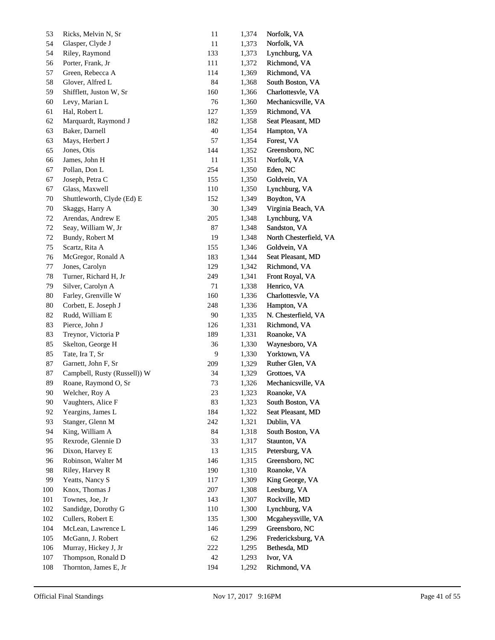| 53           | Ricks, Melvin N, Sr          | $11\,$ | 1,374 | Norfolk, VA            |
|--------------|------------------------------|--------|-------|------------------------|
| 54           | Glasper, Clyde J             | $11\,$ | 1,373 | Norfolk, VA            |
| 54           | Riley, Raymond               | 133    | 1,373 | Lynchburg, VA          |
| 56           | Porter, Frank, Jr            | 111    | 1,372 | Richmond, VA           |
| 57           | Green, Rebecca A             | 114    | 1,369 | Richmond, VA           |
| 58           | Glover, Alfred L             | 84     | 1,368 | South Boston, VA       |
| 59           | Shifflett, Juston W, Sr      | 160    | 1,366 | Charlottesvle, VA      |
| 60           | Levy, Marian L               | 76     | 1,360 | Mechanicsville, VA     |
| 61           | Hal, Robert L                | 127    | 1,359 | Richmond, VA           |
| 62           | Marquardt, Raymond J         | 182    | 1,358 | Seat Pleasant, MD      |
| 63           | Baker, Darnell               | 40     | 1,354 | Hampton, VA            |
| 63           | Mays, Herbert J              | 57     | 1,354 | Forest, VA             |
| 65           | Jones, Otis                  | 144    | 1,352 | Greensboro, NC         |
| 66           | James, John H                | 11     | 1,351 | Norfolk, VA            |
| 67           | Pollan, Don L                | 254    | 1,350 | Eden, NC               |
| 67           | Joseph, Petra C              | 155    | 1,350 | Goldvein, VA           |
| 67           | Glass, Maxwell               | 110    | 1,350 | Lynchburg, VA          |
| 70           | Shuttleworth, Clyde (Ed) E   | 152    | 1,349 | Boydton, VA            |
| $70\,$       | Skaggs, Harry A              | $30\,$ | 1,349 | Virginia Beach, VA     |
| 72           | Arendas, Andrew E            | 205    | 1,348 | Lynchburg, VA          |
| $72\,$       | Seay, William W, Jr          | 87     | 1,348 | Sandston, VA           |
| 72           | Bundy, Robert M              | 19     | 1,348 | North Chesterfield, VA |
| 75           | Scartz, Rita A               | 155    | 1,346 | Goldvein, VA           |
| 76           | McGregor, Ronald A           | 183    | 1,344 | Seat Pleasant, MD      |
| 77           | Jones, Carolyn               | 129    | 1,342 | Richmond, VA           |
| 78           | Turner, Richard H, Jr        | 249    | 1,341 | Front Royal, VA        |
| 79           | Silver, Carolyn A            | 71     | 1,338 | Henrico, VA            |
| 80           | Farley, Grenville W          | 160    | 1,336 | Charlottesvle, VA      |
| 80           | Corbett, E. Joseph J         | 248    | 1,336 | Hampton, VA            |
| 82           | Rudd, William E              | $90\,$ | 1,335 | N. Chesterfield, VA    |
| 83           | Pierce, John J               | 126    | 1,331 | Richmond, VA           |
| 83           | Treynor, Victoria P          | 189    | 1,331 | Roanoke, VA            |
| 85           | Skelton, George H            | 36     | 1,330 | Waynesboro, VA         |
| 85           | Tate, Ira T, Sr              | 9      | 1,330 | Yorktown, VA           |
| 87           | Garnett, John F, Sr          | 209    | 1,329 | Ruther Glen, VA        |
| 87           | Campbell, Rusty (Russell)) W | 34     | 1,329 | Grottoes, VA           |
| 89           | Roane, Raymond O, Sr         | 73     | 1,326 | Mechanicsville, VA     |
| $90\text{ }$ | Welcher, Roy A               | 23     | 1,323 | Roanoke, VA            |
| 90           | Vaughters, Alice F           | 83     | 1,323 | South Boston, VA       |
| 92           | Yeargins, James L            | 184    | 1,322 | Seat Pleasant, MD      |
| 93           | Stanger, Glenn M             | 242    | 1,321 | Dublin, VA             |
| 94           | King, William A              | 84     | 1,318 | South Boston, VA       |
| 95           | Rexrode, Glennie D           | 33     | 1,317 | Staunton, VA           |
| 96           | Dixon, Harvey E              | 13     | 1,315 | Petersburg, VA         |
| 96           | Robinson, Walter M           | 146    | 1,315 | Greensboro, NC         |
| 98           | Riley, Harvey R              | 190    | 1,310 | Roanoke, VA            |
| 99           | Yeatts, Nancy S              | 117    | 1,309 | King George, VA        |
| 100          | Knox, Thomas J               | 207    | 1,308 | Leesburg, VA           |
| 101          | Townes, Joe, Jr              | 143    | 1,307 | Rockville, MD          |
| 102          | Sandidge, Dorothy G          | 110    | 1,300 | Lynchburg, VA          |
| 102          | Cullers, Robert E            | 135    | 1,300 | Mcgaheysville, VA      |
| 104          | McLean, Lawrence L           | 146    | 1,299 | Greensboro, NC         |
| 105          | McGann, J. Robert            | 62     | 1,296 | Fredericksburg, VA     |
| 106          | Murray, Hickey J, Jr         | 222    | 1,295 | Bethesda, MD           |
| 107          | Thompson, Ronald D           | 42     | 1,293 | Ivor, VA               |
| $108\,$      | Thornton, James E, Jr        | 194    | 1,292 | Richmond, VA           |
|              |                              |        |       |                        |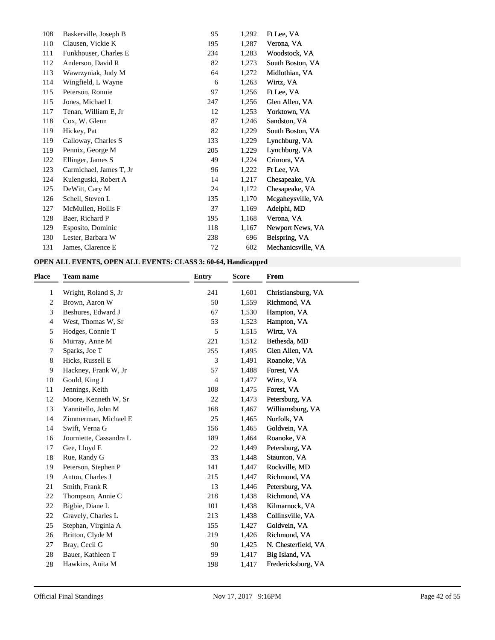| 108 | Baskerville, Joseph B   | 95  | 1,292 | Ft Lee, VA         |
|-----|-------------------------|-----|-------|--------------------|
| 110 | Clausen, Vickie K       | 195 | 1,287 | Verona, VA         |
| 111 | Funkhouser, Charles E   | 234 | 1,283 | Woodstock, VA      |
| 112 | Anderson, David R       | 82  | 1,273 | South Boston, VA   |
| 113 | Wawrzyniak, Judy M      | 64  | 1,272 | Midlothian, VA     |
| 114 | Wingfield, L Wayne      | 6   | 1,263 | Wirtz, VA          |
| 115 | Peterson, Ronnie        | 97  | 1,256 | Ft Lee, VA         |
| 115 | Jones, Michael L        | 247 | 1,256 | Glen Allen, VA     |
| 117 | Tenan, William E, Jr    | 12  | 1,253 | Yorktown, VA       |
| 118 | Cox, W. Glenn           | 87  | 1,246 | Sandston, VA       |
| 119 | Hickey, Pat             | 82  | 1,229 | South Boston, VA   |
| 119 | Calloway, Charles S     | 133 | 1,229 | Lynchburg, VA      |
| 119 | Pennix, George M        | 205 | 1,229 | Lynchburg, VA      |
| 122 | Ellinger, James S       | 49  | 1,224 | Crimora, VA        |
| 123 | Carmichael, James T, Jr | 96  | 1,222 | Ft Lee, VA         |
| 124 | Kulenguski, Robert A    | 14  | 1,217 | Chesapeake, VA     |
| 125 | DeWitt, Cary M          | 24  | 1,172 | Chesapeake, VA     |
| 126 | Schell, Steven L        | 135 | 1,170 | Mcgaheysville, VA  |
| 127 | McMullen, Hollis F      | 37  | 1,169 | Adelphi, MD        |
| 128 | Baer, Richard P         | 195 | 1,168 | Verona, VA         |
| 129 | Esposito, Dominic       | 118 | 1,167 | Newport News, VA   |
| 130 | Lester, Barbara W       | 238 | 696   | Belspring, VA      |
| 131 | James, Clarence E       | 72  | 602   | Mechanicsville, VA |

## **OPEN ALL EVENTS, OPEN ALL EVENTS: CLASS 3: 60-64, Handicapped**

| <b>Team name</b>        | <b>Entry</b>   | <b>Score</b> | <b>From</b>         |
|-------------------------|----------------|--------------|---------------------|
| Wright, Roland S, Jr.   | 241            | 1,601        | Christiansburg, VA  |
| Brown, Aaron W          | 50             | 1,559        | Richmond, VA        |
| Beshures, Edward J      | 67             | 1,530        | Hampton, VA         |
| West, Thomas W, Sr      | 53             | 1,523        | Hampton, VA         |
| Hodges, Connie T        | 5              | 1,515        | Wirtz, VA           |
| Murray, Anne M          | 221            | 1,512        | Bethesda, MD        |
| Sparks, Joe T           | 255            | 1,495        | Glen Allen, VA      |
| Hicks, Russell E        | 3              | 1,491        | Roanoke, VA         |
| Hackney, Frank W, Jr    | 57             | 1,488        | Forest, VA          |
| Gould, King J           | $\overline{4}$ | 1,477        | Wirtz, VA           |
| Jennings, Keith         | 108            | 1,475        | Forest, VA          |
| Moore, Kenneth W, Sr    | 22             | 1,473        | Petersburg, VA      |
| Yannitello, John M      | 168            | 1,467        | Williamsburg, VA    |
| Zimmerman, Michael E    | 25             | 1,465        | Norfolk, VA         |
| Swift, Verna G          | 156            | 1,465        | Goldvein, VA        |
| Journiette, Cassandra L | 189            | 1,464        | Roanoke, VA         |
| Gee, Lloyd E            | 22             | 1,449        | Petersburg, VA      |
| Rue, Randy G            | 33             | 1,448        | Staunton, VA        |
| Peterson, Stephen P     | 141            | 1,447        | Rockville, MD       |
| Anton, Charles J        | 215            | 1,447        | Richmond, VA        |
| Smith, Frank R          | 13             | 1,446        | Petersburg, VA      |
| Thompson, Annie C       | 218            | 1,438        | Richmond, VA        |
| Bigbie, Diane L         | 101            | 1,438        | Kilmarnock, VA      |
| Gravely, Charles L      | 213            | 1,438        | Collinsville, VA    |
| Stephan, Virginia A     | 155            | 1,427        | Goldvein, VA        |
| Britton, Clyde M        | 219            | 1,426        | Richmond, VA        |
| Bray, Cecil G           | 90             | 1,425        | N. Chesterfield, VA |
| Bauer, Kathleen T       | 99             | 1,417        | Big Island, VA      |
| Hawkins, Anita M        | 198            | 1,417        | Fredericksburg, VA  |
|                         |                |              |                     |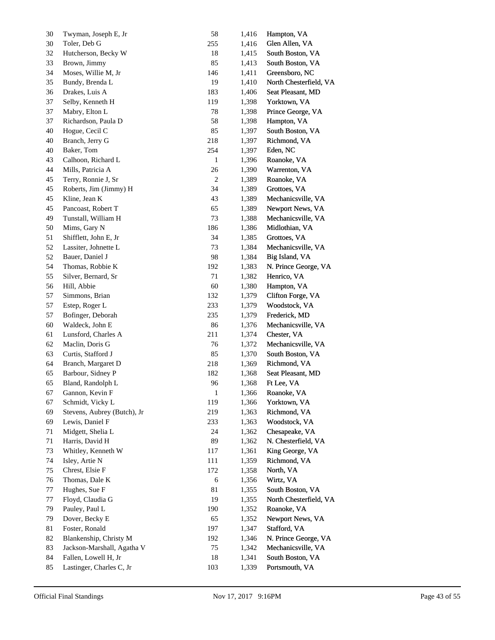| 30 | Twyman, Joseph E, Jr        | 58           | 1,416 | Hampton, VA            |
|----|-----------------------------|--------------|-------|------------------------|
| 30 | Toler, Deb G                | 255          | 1,416 | Glen Allen, VA         |
| 32 | Hutcherson, Becky W         | 18           | 1,415 | South Boston, VA       |
| 33 | Brown, Jimmy                | 85           | 1,413 | South Boston, VA       |
| 34 | Moses, Willie M, Jr         | 146          | 1,411 | Greensboro, NC         |
| 35 | Bundy, Brenda L             | 19           | 1,410 | North Chesterfield, VA |
| 36 | Drakes, Luis A              | 183          | 1,406 | Seat Pleasant, MD      |
| 37 | Selby, Kenneth H            | 119          | 1,398 | Yorktown, VA           |
| 37 | Mabry, Elton L              | 78           | 1,398 | Prince George, VA      |
| 37 | Richardson, Paula D         | 58           | 1,398 | Hampton, VA            |
| 40 | Hogue, Cecil C              | 85           | 1,397 | South Boston, VA       |
| 40 | Branch, Jerry G             | 218          | 1,397 | Richmond, VA           |
| 40 | Baker, Tom                  | 254          | 1,397 | Eden, NC               |
| 43 | Calhoon, Richard L          | 1            | 1,396 | Roanoke, VA            |
| 44 | Mills, Patricia A           | 26           | 1,390 | Warrenton, VA          |
| 45 | Terry, Ronnie J, Sr         | 2            | 1,389 | Roanoke, VA            |
| 45 | Roberts, Jim (Jimmy) H      | 34           | 1,389 | Grottoes, VA           |
| 45 | Kline, Jean K               | 43           | 1,389 | Mechanicsville, VA     |
| 45 | Pancoast, Robert T          | 65           | 1,389 | Newport News, VA       |
| 49 | Tunstall, William H         | 73           | 1,388 | Mechanicsville, VA     |
| 50 | Mims, Gary N                | 186          | 1,386 | Midlothian, VA         |
| 51 | Shifflett, John E, Jr       | 34           | 1,385 | Grottoes, VA           |
| 52 | Lassiter, Johnette L        | 73           | 1,384 | Mechanicsville, VA     |
| 52 | Bauer, Daniel J             | 98           | 1,384 | Big Island, VA         |
| 54 | Thomas, Robbie K            | 192          | 1,383 | N. Prince George, VA   |
| 55 | Silver, Bernard, Sr         | 71           | 1,382 | Henrico, VA            |
| 56 | Hill, Abbie                 | 60           | 1,380 | Hampton, VA            |
| 57 | Simmons, Brian              | 132          | 1,379 | Clifton Forge, VA      |
| 57 | Estep, Roger L              | 233          | 1,379 | Woodstock, VA          |
| 57 | Bofinger, Deborah           | 235          | 1,379 | Frederick, MD          |
| 60 | Waldeck, John E             | 86           | 1,376 | Mechanicsville, VA     |
| 61 | Lunsford, Charles A         | 211          | 1,374 | Chester, VA            |
| 62 | Maclin, Doris G             | 76           | 1,372 | Mechanicsville, VA     |
| 63 | Curtis, Stafford J          | 85           | 1,370 | South Boston, VA       |
| 64 | Branch, Margaret D          | 218          | 1,369 | Richmond, VA           |
| 65 | Barbour, Sidney P           | 182          | 1,368 | Seat Pleasant, MD      |
| 65 | Bland, Randolph L           | 96           | 1,368 | Ft Lee, VA             |
| 67 | Gannon, Kevin F             | $\mathbf{1}$ | 1,366 | Roanoke, VA            |
| 67 | Schmidt, Vicky L            | 119          | 1,366 | Yorktown, VA           |
| 69 | Stevens, Aubrey (Butch), Jr | 219          | 1,363 | Richmond, VA           |
| 69 | Lewis, Daniel F             | 233          | 1,363 | Woodstock, VA          |
| 71 | Midgett, Shelia L           | 24           | 1,362 | Chesapeake, VA         |
| 71 | Harris, David H             | 89           | 1,362 | N. Chesterfield, VA    |
| 73 | Whitley, Kenneth W          | 117          | 1,361 | King George, VA        |
| 74 | Isley, Artie N              | 111          | 1,359 | Richmond, VA           |
| 75 | Chrest, Elsie F             | 172          | 1,358 | North, VA              |
| 76 | Thomas, Dale K              | $\sqrt{6}$   | 1,356 | Wirtz, VA              |
| 77 | Hughes, Sue F               | 81           | 1,355 | South Boston, VA       |
| 77 | Floyd, Claudia G            | 19           | 1,355 | North Chesterfield, VA |
| 79 | Pauley, Paul L              | 190          | 1,352 | Roanoke, VA            |
| 79 | Dover, Becky E              | 65           | 1,352 | Newport News, VA       |
| 81 | Foster, Ronald              | 197          | 1,347 | Stafford, VA           |
| 82 | Blankenship, Christy M      | 192          | 1,346 | N. Prince George, VA   |
| 83 | Jackson-Marshall, Agatha V  | 75           | 1,342 | Mechanicsville, VA     |
| 84 | Fallen, Lowell H, Jr        | 18           | 1,341 | South Boston, VA       |
| 85 | Lastinger, Charles C, Jr    | 103          | 1,339 | Portsmouth, VA         |
|    |                             |              |       |                        |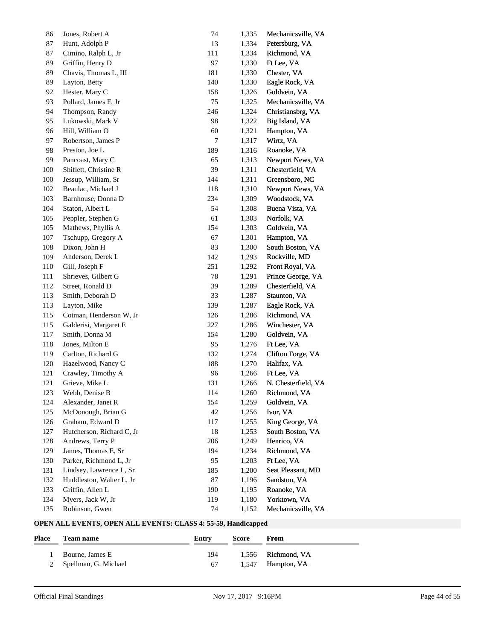| 86      | Jones, Robert A           | 74        | 1,335 | Mechanicsville, VA  |
|---------|---------------------------|-----------|-------|---------------------|
| 87      | Hunt, Adolph P            | 13        | 1,334 | Petersburg, VA      |
| 87      | Cimino, Ralph L, Jr       | 111       | 1,334 | Richmond, VA        |
| 89      | Griffin, Henry D          | 97        | 1,330 | Ft Lee, VA          |
| 89      | Chavis, Thomas L, III     | 181       | 1,330 | Chester, VA         |
| 89      | Layton, Betty             | 140       | 1,330 | Eagle Rock, VA      |
| 92      | Hester, Mary C            | 158       | 1,326 | Goldvein, VA        |
| 93      | Pollard, James F, Jr      | 75        | 1,325 | Mechanicsville, VA  |
| 94      | Thompson, Randy           | 246       | 1,324 | Christiansbrg, VA   |
| 95      | Lukowski, Mark V          | 98        | 1,322 | Big Island, VA      |
| 96      | Hill, William O           | 60        | 1,321 | Hampton, VA         |
| 97      | Robertson, James P        | 7         | 1,317 | Wirtz, VA           |
| 98      | Preston, Joe L            | 189       | 1,316 | Roanoke, VA         |
| 99      | Pancoast, Mary C          | 65        | 1,313 | Newport News, VA    |
| $100\,$ | Shiflett, Christine R     | 39        | 1,311 | Chesterfield, VA    |
| 100     | Jessup, William, Sr       | 144       | 1,311 | Greensboro, NC      |
| 102     | Beaulac, Michael J        | 118       | 1,310 | Newport News, VA    |
| 103     | Barnhouse, Donna D        | 234       | 1,309 | Woodstock, VA       |
| 104     | Staton, Albert L          | 54        | 1,308 | Buena Vista, VA     |
| 105     | Peppler, Stephen G        | 61        | 1,303 | Norfolk, VA         |
| 105     | Mathews, Phyllis A        | 154       | 1,303 | Goldvein, VA        |
| 107     | Tschupp, Gregory A        | 67        | 1,301 | Hampton, VA         |
| 108     | Dixon, John H             | 83        | 1,300 | South Boston, VA    |
| 109     | Anderson, Derek L         | 142       | 1,293 | Rockville, MD       |
| 110     | Gill, Joseph F            | 251       | 1,292 | Front Royal, VA     |
| 111     | Shrieves, Gilbert G       | 78        | 1,291 | Prince George, VA   |
| 112     | Street, Ronald D          | 39        | 1,289 | Chesterfield, VA    |
| 113     | Smith, Deborah D          | 33        | 1,287 | Staunton, VA        |
| 113     | Layton, Mike              | 139       | 1,287 | Eagle Rock, VA      |
| 115     | Cotman, Henderson W, Jr   | 126       | 1,286 | Richmond, VA        |
| 115     | Galderisi, Margaret E     | 227       | 1,286 | Winchester, VA      |
| 117     | Smith, Donna M            | 154       | 1,280 | Goldvein, VA        |
| 118     | Jones, Milton E           | 95        | 1,276 | Ft Lee, VA          |
| 119     | Carlton, Richard G        | 132       | 1,274 | Clifton Forge, VA   |
| 120     | Hazelwood, Nancy C        | 188       | 1,270 | Halifax, VA         |
|         |                           |           |       |                     |
| 121     | Crawley, Timothy A        | 96<br>131 | 1,266 | Ft Lee, VA          |
| 121     | Grieve, Mike L            |           | 1,266 | N. Chesterfield, VA |
| 123     | Webb, Denise B            | 114       | 1,260 | Richmond, VA        |
| 124     | Alexander, Janet R        | 154       | 1,259 | Goldvein, VA        |
| 125     | McDonough, Brian G        | 42        | 1,256 | Ivor, VA            |
| 126     | Graham, Edward D          | 117       | 1,255 | King George, VA     |
| 127     | Hutcherson, Richard C, Jr | 18        | 1,253 | South Boston, VA    |
| 128     | Andrews, Terry P          | 206       | 1,249 | Henrico, VA         |
| 129     | James, Thomas E, Sr       | 194       | 1,234 | Richmond, VA        |
| 130     | Parker, Richmond L, Jr    | 95        | 1,203 | Ft Lee, VA          |
| 131     | Lindsey, Lawrence L, Sr   | 185       | 1,200 | Seat Pleasant, MD   |
| 132     | Huddleston, Walter L, Jr  | $87\,$    | 1,196 | Sandston, VA        |
| 133     | Griffin, Allen L          | 190       | 1,195 | Roanoke, VA         |
| 134     | Myers, Jack W, Jr         | 119       | 1,180 | Yorktown, VA        |
| 135     | Robinson, Gwen            | 74        | 1,152 | Mechanicsville, VA  |

## **OPEN ALL EVENTS, OPEN ALL EVENTS: CLASS 4: 55-59, Handicapped**

| <b>Place</b> | <b>Team name</b>       | Entry | Score | <b>From</b>        |
|--------------|------------------------|-------|-------|--------------------|
|              | Bourne, James E        | 194   |       | 1,556 Richmond, VA |
|              | 2 Spellman, G. Michael | 67    |       | 1,547 Hampton, VA  |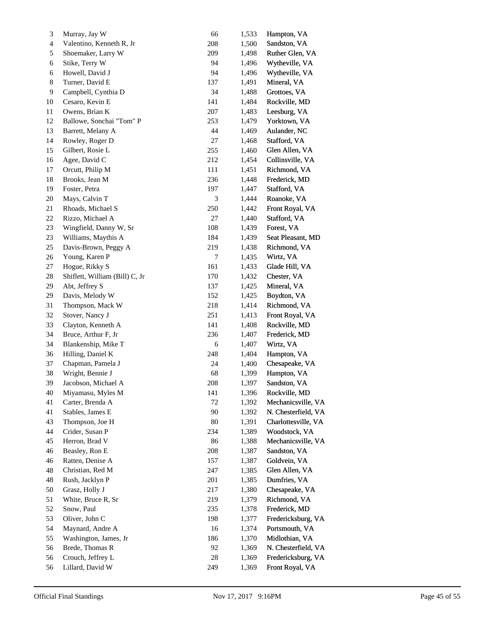| 3      | Murray, Jay W                  | 66                          | 1,533 | Hampton, VA         |
|--------|--------------------------------|-----------------------------|-------|---------------------|
| 4      | Valentino, Kenneth R, Jr       | 208                         | 1,500 | Sandston, VA        |
| 5      | Shoemaker, Larry W             | 209                         | 1,498 | Ruther Glen, VA     |
| 6      | Stike, Terry W                 | 94                          | 1,496 | Wytheville, VA      |
| 6      | Howell, David J                | 94                          | 1,496 | Wytheville, VA      |
| 8      | Turner, David E                | 137                         | 1,491 | Mineral, VA         |
| 9      | Campbell, Cynthia D            | 34                          | 1,488 | Grottoes, VA        |
| 10     | Cesaro, Kevin E                | 141                         | 1,484 | Rockville, MD       |
| 11     | Owens, Brian K                 | 207                         | 1,483 | Leesburg, VA        |
| 12     | Ballowe, Sonchai "Tom" P       | 253                         | 1,479 | Yorktown, VA        |
| 13     | Barrett, Melany A              | 44                          | 1,469 | Aulander, NC        |
| 14     | Rowley, Roger D                | $27\,$                      | 1,468 | Stafford, VA        |
| 15     | Gilbert, Rosie L               | 255                         | 1,460 | Glen Allen, VA      |
| 16     | Agee, David C                  | 212                         | 1,454 | Collinsville, VA    |
| 17     | Orcutt, Philip M               | 111                         | 1,451 | Richmond, VA        |
| 18     | Brooks, Jean M                 | 236                         | 1,448 | Frederick, MD       |
| 19     | Foster, Petra                  | 197                         | 1,447 | Stafford, VA        |
| 20     | Mays, Calvin T                 | $\ensuremath{\mathfrak{Z}}$ | 1,444 | Roanoke, VA         |
| 21     | Rhoads, Michael S              | 250                         | 1,442 | Front Royal, VA     |
| 22     | Rizzo, Michael A               | $27\,$                      | 1,440 | Stafford, VA        |
| 23     | Wingfield, Danny W, Sr         | 108                         | 1,439 | Forest, VA          |
| 23     | Williams, Maythis A            | 184                         | 1,439 | Seat Pleasant, MD   |
| 25     | Davis-Brown, Peggy A           | 219                         | 1,438 | Richmond, VA        |
| 26     | Young, Karen P                 | 7                           | 1,435 | Wirtz, VA           |
| 27     | Hogue, Rikky S                 | 161                         | 1,433 | Glade Hill, VA      |
| 28     | Shiflett, William (Bill) C, Jr | 170                         | 1,432 | Chester, VA         |
| 29     | Abt, Jeffrey S                 | 137                         | 1,425 | Mineral, VA         |
| 29     | Davis, Melody W                | 152                         | 1,425 | Boydton, VA         |
| 31     | Thompson, Mack W               | 218                         | 1,414 | Richmond, VA        |
| 32     | Stover, Nancy J                | 251                         | 1,413 | Front Royal, VA     |
| 33     | Clayton, Kenneth A             | 141                         | 1,408 | Rockville, MD       |
| 34     | Bruce, Arthur F, Jr            | 236                         | 1,407 | Frederick, MD       |
| 34     | Blankenship, Mike T            | $\sqrt{6}$                  | 1,407 | Wirtz, VA           |
| 36     | Hilling, Daniel K              | 248                         | 1,404 | Hampton, VA         |
| 37     | Chapman, Pamela J              | 24                          | 1,400 | Chesapeake, VA      |
| 38     | Wright, Bennie J               | 68                          | 1,399 | Hampton, VA         |
| 39     | Jacobson, Michael A            | 208                         | 1,397 | Sandston, VA        |
| $40\,$ | Miyamasu, Myles M              | 141                         | 1,396 | Rockville, MD       |
| 41     | Carter, Brenda A               | 72                          | 1,392 | Mechanicsville, VA  |
| 41     | Stables, James E               | $90\,$                      | 1,392 | N. Chesterfield, VA |
| 43     | Thompson, Joe H                | $80\,$                      | 1,391 | Charlottesville, VA |
| 44     | Crider, Susan P                | 234                         | 1,389 | Woodstock, VA       |
| 45     | Herron, Brad V                 | 86                          | 1,388 | Mechanicsville, VA  |
| 46     | Beasley, Ron E                 | 208                         | 1,387 | Sandston, VA        |
| 46     | Ratten, Denise A               | 157                         | 1,387 | Goldvein, VA        |
| 48     | Christian, Red M               | 247                         | 1,385 | Glen Allen, VA      |
| 48     | Rush, Jacklyn P                | 201                         | 1,385 | Dumfries, VA        |
| 50     | Grasz, Holly J                 | 217                         | 1,380 | Chesapeake, VA      |
| 51     | White, Bruce R, Sr             | 219                         | 1,379 | Richmond, VA        |
| 52     | Snow, Paul                     | 235                         | 1,378 | Frederick, MD       |
| 53     | Oliver, John C                 | 198                         | 1,377 | Fredericksburg, VA  |
| 54     | Maynard, Andre A               | 16                          | 1,374 | Portsmouth, VA      |
| 55     | Washington, James, Jr          | 186                         | 1,370 | Midlothian, VA      |
| 56     | Brede, Thomas R                | 92                          | 1,369 | N. Chesterfield, VA |
| 56     | Crouch, Jeffrey L              | 28                          | 1,369 | Fredericksburg, VA  |
| 56     | Lillard, David W               | 249                         | 1,369 | Front Royal, VA     |
|        |                                |                             |       |                     |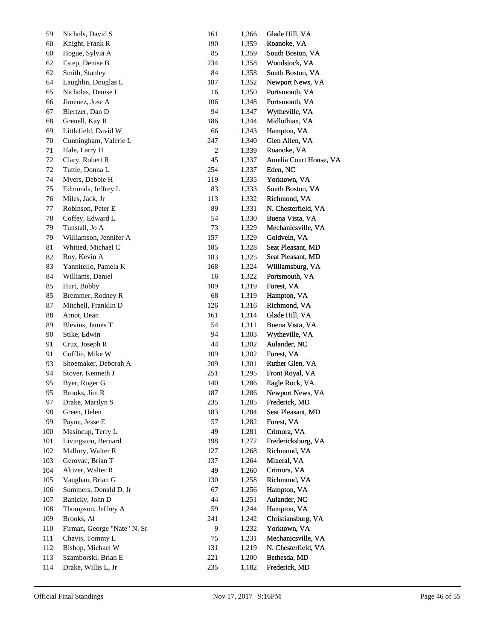| 59  | Nichols, David S            | 161            | 1,366 | Glade Hill, VA         |
|-----|-----------------------------|----------------|-------|------------------------|
| 60  | Knight, Frank R             | 190            | 1,359 | Roanoke, VA            |
| 60  | Hogue, Sylvia A             | 85             | 1,359 | South Boston, VA       |
| 62  | Estep, Denise B             | 234            | 1,358 | Woodstock, VA          |
| 62  | Smith, Stanley              | 84             | 1,358 | South Boston, VA       |
| 64  | Laughlin, Douglas L         | 187            | 1,352 | Newport News, VA       |
| 65  | Nicholas, Denise L          | 16             | 1,350 | Portsmouth, VA         |
| 66  | Jimenez, Jose A             | 106            | 1,348 | Portsmouth, VA         |
| 67  | Biertzer, Dan D             | 94             | 1,347 | Wytheville, VA         |
| 68  | Grenell, Kay R              | 186            | 1,344 | Midlothian, VA         |
| 69  | Littlefield, David W        | 66             | 1,343 | Hampton, VA            |
| 70  | Cunningham, Valerie L       | 247            | 1,340 | Glen Allen, VA         |
| 71  | Hale, Larry H               | $\overline{c}$ | 1,339 | Roanoke, VA            |
| 72  | Clary, Robert R             | 45             | 1,337 | Amelia Court House, VA |
| 72  | Tuttle, Donna L             | 254            | 1,337 | Eden, NC               |
| 74  | Myers, Debbie H             | 119            | 1,335 | Yorktown, VA           |
| 75  | Edmonds, Jeffrey L          | 83             | 1,333 | South Boston, VA       |
| 76  | Miles, Jack, Jr             | 113            | 1,332 | Richmond, VA           |
| 77  | Robinson, Peter E           | 89             | 1,331 | N. Chesterfield, VA    |
| 78  | Coffey, Edward L            | 54             | 1,330 | Buena Vista, VA        |
| 79  | Tunstall, Jo A              | 73             | 1,329 | Mechanicsville, VA     |
| 79  | Williamson, Jennifer A      | 157            | 1,329 | Goldvein, VA           |
| 81  | Whitted, Michael C          | 185            | 1,328 | Seat Pleasant, MD      |
| 82  | Roy, Kevin A                | 183            | 1,325 | Seat Pleasant, MD      |
| 83  | Yannitello, Pamela K        | 168            | 1,324 | Williamsburg, VA       |
| 84  | Williams, Daniel            | 16             | 1,322 | Portsmouth, VA         |
| 85  | Hurt, Bobby                 | 109            | 1,319 | Forest, VA             |
| 85  | Bremmer, Rodney R           | 68             | 1,319 | Hampton, VA            |
| 87  | Mitchell, Franklin D        | 126            | 1,316 | Richmond, VA           |
| 88  | Arnot, Dean                 | 161            | 1,314 | Glade Hill, VA         |
| 89  | Blevins, James T            | 54             | 1,311 | Buena Vista, VA        |
| 90  | Stike, Edwin                | 94             | 1,303 | Wytheville, VA         |
| 91  | Cruz, Joseph R              | 44             | 1,302 | Aulander, NC           |
| 91  | Cofflin, Mike W             | 109            | 1,302 | Forest, VA             |
| 93  | Shoemaker, Deborah A        | 209            | 1,301 | Ruther Glen, VA        |
| 94  | Stover, Kenneth J           | 251            | 1,295 | Front Royal, VA        |
| 95  | Byer, Roger G               | 140            | 1,286 | Eagle Rock, VA         |
| 95  | Brooks, Jim R               | 187            | 1,286 | Newport News, VA       |
| 97  | Drake, Marilyn S            | 235            | 1,285 | Frederick, MD          |
| 98  | Green, Helen                | 183            | 1,284 | Seat Pleasant, MD      |
| 99  | Payne, Jesse E              | 57             | 1,282 | Forest, VA             |
| 100 | Masincup, Terry L           | 49             | 1,281 | Crimora, VA            |
| 101 | Livingston, Bernard         | 198            | 1,272 | Fredericksburg, VA     |
| 102 | Mallory, Walter R           | 127            | 1,268 | Richmond, VA           |
| 103 | Gerovac, Brian T            | 137            | 1,264 | Mineral, VA            |
| 104 | Altizer, Walter R           | 49             | 1,260 | Crimora, VA            |
| 105 | Vaughan, Brian G            | 130            | 1,258 | Richmond, VA           |
| 106 | Summers, Donald D, Jr       | 67             | 1,256 | Hampton, VA            |
| 107 | Banicky, John D             | 44             | 1,251 | Aulander, NC           |
| 108 | Thompson, Jeffrey A         | 59             | 1,244 | Hampton, VA            |
| 109 | Brooks, Al                  | 241            | 1,242 | Christiansburg, VA     |
| 110 | Firman, George "Nate" N, Sr | 9              | 1,232 | Yorktown, VA           |
| 111 | Chavis, Tommy L             | 75             | 1,231 | Mechanicsville, VA     |
| 112 | Bishop, Michael W           | 131            | 1,219 | N. Chesterfield, VA    |
| 113 | Szamborski, Brian E         | 221            | 1,200 | Bethesda, MD           |
| 114 | Drake, Willis L, Jr         | 235            |       | Frederick, MD          |
|     |                             |                | 1,182 |                        |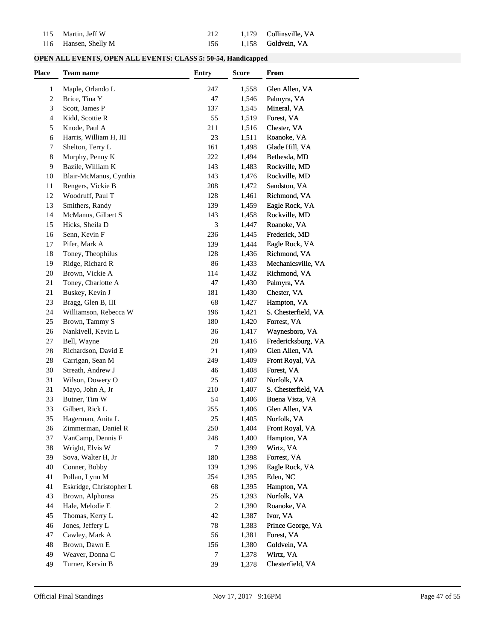| 115 Martin, Jeff W   |  | 212 1,179 Collinsville, VA |
|----------------------|--|----------------------------|
| 116 Hansen, Shelly M |  | 156 1,158 Goldvein, VA     |

| <b>OPEN ALL EVENTS, OPEN ALL EVENTS: CLASS 5: 50-54, Handicapped</b> |  |  |  |  |  |
|----------------------------------------------------------------------|--|--|--|--|--|
|----------------------------------------------------------------------|--|--|--|--|--|

| Place | <b>Team name</b>        | <b>Entry</b>   | <b>Score</b> | From                |  |
|-------|-------------------------|----------------|--------------|---------------------|--|
| 1     | Maple, Orlando L        | 247            | 1,558        | Glen Allen, VA      |  |
| 2     | Brice, Tina Y           | 47             | 1,546        | Palmyra, VA         |  |
| 3     | Scott, James P          | 137            | 1,545        | Mineral, VA         |  |
| 4     | Kidd, Scottie R         | 55             | 1,519        | Forest, VA          |  |
| 5     | Knode, Paul A           | 211            | 1,516        | Chester, VA         |  |
| 6     | Harris, William H, III  | 23             | 1,511        | Roanoke, VA         |  |
| 7     | Shelton, Terry L        | 161            | 1,498        | Glade Hill, VA      |  |
| 8     | Murphy, Penny K         | 222            | 1,494        | Bethesda, MD        |  |
| 9     | Bazile, William K       | 143            | 1,483        | Rockville, MD       |  |
| 10    | Blair-McManus, Cynthia  | 143            | 1,476        | Rockville, MD       |  |
| 11    | Rengers, Vickie B       | 208            | 1,472        | Sandston, VA        |  |
| 12    | Woodruff, Paul T        | 128            | 1,461        | Richmond, VA        |  |
| 13    | Smithers, Randy         | 139            | 1,459        | Eagle Rock, VA      |  |
| 14    | McManus, Gilbert S      | 143            | 1,458        | Rockville, MD       |  |
| 15    | Hicks, Sheila D         | 3              | 1,447        | Roanoke, VA         |  |
| 16    | Senn, Kevin F           | 236            | 1,445        | Frederick, MD       |  |
| 17    | Pifer, Mark A           | 139            | 1,444        | Eagle Rock, VA      |  |
| 18    | Toney, Theophilus       | 128            | 1,436        | Richmond, VA        |  |
| 19    | Ridge, Richard R        | 86             | 1,433        | Mechanicsville, VA  |  |
| 20    | Brown, Vickie A         | 114            | 1,432        | Richmond, VA        |  |
| 21    | Toney, Charlotte A      | 47             | 1,430        | Palmyra, VA         |  |
| 21    | Buskey, Kevin J         | 181            | 1,430        | Chester, VA         |  |
| 23    | Bragg, Glen B, III      | 68             | 1,427        | Hampton, VA         |  |
| 24    | Williamson, Rebecca W   | 196            | 1,421        | S. Chesterfield, VA |  |
| 25    | Brown, Tammy S          | 180            | 1,420        | Forrest, VA         |  |
| 26    | Nankivell, Kevin L      | 36             | 1,417        | Waynesboro, VA      |  |
| 27    | Bell, Wayne             | 28             | 1,416        | Fredericksburg, VA  |  |
| 28    | Richardson, David E     | 21             | 1,409        | Glen Allen, VA      |  |
| 28    | Carrigan, Sean M        | 249            | 1,409        | Front Royal, VA     |  |
| 30    | Streath, Andrew J       | 46             | 1,408        | Forest, VA          |  |
| 31    | Wilson, Dowery O        | 25             | 1,407        | Norfolk, VA         |  |
| 31    | Mayo, John A, Jr        | 210            | 1,407        | S. Chesterfield, VA |  |
| 33    | Butner, Tim W           | 54             | 1,406        | Buena Vista, VA     |  |
| 33    | Gilbert, Rick L         | 255            | 1,406        | Glen Allen, VA      |  |
| 35    | Hagerman, Anita L       | 25             | 1,405        | Norfolk, VA         |  |
| 36    | Zimmerman, Daniel R     | 250            | 1,404        | Front Royal, VA     |  |
| 37    | VanCamp, Dennis F       | 248            | 1,400        | Hampton, VA         |  |
| 38    | Wright, Elvis W         | 7              | 1,399        | Wirtz, VA           |  |
| 39    | Sova, Walter H, Jr      | 180            | 1,398        | Forrest, VA         |  |
| 40    | Conner, Bobby           | 139            | 1,396        | Eagle Rock, VA      |  |
| 41    | Pollan, Lynn M          | 254            | 1,395        | Eden, NC            |  |
| 41    | Eskridge, Christopher L | 68             | 1,395        | Hampton, VA         |  |
| 43    | Brown, Alphonsa         | 25             | 1,393        | Norfolk, VA         |  |
| 44    | Hale, Melodie E         | $\overline{c}$ | 1,390        | Roanoke, VA         |  |
| 45    | Thomas, Kerry L         | 42             | 1,387        | Ivor, VA            |  |
| 46    | Jones, Jeffery L        | 78             | 1,383        | Prince George, VA   |  |
| 47    | Cawley, Mark A          | 56             | 1,381        | Forest, VA          |  |
| 48    | Brown, Dawn E           | 156            | 1,380        | Goldvein, VA        |  |
| 49    | Weaver, Donna C         | 7              | 1,378        | Wirtz, VA           |  |
| 49    | Turner, Kervin B        | 39             | 1,378        | Chesterfield, VA    |  |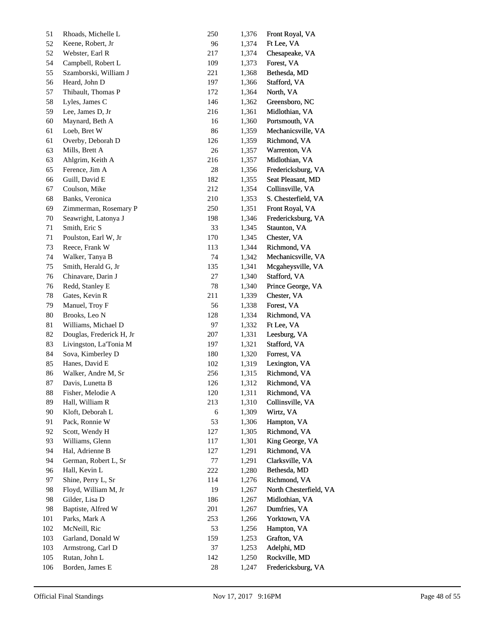| 51  | Rhoads, Michelle L       | 250     | 1,376 | Front Royal, VA        |
|-----|--------------------------|---------|-------|------------------------|
| 52  | Keene, Robert, Jr        | 96      | 1,374 | Ft Lee, VA             |
| 52  | Webster, Earl R          | 217     | 1,374 | Chesapeake, VA         |
| 54  | Campbell, Robert L       | 109     | 1,373 | Forest, VA             |
| 55  | Szamborski, William J    | 221     | 1,368 | Bethesda, MD           |
| 56  | Heard, John D            | 197     | 1,366 | Stafford, VA           |
| 57  | Thibault, Thomas P       | 172     | 1,364 | North, VA              |
| 58  | Lyles, James C           | 146     | 1,362 | Greensboro, NC         |
| 59  | Lee, James D, Jr         | 216     | 1,361 | Midlothian, VA         |
| 60  | Maynard, Beth A          | 16      | 1,360 | Portsmouth, VA         |
| 61  | Loeb, Bret W             | 86      | 1,359 | Mechanicsville, VA     |
| 61  | Overby, Deborah D        | 126     | 1,359 | Richmond, VA           |
| 63  | Mills, Brett A           | 26      | 1,357 | Warrenton, VA          |
| 63  | Ahlgrim, Keith A         | 216     | 1,357 | Midlothian, VA         |
| 65  | Ference, Jim A           | 28      | 1,356 | Fredericksburg, VA     |
| 66  | Guill, David E           | 182     | 1,355 | Seat Pleasant, MD      |
| 67  | Coulson, Mike            | 212     | 1,354 | Collinsville, VA       |
| 68  | Banks, Veronica          | 210     | 1,353 | S. Chesterfield, VA    |
| 69  | Zimmerman, Rosemary P    | 250     | 1,351 | Front Royal, VA        |
| 70  | Seawright, Latonya J     | 198     | 1,346 | Fredericksburg, VA     |
| 71  | Smith, Eric S            | 33      | 1,345 | Staunton, VA           |
| 71  | Poulston, Earl W, Jr     | 170     | 1,345 | Chester, VA            |
| 73  | Reece, Frank W           | 113     | 1,344 | Richmond, VA           |
| 74  | Walker, Tanya B          | 74      | 1,342 | Mechanicsville, VA     |
| 75  | Smith, Herald G, Jr      | 135     | 1,341 | Mcgaheysville, VA      |
| 76  | Chinavare, Darin J       | $27\,$  | 1,340 | Stafford, VA           |
| 76  | Redd, Stanley E          | 78      | 1,340 | Prince George, VA      |
| 78  | Gates, Kevin R           | 211     | 1,339 | Chester, VA            |
| 79  | Manuel, Troy F           | 56      | 1,338 | Forest, VA             |
| 80  | Brooks, Leo N            | 128     | 1,334 | Richmond, VA           |
| 81  | Williams, Michael D      | 97      | 1,332 | Ft Lee, VA             |
| 82  | Douglas, Frederick H, Jr | 207     | 1,331 | Leesburg, VA           |
| 83  | Livingston, La'Tonia M   | 197     | 1,321 | Stafford, VA           |
| 84  | Sova, Kimberley D        | 180     | 1,320 | Forrest, VA            |
| 85  | Hanes, David E           | 102     | 1,319 | Lexington, VA          |
| 86  | Walker, Andre M, Sr      | 256     | 1,315 | Richmond, VA           |
| 87  | Davis, Lunetta B         | 126     | 1,312 | Richmond, VA           |
| 88  | Fisher, Melodie A        | $120\,$ | 1,311 | Richmond, VA           |
| 89  | Hall, William R          | 213     | 1,310 | Collinsville, VA       |
| 90  | Kloft, Deborah L         | 6       | 1,309 | Wirtz, VA              |
| 91  | Pack, Ronnie W           | 53      | 1,306 | Hampton, VA            |
| 92  | Scott, Wendy H           | 127     | 1,305 | Richmond, VA           |
| 93  | Williams, Glenn          | 117     | 1,301 | King George, VA        |
| 94  | Hal, Adrienne B          | 127     | 1,291 | Richmond, VA           |
| 94  | German, Robert L, Sr     | 77      | 1,291 | Clarksville, VA        |
| 96  | Hall, Kevin L            | 222     | 1,280 | Bethesda, MD           |
| 97  | Shine, Perry L, Sr       | 114     | 1,276 | Richmond, VA           |
| 98  | Floyd, William M, Jr     | 19      | 1,267 | North Chesterfield, VA |
| 98  | Gilder, Lisa D           | 186     | 1,267 | Midlothian, VA         |
| 98  | Baptiste, Alfred W       | 201     | 1,267 | Dumfries, VA           |
| 101 | Parks, Mark A            | 253     | 1,266 | Yorktown, VA           |
| 102 | McNeill, Ric             | 53      | 1,256 | Hampton, VA            |
| 103 | Garland, Donald W        | 159     | 1,253 | Grafton, VA            |
| 103 | Armstrong, Carl D        | 37      | 1,253 | Adelphi, MD            |
| 105 | Rutan, John L            | 142     | 1,250 | Rockville, MD          |
| 106 | Borden, James E          | $28\,$  | 1,247 | Fredericksburg, VA     |
|     |                          |         |       |                        |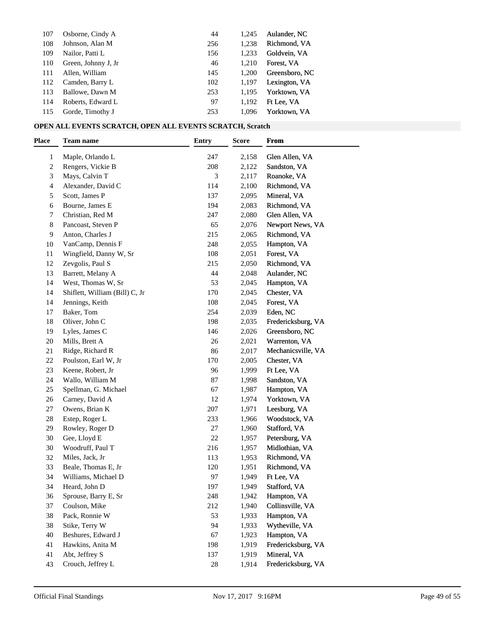| 107 | Osborne, Cindy A    | 44  | 1.245 | Aulander, NC   |
|-----|---------------------|-----|-------|----------------|
| 108 | Johnson, Alan M     | 256 | 1.238 | Richmond, VA   |
| 109 | Nailor, Patti L     | 156 | 1.233 | Goldvein, VA   |
| 110 | Green, Johnny J, Jr | 46  | 1.210 | Forest. VA     |
| 111 | Allen, William      | 145 | 1.200 | Greensboro, NC |
| 112 | Camden, Barry L     | 102 | 1,197 | Lexington, VA  |
| 113 | Ballowe, Dawn M     | 253 | 1.195 | Yorktown, VA   |
| 114 | Roberts, Edward L   | 97  | 1.192 | Ft Lee, VA     |
| 115 | Gorde, Timothy J    | 253 | 1.096 | Yorktown, VA   |

## **OPEN ALL EVENTS SCRATCH, OPEN ALL EVENTS SCRATCH, Scratch**

| Place | <b>Team name</b>               | <b>Entry</b> | <b>Score</b> | From               |  |
|-------|--------------------------------|--------------|--------------|--------------------|--|
| 1     | Maple, Orlando L               | 247          | 2,158        | Glen Allen, VA     |  |
| 2     | Rengers, Vickie B              | 208          | 2,122        | Sandston, VA       |  |
| 3     | Mays, Calvin T                 | 3            | 2,117        | Roanoke, VA        |  |
| 4     | Alexander, David C             | 114          | 2,100        | Richmond, VA       |  |
| 5     | Scott, James P                 | 137          | 2,095        | Mineral, VA        |  |
| 6     | Bourne, James E                | 194          | 2,083        | Richmond, VA       |  |
| 7     | Christian, Red M               | 247          | 2,080        | Glen Allen, VA     |  |
| 8     | Pancoast, Steven P             | 65           | 2,076        | Newport News, VA   |  |
| 9     | Anton, Charles J               | 215          | 2,065        | Richmond, VA       |  |
| 10    | VanCamp, Dennis F              | 248          | 2,055        | Hampton, VA        |  |
| 11    | Wingfield, Danny W, Sr         | 108          | 2,051        | Forest, VA         |  |
| 12    | Zevgolis, Paul S               | 215          | 2,050        | Richmond, VA       |  |
| 13    | Barrett, Melany A              | 44           | 2,048        | Aulander, NC       |  |
| 14    | West, Thomas W, Sr             | 53           | 2,045        | Hampton, VA        |  |
| 14    | Shiflett, William (Bill) C, Jr | 170          | 2,045        | Chester, VA        |  |
| 14    | Jennings, Keith                | 108          | 2,045        | Forest, VA         |  |
| 17    | Baker, Tom                     | 254          | 2,039        | Eden, NC           |  |
| 18    | Oliver, John C                 | 198          | 2,035        | Fredericksburg, VA |  |
| 19    | Lyles, James C                 | 146          | 2,026        | Greensboro, NC     |  |
| 20    | Mills, Brett A                 | 26           | 2,021        | Warrenton, VA      |  |
| 21    | Ridge, Richard R               | 86           | 2,017        | Mechanicsville, VA |  |
| 22    | Poulston, Earl W, Jr           | 170          | 2,005        | Chester, VA        |  |
| 23    | Keene, Robert, Jr              | 96           | 1,999        | Ft Lee, VA         |  |
| 24    | Wallo, William M               | 87           | 1,998        | Sandston, VA       |  |
| 25    | Spellman, G. Michael           | 67           | 1,987        | Hampton, VA        |  |
| 26    | Carney, David A                | 12           | 1,974        | Yorktown, VA       |  |
| 27    | Owens, Brian K                 | 207          | 1,971        | Leesburg, VA       |  |
| 28    | Estep, Roger L                 | 233          | 1,966        | Woodstock, VA      |  |
| 29    | Rowley, Roger D                | $27\,$       | 1,960        | Stafford, VA       |  |
| 30    | Gee, Lloyd E                   | 22           | 1,957        | Petersburg, VA     |  |
| 30    | Woodruff, Paul T               | 216          | 1,957        | Midlothian, VA     |  |
| 32    | Miles, Jack, Jr                | 113          | 1,953        | Richmond, VA       |  |
| 33    | Beale, Thomas E, Jr            | 120          | 1,951        | Richmond, VA       |  |
| 34    | Williams, Michael D            | 97           | 1,949        | Ft Lee, VA         |  |
| 34    | Heard, John D                  | 197          | 1,949        | Stafford, VA       |  |
| 36    | Sprouse, Barry E, Sr           | 248          | 1,942        | Hampton, VA        |  |
| 37    | Coulson, Mike                  | 212          | 1,940        | Collinsville, VA   |  |
| 38    | Pack, Ronnie W                 | 53           | 1,933        | Hampton, VA        |  |
| 38    | Stike, Terry W                 | 94           | 1,933        | Wytheville, VA     |  |
| 40    | Beshures, Edward J             | 67           | 1,923        | Hampton, VA        |  |
| 41    | Hawkins, Anita M               | 198          | 1,919        | Fredericksburg, VA |  |
| 41    | Abt, Jeffrey S                 | 137          | 1,919        | Mineral, VA        |  |
| 43    | Crouch, Jeffrey L              | $28\,$       | 1,914        | Fredericksburg, VA |  |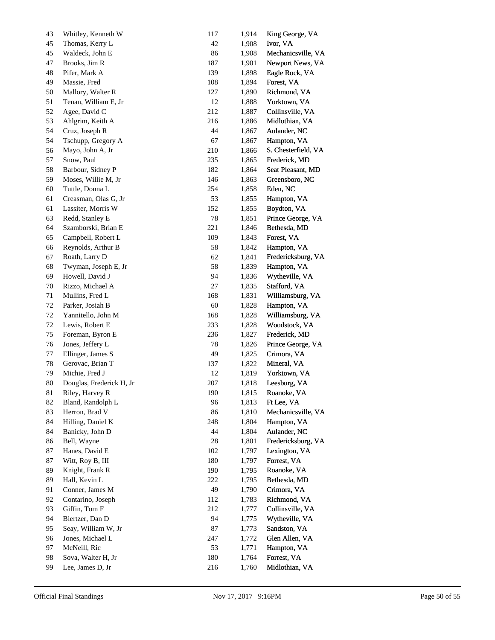| 43 | Whitley, Kenneth W       | 117    | 1,914 | King George, VA     |
|----|--------------------------|--------|-------|---------------------|
| 45 | Thomas, Kerry L          | 42     | 1,908 | Ivor, VA            |
| 45 | Waldeck, John E          | 86     | 1,908 | Mechanicsville, VA  |
| 47 | Brooks, Jim R            | 187    | 1,901 | Newport News, VA    |
| 48 | Pifer, Mark A            | 139    | 1,898 | Eagle Rock, VA      |
| 49 | Massie, Fred             | 108    | 1,894 | Forest, VA          |
| 50 | Mallory, Walter R        | 127    | 1,890 | Richmond, VA        |
| 51 | Tenan, William E, Jr     | 12     | 1,888 | Yorktown, VA        |
| 52 | Agee, David C            | 212    | 1,887 | Collinsville, VA    |
| 53 | Ahlgrim, Keith A         | 216    | 1,886 | Midlothian, VA      |
| 54 | Cruz, Joseph R           | 44     | 1,867 | Aulander, NC        |
| 54 | Tschupp, Gregory A       | 67     | 1,867 | Hampton, VA         |
| 56 | Mayo, John A, Jr         | 210    | 1,866 | S. Chesterfield, VA |
| 57 | Snow, Paul               | 235    | 1,865 | Frederick, MD       |
| 58 | Barbour, Sidney P        | 182    | 1,864 | Seat Pleasant, MD   |
| 59 | Moses, Willie M, Jr      | 146    | 1,863 | Greensboro, NC      |
| 60 | Tuttle, Donna L          | 254    | 1,858 | Eden, NC            |
| 61 | Creasman, Olas G, Jr     | 53     | 1,855 | Hampton, VA         |
| 61 | Lassiter, Morris W       | 152    | 1,855 | Boydton, VA         |
| 63 | Redd, Stanley E          | 78     | 1,851 | Prince George, VA   |
| 64 | Szamborski, Brian E      | 221    | 1,846 | Bethesda, MD        |
| 65 | Campbell, Robert L       | 109    | 1,843 | Forest, VA          |
| 66 | Reynolds, Arthur B       | 58     | 1,842 | Hampton, VA         |
| 67 | Roath, Larry D           | 62     | 1,841 | Fredericksburg, VA  |
| 68 | Twyman, Joseph E, Jr     | 58     | 1,839 | Hampton, VA         |
| 69 | Howell, David J          | 94     | 1,836 | Wytheville, VA      |
| 70 | Rizzo, Michael A         | 27     | 1,835 | Stafford, VA        |
| 71 | Mullins, Fred L          | 168    | 1,831 | Williamsburg, VA    |
| 72 | Parker, Josiah B         | 60     | 1,828 | Hampton, VA         |
| 72 | Yannitello, John M       | 168    | 1,828 | Williamsburg, VA    |
| 72 | Lewis, Robert E          | 233    | 1,828 | Woodstock, VA       |
| 75 | Foreman, Byron E         | 236    | 1,827 | Frederick, MD       |
| 76 | Jones, Jeffery L         | 78     | 1,826 | Prince George, VA   |
| 77 | Ellinger, James S        | 49     | 1,825 | Crimora, VA         |
| 78 | Gerovac, Brian T         | 137    | 1,822 | Mineral, VA         |
| 79 | Michie, Fred J           | 12     | 1,819 | Yorktown, VA        |
| 80 | Douglas, Frederick H, Jr | 207    | 1,818 | Leesburg, VA        |
| 81 | Riley, Harvey R          | 190    | 1,815 | Roanoke, VA         |
| 82 | Bland, Randolph L        | 96     | 1,813 | Ft Lee, VA          |
| 83 | Herron, Brad V           | 86     | 1,810 | Mechanicsville, VA  |
| 84 | Hilling, Daniel K        | 248    | 1,804 | Hampton, VA         |
| 84 | Banicky, John D          | 44     | 1,804 | Aulander, NC        |
| 86 | Bell, Wayne              | $28\,$ | 1,801 | Fredericksburg, VA  |
| 87 | Hanes, David E           | 102    | 1,797 | Lexington, VA       |
| 87 | Witt, Roy B, III         | 180    | 1,797 | Forrest, VA         |
| 89 | Knight, Frank R          | 190    | 1,795 | Roanoke, VA         |
| 89 | Hall, Kevin L            | 222    | 1,795 | Bethesda, MD        |
| 91 | Conner, James M          | 49     | 1,790 | Crimora, VA         |
| 92 | Contarino, Joseph        | 112    | 1,783 | Richmond, VA        |
| 93 | Giffin, Tom F            | 212    | 1,777 | Collinsville, VA    |
| 94 | Biertzer, Dan D          | 94     | 1,775 | Wytheville, VA      |
| 95 | Seay, William W, Jr      | 87     | 1,773 | Sandston, VA        |
| 96 | Jones, Michael L         | 247    | 1,772 | Glen Allen, VA      |
| 97 | McNeill, Ric             | 53     | 1,771 | Hampton, VA         |
| 98 | Sova, Walter H, Jr       | 180    | 1,764 | Forrest, VA         |
| 99 | Lee, James D, Jr         | 216    | 1,760 | Midlothian, VA      |
|    |                          |        |       |                     |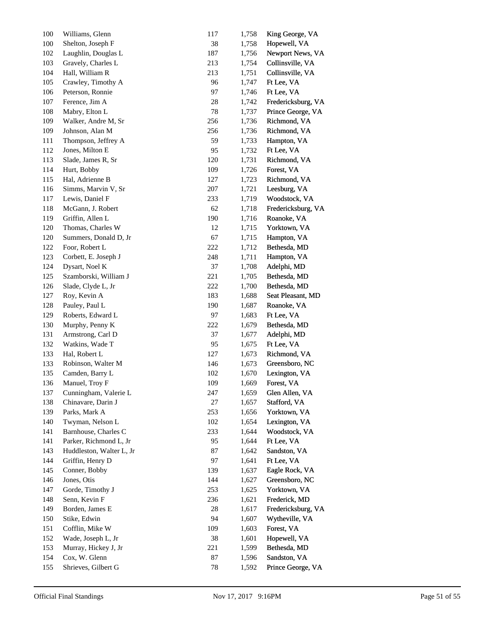| 100 | Williams, Glenn          | 117 | 1,758 | King George, VA    |
|-----|--------------------------|-----|-------|--------------------|
| 100 | Shelton, Joseph F        | 38  | 1,758 | Hopewell, VA       |
| 102 | Laughlin, Douglas L      | 187 | 1,756 | Newport News, VA   |
| 103 | Gravely, Charles L       | 213 | 1,754 | Collinsville, VA   |
| 104 | Hall, William R          | 213 | 1,751 | Collinsville, VA   |
| 105 | Crawley, Timothy A       | 96  | 1,747 | Ft Lee, VA         |
| 106 | Peterson, Ronnie         | 97  | 1,746 | Ft Lee, VA         |
| 107 | Ference, Jim A           | 28  | 1,742 | Fredericksburg, VA |
| 108 | Mabry, Elton L           | 78  | 1,737 | Prince George, VA  |
| 109 | Walker, Andre M, Sr      | 256 | 1,736 | Richmond, VA       |
| 109 | Johnson, Alan M          | 256 | 1,736 | Richmond, VA       |
| 111 | Thompson, Jeffrey A      | 59  | 1,733 | Hampton, VA        |
| 112 | Jones, Milton E          | 95  | 1,732 | Ft Lee, VA         |
| 113 | Slade, James R, Sr       | 120 | 1,731 | Richmond, VA       |
| 114 | Hurt, Bobby              | 109 | 1,726 | Forest, VA         |
| 115 | Hal, Adrienne B          | 127 | 1,723 | Richmond, VA       |
| 116 | Simms, Marvin V, Sr      | 207 | 1,721 | Leesburg, VA       |
| 117 | Lewis, Daniel F          | 233 | 1,719 | Woodstock, VA      |
| 118 | McGann, J. Robert        | 62  | 1,718 | Fredericksburg, VA |
| 119 | Griffin, Allen L         | 190 | 1,716 | Roanoke, VA        |
| 120 | Thomas, Charles W        | 12  | 1,715 | Yorktown, VA       |
| 120 | Summers, Donald D, Jr    | 67  | 1,715 | Hampton, VA        |
| 122 | Foor, Robert L           | 222 | 1,712 | Bethesda, MD       |
| 123 | Corbett, E. Joseph J     | 248 | 1,711 | Hampton, VA        |
| 124 | Dysart, Noel K           | 37  | 1,708 | Adelphi, MD        |
| 125 | Szamborski, William J    | 221 | 1,705 | Bethesda, MD       |
| 126 | Slade, Clyde L, Jr       | 222 | 1,700 | Bethesda, MD       |
| 127 | Roy, Kevin A             | 183 | 1,688 | Seat Pleasant, MD  |
| 128 | Pauley, Paul L           | 190 | 1,687 | Roanoke, VA        |
| 129 | Roberts, Edward L        | 97  | 1,683 | Ft Lee, VA         |
| 130 | Murphy, Penny K          | 222 | 1,679 | Bethesda, MD       |
| 131 | Armstrong, Carl D        | 37  | 1,677 | Adelphi, MD        |
| 132 | Watkins, Wade T          | 95  | 1,675 | Ft Lee, VA         |
| 133 | Hal, Robert L            | 127 | 1,673 | Richmond, VA       |
| 133 | Robinson, Walter M       | 146 | 1,673 | Greensboro, NC     |
| 135 | Camden, Barry L          | 102 | 1,670 | Lexington, VA      |
| 136 | Manuel, Troy F           | 109 | 1,669 | Forest, VA         |
| 137 | Cunningham, Valerie L    | 247 | 1,659 | Glen Allen, VA     |
| 138 | Chinavare, Darin J       | 27  | 1,657 | Stafford, VA       |
| 139 | Parks, Mark A            | 253 | 1,656 | Yorktown, VA       |
| 140 | Twyman, Nelson L         | 102 | 1,654 | Lexington, VA      |
| 141 | Barnhouse, Charles C     | 233 | 1,644 | Woodstock, VA      |
| 141 | Parker, Richmond L, Jr   | 95  | 1,644 | Ft Lee, VA         |
| 143 | Huddleston, Walter L, Jr | 87  | 1,642 | Sandston, VA       |
| 144 | Griffin, Henry D         | 97  | 1,641 | Ft Lee, VA         |
| 145 | Conner, Bobby            | 139 | 1,637 | Eagle Rock, VA     |
| 146 | Jones, Otis              | 144 | 1,627 | Greensboro, NC     |
| 147 | Gorde, Timothy J         | 253 | 1,625 | Yorktown, VA       |
| 148 | Senn, Kevin F            | 236 | 1,621 | Frederick, MD      |
| 149 | Borden, James E          | 28  | 1,617 | Fredericksburg, VA |
| 150 | Stike, Edwin             | 94  | 1,607 | Wytheville, VA     |
| 151 | Cofflin, Mike W          | 109 | 1,603 | Forest, VA         |
| 152 | Wade, Joseph L, Jr       | 38  | 1,601 | Hopewell, VA       |
| 153 | Murray, Hickey J, Jr     | 221 | 1,599 | Bethesda, MD       |
| 154 | Cox, W. Glenn            | 87  | 1,596 | Sandston, VA       |
| 155 | Shrieves, Gilbert G      | 78  | 1,592 | Prince George, VA  |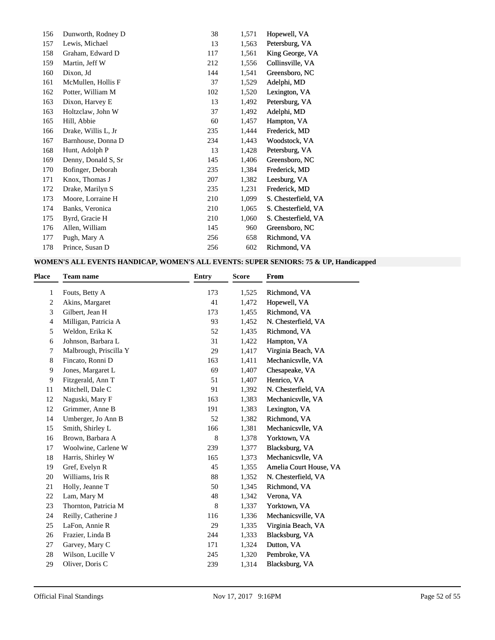| 156 | Dunworth, Rodney D  | 38  | 1,571 | Hopewell, VA        |
|-----|---------------------|-----|-------|---------------------|
| 157 | Lewis, Michael      | 13  | 1,563 | Petersburg, VA      |
| 158 | Graham, Edward D    | 117 | 1,561 | King George, VA     |
| 159 | Martin, Jeff W      | 212 | 1,556 | Collinsville, VA    |
| 160 | Dixon, Jd           | 144 | 1,541 | Greensboro, NC      |
| 161 | McMullen, Hollis F  | 37  | 1,529 | Adelphi, MD         |
| 162 | Potter, William M   | 102 | 1,520 | Lexington, VA       |
| 163 | Dixon, Harvey E     | 13  | 1,492 | Petersburg, VA      |
| 163 | Holtzclaw, John W   | 37  | 1,492 | Adelphi, MD         |
| 165 | Hill, Abbie         | 60  | 1,457 | Hampton, VA         |
| 166 | Drake, Willis L, Jr | 235 | 1,444 | Frederick, MD       |
| 167 | Barnhouse, Donna D  | 234 | 1,443 | Woodstock, VA       |
| 168 | Hunt, Adolph P      | 13  | 1,428 | Petersburg, VA      |
| 169 | Denny, Donald S, Sr | 145 | 1,406 | Greensboro, NC      |
| 170 | Bofinger, Deborah   | 235 | 1,384 | Frederick, MD       |
| 171 | Knox, Thomas J      | 207 | 1,382 | Leesburg, VA        |
| 172 | Drake, Marilyn S    | 235 | 1,231 | Frederick, MD       |
| 173 | Moore, Lorraine H   | 210 | 1,099 | S. Chesterfield, VA |
| 174 | Banks, Veronica     | 210 | 1,065 | S. Chesterfield, VA |
| 175 | Byrd, Gracie H      | 210 | 1,060 | S. Chesterfield, VA |
| 176 | Allen, William      | 145 | 960   | Greensboro, NC      |
| 177 | Pugh, Mary A        | 256 | 658   | Richmond, VA        |
| 178 | Prince, Susan D     | 256 | 602   | Richmond, VA        |
|     |                     |     |       |                     |

## **WOMEN'S ALL EVENTS HANDICAP, WOMEN'S ALL EVENTS: SUPER SENIORS: 75 & UP, Handicapped**

| Place | <b>Team name</b>       | <b>Entry</b> | <b>Score</b> | <b>From</b>            |
|-------|------------------------|--------------|--------------|------------------------|
| 1     | Fouts, Betty A         | 173          | 1,525        | Richmond, VA           |
| 2     | Akins, Margaret        | 41           | 1,472        | Hopewell, VA           |
| 3     | Gilbert, Jean H        | 173          | 1,455        | Richmond, VA           |
| 4     | Milligan, Patricia A   | 93           | 1,452        | N. Chesterfield, VA    |
| 5     | Weldon, Erika K        | 52           | 1,435        | Richmond, VA           |
| 6     | Johnson, Barbara L     | 31           | 1,422        | Hampton, VA            |
| 7     | Malbrough, Priscilla Y | 29           | 1,417        | Virginia Beach, VA     |
| 8     | Fincato, Ronni D       | 163          | 1,411        | Mechanicsvlle, VA      |
| 9     | Jones, Margaret L      | 69           | 1,407        | Chesapeake, VA         |
| 9     | Fitzgerald, Ann T      | 51           | 1,407        | Henrico, VA            |
| 11    | Mitchell, Dale C       | 91           | 1,392        | N. Chesterfield, VA    |
| 12    | Naguski, Mary F        | 163          | 1,383        | Mechanicsvlle, VA      |
| 12    | Grimmer, Anne B        | 191          | 1,383        | Lexington, VA          |
| 14    | Umberger, Jo Ann B     | 52           | 1,382        | Richmond, VA           |
| 15    | Smith, Shirley L       | 166          | 1,381        | Mechanicsvlle, VA      |
| 16    | Brown, Barbara A       | 8            | 1,378        | Yorktown, VA           |
| 17    | Woolwine, Carlene W    | 239          | 1,377        | Blacksburg, VA         |
| 18    | Harris, Shirley W      | 165          | 1,373        | Mechanicsvlle, VA      |
| 19    | Gref, Evelyn R         | 45           | 1,355        | Amelia Court House, VA |
| 20    | Williams, Iris R       | 88           | 1,352        | N. Chesterfield, VA    |
| 21    | Holly, Jeanne T        | 50           | 1,345        | Richmond, VA           |
| 22    | Lam, Mary M            | 48           | 1,342        | Verona, VA             |
| 23    | Thornton, Patricia M   | 8            | 1,337        | Yorktown, VA           |
| 24    | Reilly, Catherine J    | 116          | 1,336        | Mechanicsville, VA     |
| 25    | LaFon, Annie R         | 29           | 1,335        | Virginia Beach, VA     |
| 26    | Frazier, Linda B       | 244          | 1,333        | Blacksburg, VA         |
| 27    | Garvey, Mary C         | 171          | 1,324        | Dutton, VA             |
| 28    | Wilson, Lucille V      | 245          | 1,320        | Pembroke, VA           |
| 29    | Oliver, Doris C        | 239          | 1,314        | Blacksburg, VA         |
|       |                        |              |              |                        |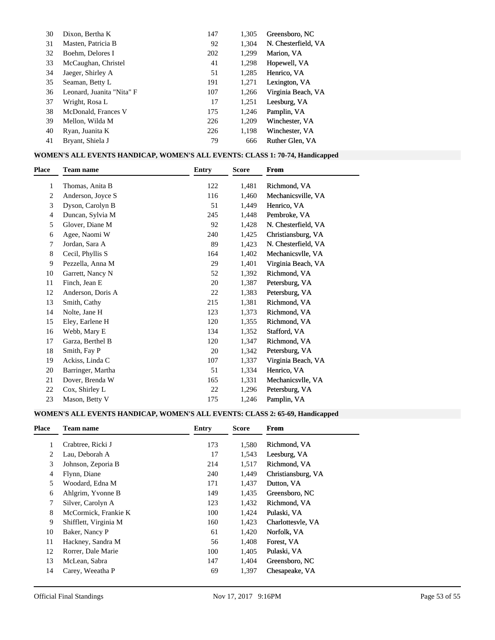| 30 | Dixon, Bertha K           | 147 | 1.305 | Greensboro, NC      |
|----|---------------------------|-----|-------|---------------------|
| 31 | Masten, Patricia B        | 92  | 1.304 | N. Chesterfield, VA |
| 32 | Boehm, Delores I          | 202 | 1,299 | Marion, VA          |
| 33 | McCaughan, Christel       | 41  | 1,298 | Hopewell, VA        |
| 34 | Jaeger, Shirley A         | 51  | 1,285 | Henrico, VA         |
| 35 | Seaman, Betty L           | 191 | 1,271 | Lexington, VA       |
| 36 | Leonard, Juanita "Nita" F | 107 | 1,266 | Virginia Beach, VA  |
| 37 | Wright, Rosa L            | 17  | 1,251 | Leesburg, VA        |
| 38 | McDonald, Frances V       | 175 | 1.246 | Pamplin, VA         |
| 39 | Mellon, Wilda M           | 226 | 1.209 | Winchester, VA      |
| 40 | Ryan, Juanita K           | 226 | 1.198 | Winchester, VA      |
| 41 | Bryant, Shiela J          | 79  | 666   | Ruther Glen, VA     |

#### **WOMEN'S ALL EVENTS HANDICAP, WOMEN'S ALL EVENTS: CLASS 1: 70-74, Handicapped**

| <b>Place</b> | <b>Team name</b>  | <b>Entry</b> | <b>Score</b> | From                |  |
|--------------|-------------------|--------------|--------------|---------------------|--|
| 1            | Thomas, Anita B   | 122          | 1,481        | Richmond, VA        |  |
| 2            | Anderson, Joyce S | 116          | 1,460        | Mechanicsville, VA  |  |
| 3            | Dyson, Carolyn B  | 51           | 1,449        | Henrico, VA         |  |
| 4            | Duncan, Sylvia M  | 245          | 1,448        | Pembroke, VA        |  |
| 5            | Glover, Diane M   | 92           | 1,428        | N. Chesterfield, VA |  |
| 6            | Agee, Naomi W     | 240          | 1,425        | Christiansburg, VA  |  |
| 7            | Jordan, Sara A    | 89           | 1,423        | N. Chesterfield, VA |  |
| 8            | Cecil, Phyllis S  | 164          | 1,402        | Mechanicsvlle, VA   |  |
| 9            | Pezzella, Anna M  | 29           | 1,401        | Virginia Beach, VA  |  |
| 10           | Garrett, Nancy N  | 52           | 1,392        | Richmond, VA        |  |
| 11           | Finch, Jean E     | 20           | 1,387        | Petersburg, VA      |  |
| 12           | Anderson, Doris A | 22           | 1,383        | Petersburg, VA      |  |
| 13           | Smith, Cathy      | 215          | 1,381        | Richmond, VA        |  |
| 14           | Nolte, Jane H     | 123          | 1,373        | Richmond, VA        |  |
| 15           | Eley, Earlene H   | 120          | 1,355        | Richmond, VA        |  |
| 16           | Webb, Mary E      | 134          | 1,352        | Stafford, VA        |  |
| 17           | Garza, Berthel B  | 120          | 1,347        | Richmond, VA        |  |
| 18           | Smith, Fay P      | 20           | 1,342        | Petersburg, VA      |  |
| 19           | Ackiss, Linda C   | 107          | 1,337        | Virginia Beach, VA  |  |
| 20           | Barringer, Martha | 51           | 1,334        | Henrico, VA         |  |
| 21           | Dover, Brenda W   | 165          | 1,331        | Mechanicsvlle, VA   |  |
| 22           | Cox, Shirley L    | 22           | 1,296        | Petersburg, VA      |  |
| 23           | Mason, Betty V    | 175          | 1,246        | Pamplin, VA         |  |

### **WOMEN'S ALL EVENTS HANDICAP, WOMEN'S ALL EVENTS: CLASS 2: 65-69, Handicapped**

| <b>Place</b>   | <b>Team name</b>      | Entry | <b>Score</b> | From               |
|----------------|-----------------------|-------|--------------|--------------------|
|                | Crabtree, Ricki J     | 173   | 1,580        | Richmond, VA       |
| 2              | Lau, Deborah A        | 17    | 1,543        | Leesburg, VA       |
| 3              | Johnson, Zeporia B    | 214   | 1,517        | Richmond, VA       |
| $\overline{4}$ | Flynn, Diane          | 240   | 1,449        | Christiansburg, VA |
| 5              | Woodard, Edna M       | 171   | 1.437        | Dutton, VA         |
| 6              | Ahlgrim, Yvonne B     | 149   | 1,435        | Greensboro, NC     |
| 7              | Silver, Carolyn A     | 123   | 1.432        | Richmond, VA       |
| 8              | McCormick, Frankie K  | 100   | 1,424        | Pulaski, VA        |
| 9              | Shifflett, Virginia M | 160   | 1.423        | Charlottesvle, VA  |
| 10             | Baker, Nancy P        | 61    | 1,420        | Norfolk, VA        |
| 11             | Hackney, Sandra M     | 56    | 1.408        | Forest, VA         |
| 12             | Rorrer, Dale Marie    | 100   | 1.405        | Pulaski, VA        |
| 13             | McLean, Sabra         | 147   | 1,404        | Greensboro, NC     |
| 14             | Carey, Weeatha P      | 69    | 1,397        | Chesapeake, VA     |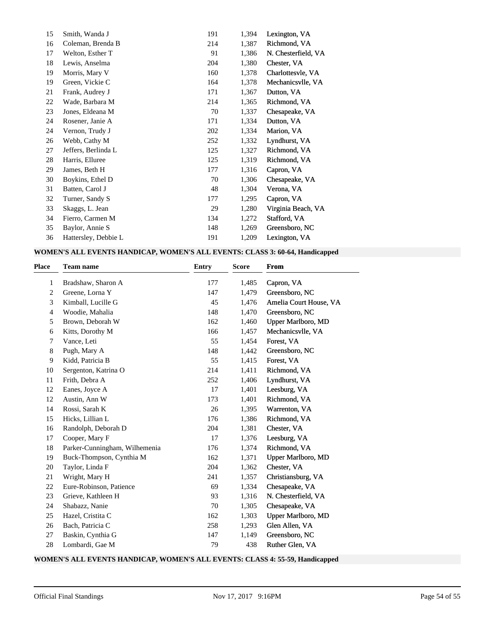| 15 | Smith, Wanda J       | 191 | 1,394 | Lexington, VA       |
|----|----------------------|-----|-------|---------------------|
| 16 | Coleman, Brenda B    | 214 | 1,387 | Richmond, VA        |
| 17 | Welton, Esther T     | 91  | 1,386 | N. Chesterfield, VA |
| 18 | Lewis, Anselma       | 204 | 1,380 | Chester, VA         |
| 19 | Morris, Mary V       | 160 | 1,378 | Charlottesvle, VA   |
| 19 | Green, Vickie C      | 164 | 1,378 | Mechanicsvlle, VA   |
| 21 | Frank, Audrey J      | 171 | 1,367 | Dutton, VA          |
| 22 | Wade, Barbara M      | 214 | 1,365 | Richmond, VA        |
| 23 | Jones, Eldeana M     | 70  | 1,337 | Chesapeake, VA      |
| 24 | Rosener, Janie A     | 171 | 1,334 | Dutton, VA          |
| 24 | Vernon, Trudy J      | 202 | 1,334 | Marion, VA          |
| 26 | Webb, Cathy M        | 252 | 1,332 | Lyndhurst, VA       |
| 27 | Jeffers, Berlinda L  | 125 | 1,327 | Richmond, VA        |
| 28 | Harris, Elluree      | 125 | 1,319 | Richmond, VA        |
| 29 | James, Beth H        | 177 | 1,316 | Capron, VA          |
| 30 | Boykins, Ethel D     | 70  | 1,306 | Chesapeake, VA      |
| 31 | Batten, Carol J      | 48  | 1,304 | Verona, VA          |
| 32 | Turner, Sandy S      | 177 | 1,295 | Capron, VA          |
| 33 | Skaggs, L. Jean      | 29  | 1,280 | Virginia Beach, VA  |
| 34 | Fierro, Carmen M     | 134 | 1,272 | Stafford, VA        |
| 35 | Baylor, Annie S      | 148 | 1,269 | Greensboro, NC      |
| 36 | Hattersley, Debbie L | 191 | 1,209 | Lexington, VA       |

## **WOMEN'S ALL EVENTS HANDICAP, WOMEN'S ALL EVENTS: CLASS 3: 60-64, Handicapped**

| Place | <b>Team name</b>              | <b>Entry</b> | <b>Score</b> | <b>From</b>            |
|-------|-------------------------------|--------------|--------------|------------------------|
| 1     | Bradshaw, Sharon A            | 177          | 1,485        | Capron, VA             |
| 2     | Greene, Lorna Y               | 147          | 1,479        | Greensboro, NC         |
| 3     | Kimball, Lucille G            | 45           | 1,476        | Amelia Court House, VA |
| 4     | Woodie, Mahalia               | 148          | 1,470        | Greensboro, NC         |
| 5     | Brown, Deborah W              | 162          | 1,460        | Upper Marlboro, MD     |
| 6     | Kitts, Dorothy M              | 166          | 1,457        | Mechanicsvlle, VA      |
| 7     | Vance, Leti                   | 55           | 1,454        | Forest, VA             |
| 8     | Pugh, Mary A                  | 148          | 1,442        | Greensboro, NC         |
| 9     | Kidd, Patricia B              | 55           | 1,415        | Forest, VA             |
| 10    | Sergenton, Katrina O          | 214          | 1,411        | Richmond, VA           |
| 11    | Frith, Debra A                | 252          | 1,406        | Lyndhurst, VA          |
| 12    | Eanes, Joyce A                | 17           | 1,401        | Leesburg, VA           |
| 12    | Austin, Ann W                 | 173          | 1,401        | Richmond, VA           |
| 14    | Rossi, Sarah K                | 26           | 1,395        | Warrenton, VA          |
| 15    | Hicks, Lillian L              | 176          | 1,386        | Richmond, VA           |
| 16    | Randolph, Deborah D           | 204          | 1,381        | Chester, VA            |
| 17    | Cooper, Mary F                | 17           | 1,376        | Leesburg, VA           |
| 18    | Parker-Cunningham, Wilhemenia | 176          | 1,374        | Richmond, VA           |
| 19    | Buck-Thompson, Cynthia M      | 162          | 1,371        | Upper Marlboro, MD     |
| 20    | Taylor, Linda F               | 204          | 1,362        | Chester, VA            |
| 21    | Wright, Mary H                | 241          | 1,357        | Christiansburg, VA     |
| 22    | Eure-Robinson, Patience       | 69           | 1,334        | Chesapeake, VA         |
| 23    | Grieve, Kathleen H            | 93           | 1,316        | N. Chesterfield, VA    |
| 24    | Shabazz, Nanie                | 70           | 1,305        | Chesapeake, VA         |
| 25    | Hazel, Cristita C             | 162          | 1,303        | Upper Marlboro, MD     |
| 26    | Bach, Patricia C              | 258          | 1,293        | Glen Allen, VA         |
| 27    | Baskin, Cynthia G             | 147          | 1,149        | Greensboro, NC         |
| 28    | Lombardi, Gae M               | 79           | 438          | Ruther Glen, VA        |

## **WOMEN'S ALL EVENTS HANDICAP, WOMEN'S ALL EVENTS: CLASS 4: 55-59, Handicapped**